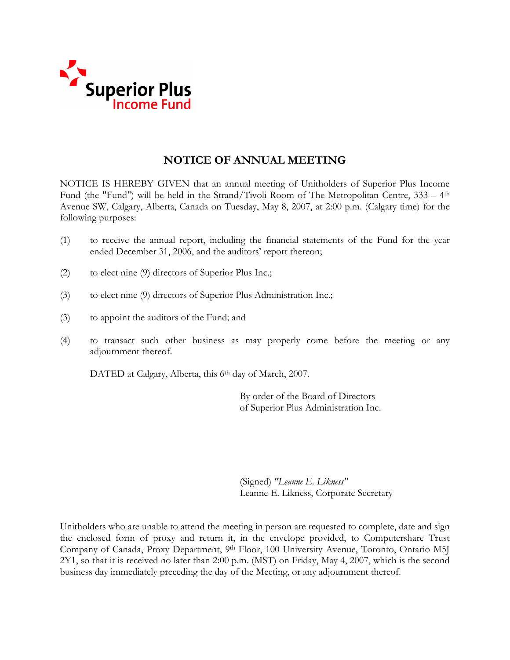

# **NOTICE OF ANNUAL MEETING**

NOTICE IS HEREBY GIVEN that an annual meeting of Unitholders of Superior Plus Income Fund (the "Fund") will be held in the Strand/Tivoli Room of The Metropolitan Centre, 333 – 4th Avenue SW, Calgary, Alberta, Canada on Tuesday, May 8, 2007, at 2:00 p.m. (Calgary time) for the following purposes:

- (1) to receive the annual report, including the financial statements of the Fund for the year ended December 31, 2006, and the auditors' report thereon;
- (2) to elect nine (9) directors of Superior Plus Inc.;
- (3) to elect nine (9) directors of Superior Plus Administration Inc.;
- (3) to appoint the auditors of the Fund; and
- (4) to transact such other business as may properly come before the meeting or any adjournment thereof.

DATED at Calgary, Alberta, this 6<sup>th</sup> day of March, 2007.

 By order of the Board of Directors of Superior Plus Administration Inc.

(Signed) *"Leanne E. Likness"*  Leanne E. Likness, Corporate Secretary

Unitholders who are unable to attend the meeting in person are requested to complete, date and sign the enclosed form of proxy and return it, in the envelope provided, to Computershare Trust Company of Canada, Proxy Department, 9th Floor, 100 University Avenue, Toronto, Ontario M5J 2Y1, so that it is received no later than 2:00 p.m. (MST) on Friday, May 4, 2007, which is the second business day immediately preceding the day of the Meeting, or any adjournment thereof.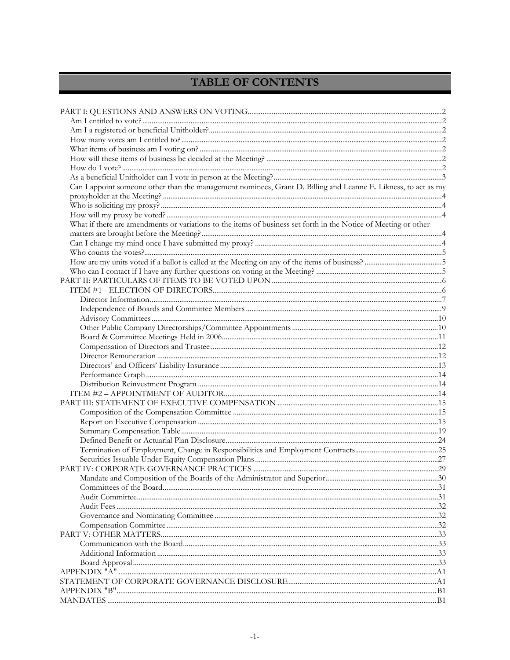# TABLE OF CONTENTS

| Can I appoint someone other than the management nominees, Grant D. Billing and Leanne E. Likness, to act as my  |  |
|-----------------------------------------------------------------------------------------------------------------|--|
|                                                                                                                 |  |
|                                                                                                                 |  |
|                                                                                                                 |  |
| What if there are amendments or variations to the items of business set forth in the Notice of Meeting or other |  |
|                                                                                                                 |  |
|                                                                                                                 |  |
|                                                                                                                 |  |
|                                                                                                                 |  |
|                                                                                                                 |  |
|                                                                                                                 |  |
|                                                                                                                 |  |
|                                                                                                                 |  |
|                                                                                                                 |  |
|                                                                                                                 |  |
|                                                                                                                 |  |
|                                                                                                                 |  |
|                                                                                                                 |  |
|                                                                                                                 |  |
|                                                                                                                 |  |
|                                                                                                                 |  |
|                                                                                                                 |  |
|                                                                                                                 |  |
|                                                                                                                 |  |
|                                                                                                                 |  |
|                                                                                                                 |  |
|                                                                                                                 |  |
|                                                                                                                 |  |
|                                                                                                                 |  |
|                                                                                                                 |  |
|                                                                                                                 |  |
|                                                                                                                 |  |
|                                                                                                                 |  |
|                                                                                                                 |  |
|                                                                                                                 |  |
|                                                                                                                 |  |
|                                                                                                                 |  |
|                                                                                                                 |  |
|                                                                                                                 |  |
|                                                                                                                 |  |
|                                                                                                                 |  |
|                                                                                                                 |  |
|                                                                                                                 |  |
|                                                                                                                 |  |
|                                                                                                                 |  |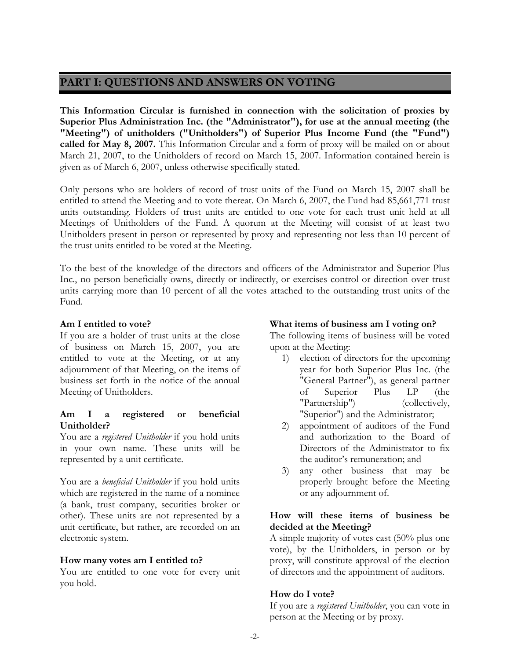# **PART I: QUESTIONS AND ANSWERS ON VOTING**

**This Information Circular is furnished in connection with the solicitation of proxies by Superior Plus Administration Inc. (the "Administrator"), for use at the annual meeting (the "Meeting") of unitholders ("Unitholders") of Superior Plus Income Fund (the "Fund") called for May 8, 2007.** This Information Circular and a form of proxy will be mailed on or about March 21, 2007, to the Unitholders of record on March 15, 2007. Information contained herein is given as of March 6, 2007, unless otherwise specifically stated.

Only persons who are holders of record of trust units of the Fund on March 15, 2007 shall be entitled to attend the Meeting and to vote thereat. On March 6, 2007, the Fund had 85,661,771 trust units outstanding. Holders of trust units are entitled to one vote for each trust unit held at all Meetings of Unitholders of the Fund. A quorum at the Meeting will consist of at least two Unitholders present in person or represented by proxy and representing not less than 10 percent of the trust units entitled to be voted at the Meeting.

To the best of the knowledge of the directors and officers of the Administrator and Superior Plus Inc., no person beneficially owns, directly or indirectly, or exercises control or direction over trust units carrying more than 10 percent of all the votes attached to the outstanding trust units of the Fund.

# **Am I entitled to vote?**

If you are a holder of trust units at the close of business on March 15, 2007, you are entitled to vote at the Meeting, or at any adjournment of that Meeting, on the items of business set forth in the notice of the annual Meeting of Unitholders.

### **Am I a registered or beneficial Unitholder?**

You are a *registered Unitholder* if you hold units in your own name. These units will be represented by a unit certificate.

You are a *beneficial Unitholder* if you hold units which are registered in the name of a nominee (a bank, trust company, securities broker or other). These units are not represented by a unit certificate, but rather, are recorded on an electronic system.

# **How many votes am I entitled to?**

You are entitled to one vote for every unit you hold.

# **What items of business am I voting on?**

The following items of business will be voted upon at the Meeting:

- 1) election of directors for the upcoming year for both Superior Plus Inc. (the "General Partner"), as general partner of Superior Plus LP (the "Partnership") (collectively, "Superior") and the Administrator;
- 2) appointment of auditors of the Fund and authorization to the Board of Directors of the Administrator to fix the auditor's remuneration; and
- 3) any other business that may be properly brought before the Meeting or any adjournment of.

# **How will these items of business be decided at the Meeting?**

A simple majority of votes cast (50% plus one vote), by the Unitholders, in person or by proxy, will constitute approval of the election of directors and the appointment of auditors.

# **How do I vote?**

If you are a *registered Unitholder*, you can vote in person at the Meeting or by proxy.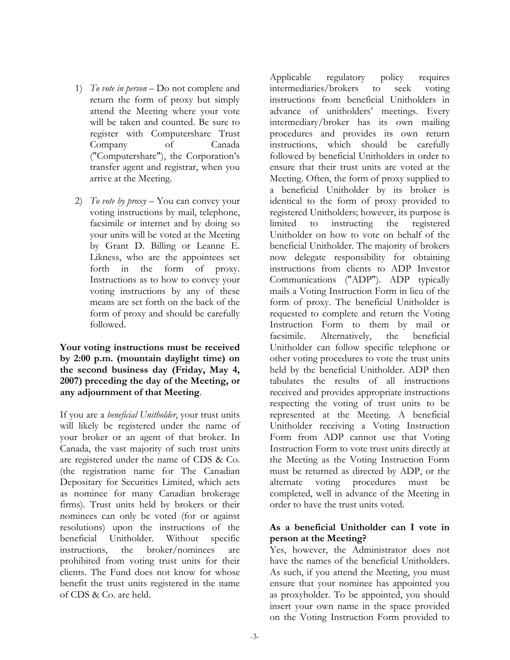- 1) *To vote in person*  Do not complete and return the form of proxy but simply attend the Meeting where your vote will be taken and counted. Be sure to register with Computershare Trust Company of Canada ("Computershare"), the Corporation's transfer agent and registrar, when you arrive at the Meeting.
- 2) *To vote by proxy*  You can convey your voting instructions by mail, telephone, facsimile or internet and by doing so your units will be voted at the Meeting by Grant D. Billing or Leanne E. Likness, who are the appointees set forth in the form of proxy. Instructions as to how to convey your voting instructions by any of these means are set forth on the back of the form of proxy and should be carefully followed.

**Your voting instructions must be received by 2:00 p.m. (mountain daylight time) on the second business day (Friday, May 4, 2007) preceding the day of the Meeting, or any adjournment of that Meeting**.

If you are a *beneficial Unitholder*, your trust units will likely be registered under the name of your broker or an agent of that broker. In Canada, the vast majority of such trust units are registered under the name of CDS & Co. (the registration name for The Canadian Depositary for Securities Limited, which acts as nominee for many Canadian brokerage firms). Trust units held by brokers or their nominees can only be voted (for or against resolutions) upon the instructions of the beneficial Unitholder. Without specific instructions, the broker/nominees are prohibited from voting trust units for their clients. The Fund does not know for whose benefit the trust units registered in the name of CDS & Co. are held.

Applicable regulatory policy requires intermediaries/brokers to seek voting instructions from beneficial Unitholders in advance of unitholders' meetings. Every intermediary/broker has its own mailing procedures and provides its own return instructions, which should be carefully followed by beneficial Unitholders in order to ensure that their trust units are voted at the Meeting. Often, the form of proxy supplied to a beneficial Unitholder by its broker is identical to the form of proxy provided to registered Unitholders; however, its purpose is limited to instructing the registered Unitholder on how to vote on behalf of the beneficial Unitholder. The majority of brokers now delegate responsibility for obtaining instructions from clients to ADP Investor Communications ("ADP"). ADP typically mails a Voting Instruction Form in lieu of the form of proxy. The beneficial Unitholder is requested to complete and return the Voting Instruction Form to them by mail or facsimile. Alternatively, the beneficial Unitholder can follow specific telephone or other voting procedures to vote the trust units held by the beneficial Unitholder. ADP then tabulates the results of all instructions received and provides appropriate instructions respecting the voting of trust units to be represented at the Meeting. A beneficial Unitholder receiving a Voting Instruction Form from ADP cannot use that Voting Instruction Form to vote trust units directly at the Meeting as the Voting Instruction Form must be returned as directed by ADP, or the alternate voting procedures must be completed, well in advance of the Meeting in order to have the trust units voted.

# **As a beneficial Unitholder can I vote in person at the Meeting?**

Yes, however, the Administrator does not have the names of the beneficial Unitholders. As such, if you attend the Meeting, you must ensure that your nominee has appointed you as proxyholder. To be appointed, you should insert your own name in the space provided on the Voting Instruction Form provided to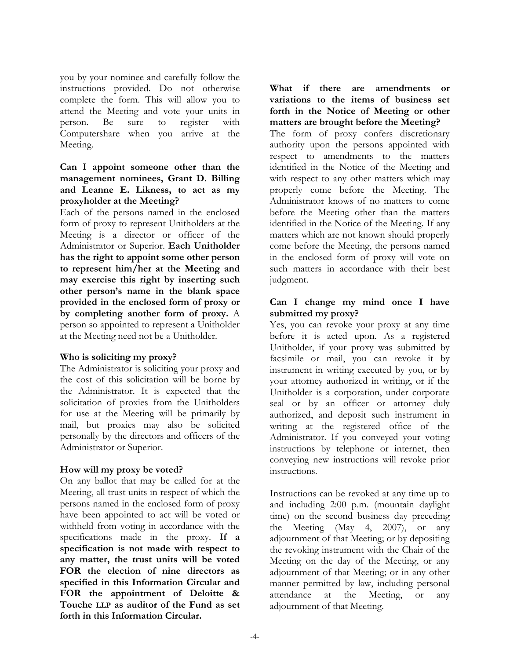you by your nominee and carefully follow the instructions provided. Do not otherwise complete the form. This will allow you to attend the Meeting and vote your units in person. Be sure to register with Computershare when you arrive at the Meeting.

# **Can I appoint someone other than the management nominees, Grant D. Billing and Leanne E. Likness, to act as my proxyholder at the Meeting?**

Each of the persons named in the enclosed form of proxy to represent Unitholders at the Meeting is a director or officer of the Administrator or Superior. **Each Unitholder has the right to appoint some other person to represent him/her at the Meeting and may exercise this right by inserting such other person's name in the blank space provided in the enclosed form of proxy or by completing another form of proxy.** A person so appointed to represent a Unitholder at the Meeting need not be a Unitholder.

# **Who is soliciting my proxy?**

The Administrator is soliciting your proxy and the cost of this solicitation will be borne by the Administrator. It is expected that the solicitation of proxies from the Unitholders for use at the Meeting will be primarily by mail, but proxies may also be solicited personally by the directors and officers of the Administrator or Superior.

# **How will my proxy be voted?**

On any ballot that may be called for at the Meeting, all trust units in respect of which the persons named in the enclosed form of proxy have been appointed to act will be voted or withheld from voting in accordance with the specifications made in the proxy. **If a specification is not made with respect to any matter, the trust units will be voted FOR the election of nine directors as specified in this Information Circular and FOR the appointment of Deloitte & Touche LLP as auditor of the Fund as set forth in this Information Circular.** 

### **What if there are amendments or variations to the items of business set forth in the Notice of Meeting or other matters are brought before the Meeting?**

The form of proxy confers discretionary authority upon the persons appointed with respect to amendments to the matters identified in the Notice of the Meeting and with respect to any other matters which may properly come before the Meeting. The Administrator knows of no matters to come before the Meeting other than the matters identified in the Notice of the Meeting. If any matters which are not known should properly come before the Meeting, the persons named in the enclosed form of proxy will vote on such matters in accordance with their best judgment.

# **Can I change my mind once I have submitted my proxy?**

Yes, you can revoke your proxy at any time before it is acted upon. As a registered Unitholder, if your proxy was submitted by facsimile or mail, you can revoke it by instrument in writing executed by you, or by your attorney authorized in writing, or if the Unitholder is a corporation, under corporate seal or by an officer or attorney duly authorized, and deposit such instrument in writing at the registered office of the Administrator. If you conveyed your voting instructions by telephone or internet, then conveying new instructions will revoke prior instructions.

Instructions can be revoked at any time up to and including 2:00 p.m. (mountain daylight time) on the second business day preceding the Meeting (May 4, 2007), or any adjournment of that Meeting; or by depositing the revoking instrument with the Chair of the Meeting on the day of the Meeting, or any adjournment of that Meeting; or in any other manner permitted by law, including personal attendance at the Meeting, or any adjournment of that Meeting.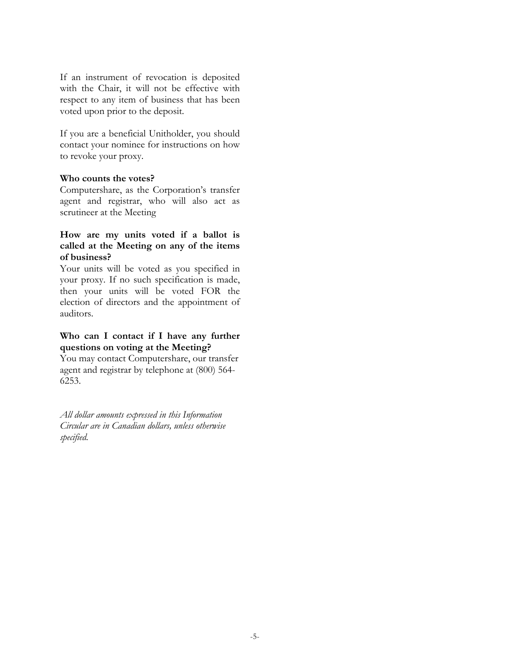If an instrument of revocation is deposited with the Chair, it will not be effective with respect to any item of business that has been voted upon prior to the deposit.

If you are a beneficial Unitholder, you should contact your nominee for instructions on how to revoke your proxy.

#### **Who counts the votes?**

Computershare, as the Corporation's transfer agent and registrar, who will also act as scrutineer at the Meeting

### **How are my units voted if a ballot is called at the Meeting on any of the items of business?**

Your units will be voted as you specified in your proxy. If no such specification is made, then your units will be voted FOR the election of directors and the appointment of auditors.

# **Who can I contact if I have any further questions on voting at the Meeting?**

You may contact Computershare, our transfer agent and registrar by telephone at (800) 564- 6253.

*All dollar amounts expressed in this Information Circular are in Canadian dollars, unless otherwise specified.*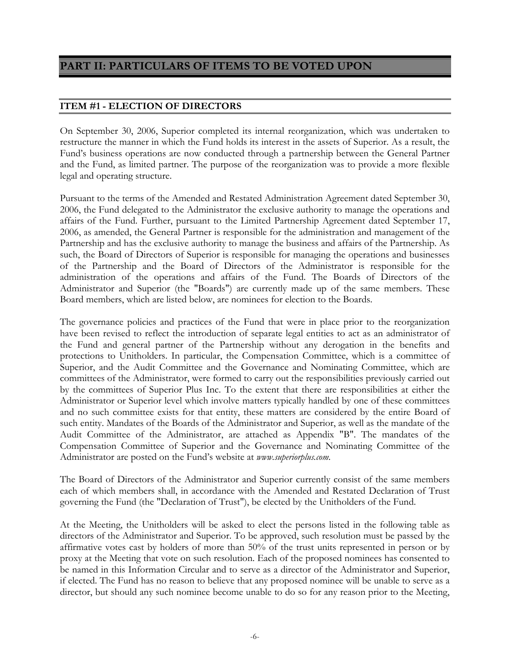# **PART II: PARTICULARS OF ITEMS TO BE VOTED UPON**

# **ITEM #1 - ELECTION OF DIRECTORS**

On September 30, 2006, Superior completed its internal reorganization, which was undertaken to restructure the manner in which the Fund holds its interest in the assets of Superior. As a result, the Fund's business operations are now conducted through a partnership between the General Partner and the Fund, as limited partner. The purpose of the reorganization was to provide a more flexible legal and operating structure.

Pursuant to the terms of the Amended and Restated Administration Agreement dated September 30, 2006, the Fund delegated to the Administrator the exclusive authority to manage the operations and affairs of the Fund. Further, pursuant to the Limited Partnership Agreement dated September 17, 2006, as amended, the General Partner is responsible for the administration and management of the Partnership and has the exclusive authority to manage the business and affairs of the Partnership. As such, the Board of Directors of Superior is responsible for managing the operations and businesses of the Partnership and the Board of Directors of the Administrator is responsible for the administration of the operations and affairs of the Fund. The Boards of Directors of the Administrator and Superior (the "Boards") are currently made up of the same members. These Board members, which are listed below, are nominees for election to the Boards.

The governance policies and practices of the Fund that were in place prior to the reorganization have been revised to reflect the introduction of separate legal entities to act as an administrator of the Fund and general partner of the Partnership without any derogation in the benefits and protections to Unitholders. In particular, the Compensation Committee, which is a committee of Superior, and the Audit Committee and the Governance and Nominating Committee, which are committees of the Administrator, were formed to carry out the responsibilities previously carried out by the committees of Superior Plus Inc. To the extent that there are responsibilities at either the Administrator or Superior level which involve matters typically handled by one of these committees and no such committee exists for that entity, these matters are considered by the entire Board of such entity. Mandates of the Boards of the Administrator and Superior, as well as the mandate of the Audit Committee of the Administrator, are attached as Appendix "B". The mandates of the Compensation Committee of Superior and the Governance and Nominating Committee of the Administrator are posted on the Fund's website at *www.superiorplus.com*.

The Board of Directors of the Administrator and Superior currently consist of the same members each of which members shall, in accordance with the Amended and Restated Declaration of Trust governing the Fund (the "Declaration of Trust"), be elected by the Unitholders of the Fund.

At the Meeting, the Unitholders will be asked to elect the persons listed in the following table as directors of the Administrator and Superior. To be approved, such resolution must be passed by the affirmative votes cast by holders of more than 50% of the trust units represented in person or by proxy at the Meeting that vote on such resolution. Each of the proposed nominees has consented to be named in this Information Circular and to serve as a director of the Administrator and Superior, if elected. The Fund has no reason to believe that any proposed nominee will be unable to serve as a director, but should any such nominee become unable to do so for any reason prior to the Meeting,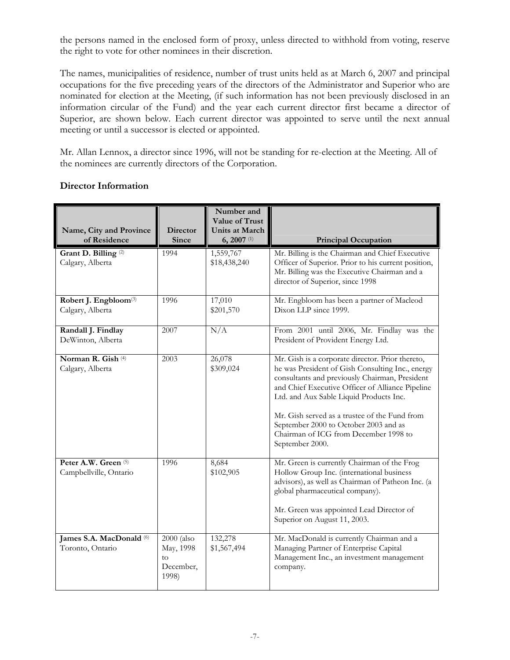the persons named in the enclosed form of proxy, unless directed to withhold from voting, reserve the right to vote for other nominees in their discretion.

The names, municipalities of residence, number of trust units held as at March 6, 2007 and principal occupations for the five preceding years of the directors of the Administrator and Superior who are nominated for election at the Meeting, (if such information has not been previously disclosed in an information circular of the Fund) and the year each current director first became a director of Superior, are shown below. Each current director was appointed to serve until the next annual meeting or until a successor is elected or appointed.

Mr. Allan Lennox, a director since 1996, will not be standing for re-election at the Meeting. All of the nominees are currently directors of the Corporation.

| Name, City and Province<br>of Residence               | <b>Director</b><br><b>Since</b>                     | Number and<br>Value of Trust<br><b>Units at March</b><br>$6, 2007$ <sup>(1)</sup> | <b>Principal Occupation</b>                                                                                                                                                                                                                                                                                                                                                                                 |
|-------------------------------------------------------|-----------------------------------------------------|-----------------------------------------------------------------------------------|-------------------------------------------------------------------------------------------------------------------------------------------------------------------------------------------------------------------------------------------------------------------------------------------------------------------------------------------------------------------------------------------------------------|
| Grant D. Billing <sup>(2)</sup><br>Calgary, Alberta   | 1994                                                | 1,559,767<br>\$18,438,240                                                         | Mr. Billing is the Chairman and Chief Executive<br>Officer of Superior. Prior to his current position,<br>Mr. Billing was the Executive Chairman and a<br>director of Superior, since 1998                                                                                                                                                                                                                  |
| Robert J. Engbloom <sup>(3)</sup><br>Calgary, Alberta | 1996                                                | 17,010<br>\$201,570                                                               | Mr. Engbloom has been a partner of Macleod<br>Dixon LLP since 1999.                                                                                                                                                                                                                                                                                                                                         |
| Randall J. Findlay<br>DeWinton, Alberta               | 2007                                                | N/A                                                                               | From 2001 until 2006, Mr. Findlay was the<br>President of Provident Energy Ltd.                                                                                                                                                                                                                                                                                                                             |
| Norman R. Gish <sup>(4)</sup><br>Calgary, Alberta     | 2003                                                | 26,078<br>\$309,024                                                               | Mr. Gish is a corporate director. Prior thereto,<br>he was President of Gish Consulting Inc., energy<br>consultants and previously Chairman, President<br>and Chief Executive Officer of Alliance Pipeline<br>Ltd. and Aux Sable Liquid Products Inc.<br>Mr. Gish served as a trustee of the Fund from<br>September 2000 to October 2003 and as<br>Chairman of ICG from December 1998 to<br>September 2000. |
| Peter A.W. Green (5)<br>Campbellville, Ontario        | 1996                                                | 8,684<br>\$102,905                                                                | Mr. Green is currently Chairman of the Frog<br>Hollow Group Inc. (international business<br>advisors), as well as Chairman of Patheon Inc. (a<br>global pharmaceutical company).<br>Mr. Green was appointed Lead Director of<br>Superior on August 11, 2003.                                                                                                                                                |
| James S.A. MacDonald (6)<br>Toronto, Ontario          | 2000 (also<br>May, 1998<br>to<br>December,<br>1998) | 132,278<br>\$1,567,494                                                            | Mr. MacDonald is currently Chairman and a<br>Managing Partner of Enterprise Capital<br>Management Inc., an investment management<br>company.                                                                                                                                                                                                                                                                |

# **Director Information**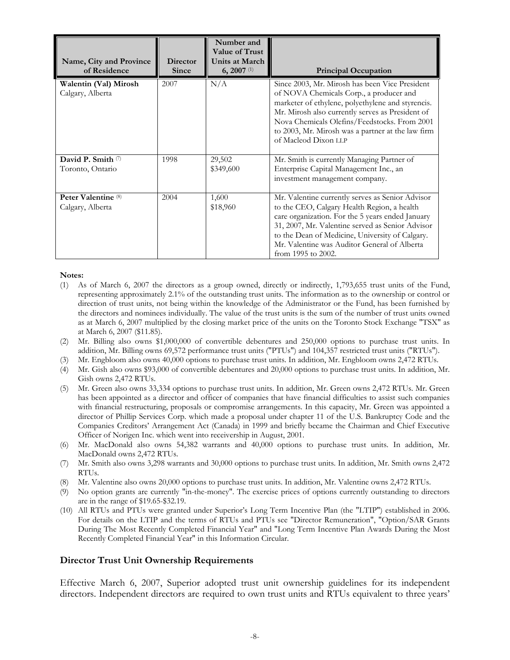| Name, City and Province<br>of Residence      | <b>Director</b><br>Since | Number and<br>Value of Trust<br>Units at March<br>$6, 2007$ <sup>(1)</sup> | <b>Principal Occupation</b>                                                                                                                                                                                                                                                                                                      |
|----------------------------------------------|--------------------------|----------------------------------------------------------------------------|----------------------------------------------------------------------------------------------------------------------------------------------------------------------------------------------------------------------------------------------------------------------------------------------------------------------------------|
| Walentin (Val) Mirosh<br>Calgary, Alberta    | 2007                     | N/A                                                                        | Since 2003, Mr. Mirosh has been Vice President<br>of NOVA Chemicals Corp., a producer and<br>marketer of ethylene, polyethylene and styrencis.<br>Mr. Mirosh also currently serves as President of<br>Nova Chemicals Olefins/Feedstocks. From 2001<br>to 2003, Mr. Mirosh was a partner at the law firm<br>of Macleod Dixon LLP  |
| David P. Smith $\oslash$<br>Toronto, Ontario | 1998                     | 29,502<br>\$349,600                                                        | Mr. Smith is currently Managing Partner of<br>Enterprise Capital Management Inc., an<br>investment management company.                                                                                                                                                                                                           |
| Peter Valentine (8)<br>Calgary, Alberta      | 2004                     | 1,600<br>\$18,960                                                          | Mr. Valentine currently serves as Senior Advisor<br>to the CEO, Calgary Health Region, a health<br>care organization. For the 5 years ended January<br>31, 2007, Mr. Valentine served as Senior Advisor<br>to the Dean of Medicine, University of Calgary.<br>Mr. Valentine was Auditor General of Alberta<br>from 1995 to 2002. |

#### **Notes:**

- (1) As of March 6, 2007 the directors as a group owned, directly or indirectly, 1,793,655 trust units of the Fund, representing approximately 2.1% of the outstanding trust units. The information as to the ownership or control or direction of trust units, not being within the knowledge of the Administrator or the Fund, has been furnished by the directors and nominees individually. The value of the trust units is the sum of the number of trust units owned as at March 6, 2007 multiplied by the closing market price of the units on the Toronto Stock Exchange "TSX" as at March 6, 2007 (\$11.85).
- (2) Mr. Billing also owns \$1,000,000 of convertible debentures and 250,000 options to purchase trust units. In addition, Mr. Billing owns 69,572 performance trust units ("PTUs") and 104,357 restricted trust units ("RTUs").
- (3) Mr. Engbloom also owns 40,000 options to purchase trust units. In addition, Mr. Engbloom owns 2,472 RTUs.
- (4) Mr. Gish also owns \$93,000 of convertible debentures and 20,000 options to purchase trust units. In addition, Mr. Gish owns 2,472 RTUs.
- (5) Mr. Green also owns 33,334 options to purchase trust units. In addition, Mr. Green owns 2,472 RTUs. Mr. Green has been appointed as a director and officer of companies that have financial difficulties to assist such companies with financial restructuring, proposals or compromise arrangements. In this capacity, Mr. Green was appointed a director of Phillip Services Corp. which made a proposal under chapter 11 of the U.S. Bankruptcy Code and the Companies Creditors' Arrangement Act (Canada) in 1999 and briefly became the Chairman and Chief Executive Officer of Norigen Inc. which went into receivership in August, 2001.
- (6) Mr. MacDonald also owns 54,382 warrants and 40,000 options to purchase trust units. In addition, Mr. MacDonald owns 2,472 RTUs.
- (7) Mr. Smith also owns 3,298 warrants and 30,000 options to purchase trust units. In addition, Mr. Smith owns 2,472 RTUs.
- (8) Mr. Valentine also owns 20,000 options to purchase trust units. In addition, Mr. Valentine owns 2,472 RTUs.
- (9) No option grants are currently "in-the-money". The exercise prices of options currently outstanding to directors are in the range of \$19.65-\$32.19.
- (10) All RTUs and PTUs were granted under Superior's Long Term Incentive Plan (the "LTIP") established in 2006. For details on the LTIP and the terms of RTUs and PTUs see "Director Remuneration", "Option/SAR Grants During The Most Recently Completed Financial Year" and "Long Term Incentive Plan Awards During the Most Recently Completed Financial Year" in this Information Circular.

#### **Director Trust Unit Ownership Requirements**

Effective March 6, 2007, Superior adopted trust unit ownership guidelines for its independent directors. Independent directors are required to own trust units and RTUs equivalent to three years'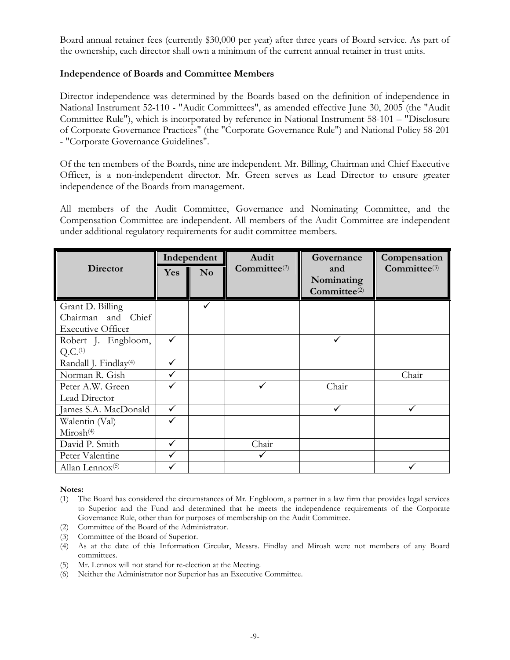Board annual retainer fees (currently \$30,000 per year) after three years of Board service. As part of the ownership, each director shall own a minimum of the current annual retainer in trust units.

### **Independence of Boards and Committee Members**

Director independence was determined by the Boards based on the definition of independence in National Instrument 52-110 - "Audit Committees", as amended effective June 30, 2005 (the "Audit Committee Rule"), which is incorporated by reference in National Instrument 58-101 – "Disclosure of Corporate Governance Practices" (the "Corporate Governance Rule") and National Policy 58-201 - "Corporate Governance Guidelines".

Of the ten members of the Boards, nine are independent. Mr. Billing, Chairman and Chief Executive Officer, is a non-independent director. Mr. Green serves as Lead Director to ensure greater independence of the Boards from management.

All members of the Audit Committee, Governance and Nominating Committee, and the Compensation Committee are independent. All members of the Audit Committee are independent under additional regulatory requirements for audit committee members.

|                                   | Independent |                | Audit             | Governance                                    | Compensation      |
|-----------------------------------|-------------|----------------|-------------------|-----------------------------------------------|-------------------|
| <b>Director</b>                   | <b>Yes</b>  | N <sub>o</sub> | $Committee^{(2)}$ | and<br>Nominating<br>Committee <sup>(2)</sup> | $Committee^{(3)}$ |
| Grant D. Billing                  |             | ✓              |                   |                                               |                   |
| Chairman and Chief                |             |                |                   |                                               |                   |
| <b>Executive Officer</b>          |             |                |                   |                                               |                   |
| Robert J. Engbloom,               |             |                |                   |                                               |                   |
| Q.C. <sup>(1)</sup>               |             |                |                   |                                               |                   |
| Randall J. Findlay <sup>(4)</sup> | ✓           |                |                   |                                               |                   |
| Norman R. Gish                    |             |                |                   |                                               | Chair             |
| Peter A.W. Green                  |             |                |                   | Chair                                         |                   |
| Lead Director                     |             |                |                   |                                               |                   |
| James S.A. MacDonald              | ✓           |                |                   |                                               |                   |
| Walentin (Val)                    |             |                |                   |                                               |                   |
| Mirosh <sup>(4)</sup>             |             |                |                   |                                               |                   |
| David P. Smith                    | ✓           |                | Chair             |                                               |                   |
| Peter Valentine                   |             |                |                   |                                               |                   |
| Allan Lennox $(5)$                |             |                |                   |                                               |                   |

#### **Notes:**

- (1) The Board has considered the circumstances of Mr. Engbloom, a partner in a law firm that provides legal services to Superior and the Fund and determined that he meets the independence requirements of the Corporate Governance Rule, other than for purposes of membership on the Audit Committee.
- (2) Committee of the Board of the Administrator.
- (3) Committee of the Board of Superior.
- (4) As at the date of this Information Circular, Messrs. Findlay and Mirosh were not members of any Board committees.
- (5) Mr. Lennox will not stand for re-election at the Meeting.
- (6) Neither the Administrator nor Superior has an Executive Committee.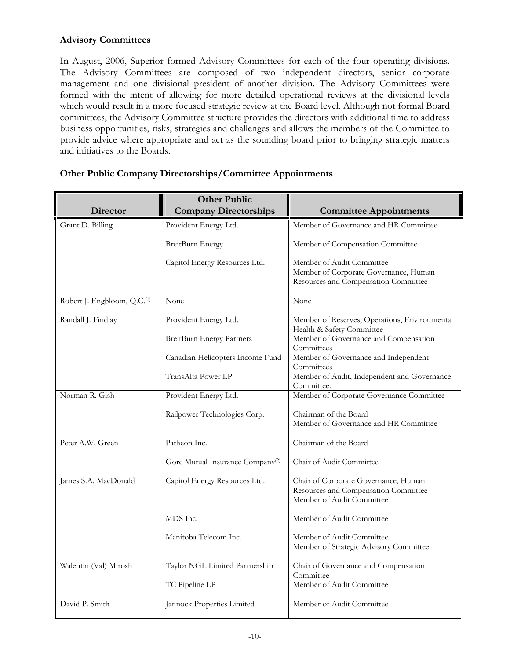# **Advisory Committees**

In August, 2006, Superior formed Advisory Committees for each of the four operating divisions. The Advisory Committees are composed of two independent directors, senior corporate management and one divisional president of another division. The Advisory Committees were formed with the intent of allowing for more detailed operational reviews at the divisional levels which would result in a more focused strategic review at the Board level. Although not formal Board committees, the Advisory Committee structure provides the directors with additional time to address business opportunities, risks, strategies and challenges and allows the members of the Committee to provide advice where appropriate and act as the sounding board prior to bringing strategic matters and initiatives to the Boards.

| <b>Director</b>                         | <b>Other Public</b><br><b>Company Directorships</b> | <b>Committee Appointments</b>                                                                              |
|-----------------------------------------|-----------------------------------------------------|------------------------------------------------------------------------------------------------------------|
| Grant D. Billing                        | Provident Energy Ltd.                               | Member of Governance and HR Committee                                                                      |
|                                         | BreitBurn Energy                                    | Member of Compensation Committee                                                                           |
|                                         | Capitol Energy Resources Ltd.                       | Member of Audit Committee<br>Member of Corporate Governance, Human<br>Resources and Compensation Committee |
| Robert J. Engbloom, Q.C. <sup>(1)</sup> | None                                                | None                                                                                                       |
| Randall J. Findlay                      | Provident Energy Ltd.                               | Member of Reserves, Operations, Environmental<br>Health & Safety Committee                                 |
|                                         | BreitBurn Energy Partners                           | Member of Governance and Compensation<br>Committees                                                        |
|                                         | Canadian Helicopters Income Fund                    | Member of Governance and Independent<br>Committees                                                         |
|                                         | TransAlta Power LP                                  | Member of Audit, Independent and Governance<br>Committee.                                                  |
| Norman R. Gish                          | Provident Energy Ltd.                               | Member of Corporate Governance Committee                                                                   |
|                                         | Railpower Technologies Corp.                        | Chairman of the Board<br>Member of Governance and HR Committee                                             |
| Peter A.W. Green                        | Patheon Inc.                                        | Chairman of the Board                                                                                      |
|                                         | Gore Mutual Insurance Company <sup>(2)</sup>        | Chair of Audit Committee                                                                                   |
| James S.A. MacDonald                    | Capitol Energy Resources Ltd.                       | Chair of Corporate Governance, Human<br>Resources and Compensation Committee<br>Member of Audit Committee  |
|                                         | MDS Inc.                                            | Member of Audit Committee                                                                                  |
|                                         | Manitoba Telecom Inc.                               | Member of Audit Committee<br>Member of Strategic Advisory Committee                                        |
| Walentin (Val) Mirosh                   | Taylor NGL Limited Partnership                      | Chair of Governance and Compensation<br>Committee                                                          |
|                                         | TC Pipeline LP                                      | Member of Audit Committee                                                                                  |
| David P. Smith                          | Jannock Properties Limited                          | Member of Audit Committee                                                                                  |

# **Other Public Company Directorships/Committee Appointments**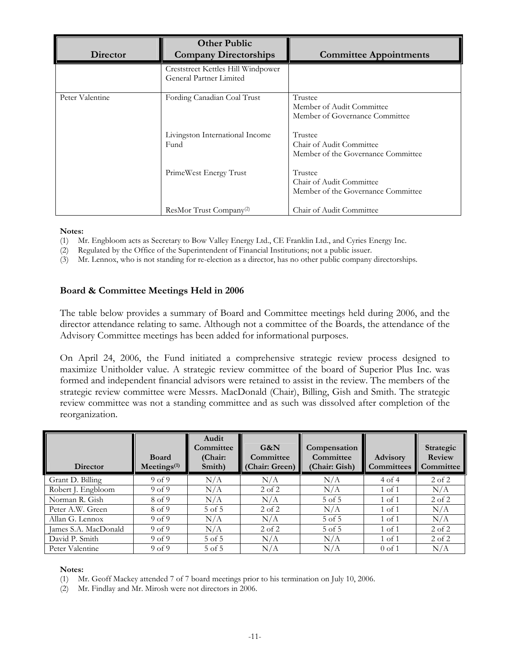| Director        | <b>Other Public</b><br><b>Company Directorships</b>           | <b>Committee Appointments</b>                                             |
|-----------------|---------------------------------------------------------------|---------------------------------------------------------------------------|
|                 | Creststreet Kettles Hill Windpower<br>General Partner Limited |                                                                           |
| Peter Valentine | Fording Canadian Coal Trust                                   | Trustee<br>Member of Audit Committee<br>Member of Governance Committee    |
|                 | Livingston International Income<br>Fund                       | Trustee<br>Chair of Audit Committee<br>Member of the Governance Committee |
|                 | PrimeWest Energy Trust                                        | Trustee<br>Chair of Audit Committee<br>Member of the Governance Committee |
|                 | ResMor Trust Company <sup>(2)</sup>                           | Chair of Audit Committee                                                  |

**Notes:**

- (1) Mr. Engbloom acts as Secretary to Bow Valley Energy Ltd., CE Franklin Ltd., and Cyries Energy Inc.
- (2) Regulated by the Office of the Superintendent of Financial Institutions; not a public issuer.
- (3) Mr. Lennox, who is not standing for re-election as a director, has no other public company directorships.

### **Board & Committee Meetings Held in 2006**

The table below provides a summary of Board and Committee meetings held during 2006, and the director attendance relating to same. Although not a committee of the Boards, the attendance of the Advisory Committee meetings has been added for informational purposes.

On April 24, 2006, the Fund initiated a comprehensive strategic review process designed to maximize Unitholder value. A strategic review committee of the board of Superior Plus Inc. was formed and independent financial advisors were retained to assist in the review. The members of the strategic review committee were Messrs. MacDonald (Chair), Billing, Gish and Smith. The strategic review committee was not a standing committee and as such was dissolved after completion of the reorganization.

| <b>Director</b>      | <b>Board</b><br>$M$ eetings <sup><math>(1)</math></sup> | Audit<br>Committee<br>(Chair:<br>Smith) | G&N<br>Committee<br>(Chair: Green) | Compensation<br>Committee<br>(Chair: Gish) | <b>Advisory</b><br><b>Committees</b> | Strategic<br>Review<br>Committee |
|----------------------|---------------------------------------------------------|-----------------------------------------|------------------------------------|--------------------------------------------|--------------------------------------|----------------------------------|
| Grant D. Billing     | 9 <sub>of</sub> 9                                       | N/A                                     | N/A                                | N/A                                        | 4 of 4                               | $2$ of $2$                       |
| Robert J. Engbloom   | 9 <sub>of</sub> 9                                       | N/A                                     | 2 of 2                             | N/A                                        | $1 \text{ of } 1$                    | N/A                              |
| Norman R. Gish       | 8 of 9                                                  | N/A                                     | N/A                                | 5 of 5                                     | $1 \text{ of } 1$                    | $2$ of $2$                       |
| Peter A.W. Green     | 8 of 9                                                  | 5 of 5                                  | $2 \text{ of } 2$                  | N/A                                        | $1 \text{ of } 1$                    | N/A                              |
| Allan G. Lennox      | 9 <sub>of</sub> 9                                       | N/A                                     | N/A                                | 5 of 5                                     | $1 \text{ of } 1$                    | N/A                              |
| James S.A. MacDonald | 9 <sub>of</sub> 9                                       | N/A                                     | $2$ of $2$                         | 5 of 5                                     | $1 \text{ of } 1$                    | $2$ of $2$                       |
| David P. Smith       | 9 <sub>of</sub> 9                                       | $5$ of $5$                              | N/A                                | N/A                                        | $1 \text{ of } 1$                    | $2$ of $2$                       |
| Peter Valentine      | 9 <sub>of</sub> 9                                       | 5 of 5                                  | N/A                                | N/A                                        | $0$ of 1                             | N/A                              |

#### **Notes:**

- (1) Mr. Geoff Mackey attended 7 of 7 board meetings prior to his termination on July 10, 2006.
- (2) Mr. Findlay and Mr. Mirosh were not directors in 2006.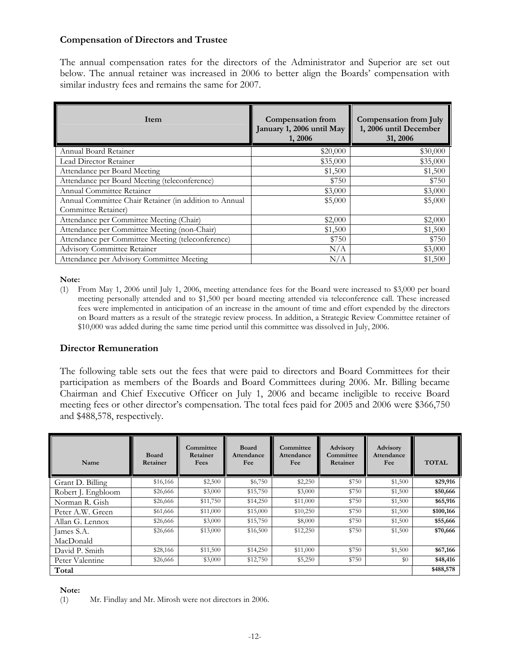# **Compensation of Directors and Trustee**

The annual compensation rates for the directors of the Administrator and Superior are set out below. The annual retainer was increased in 2006 to better align the Boards' compensation with similar industry fees and remains the same for 2007.

| Item                                                   | <b>Compensation from</b><br>January 1, 2006 until May<br>1, 2006 | <b>Compensation from July</b><br>1, 2006 until December<br>31, 2006 |
|--------------------------------------------------------|------------------------------------------------------------------|---------------------------------------------------------------------|
| Annual Board Retainer                                  | \$20,000                                                         | \$30,000                                                            |
| Lead Director Retainer                                 | \$35,000                                                         | \$35,000                                                            |
| Attendance per Board Meeting                           | \$1,500                                                          | \$1,500                                                             |
| Attendance per Board Meeting (teleconference)          | \$750                                                            | \$750                                                               |
| Annual Committee Retainer                              | \$3,000                                                          | \$3,000                                                             |
| Annual Committee Chair Retainer (in addition to Annual | \$5,000                                                          | \$5,000                                                             |
| Committee Retainer)                                    |                                                                  |                                                                     |
| Attendance per Committee Meeting (Chair)               | \$2,000                                                          | \$2,000                                                             |
| Attendance per Committee Meeting (non-Chair)           | \$1,500                                                          | \$1,500                                                             |
| Attendance per Committee Meeting (teleconference)      | \$750                                                            | \$750                                                               |
| <b>Advisory Committee Retainer</b>                     | N/A                                                              | \$3,000                                                             |
| Attendance per Advisory Committee Meeting              | N/A                                                              | \$1,500                                                             |

**Note:**

(1) From May 1, 2006 until July 1, 2006, meeting attendance fees for the Board were increased to \$3,000 per board meeting personally attended and to \$1,500 per board meeting attended via teleconference call. These increased fees were implemented in anticipation of an increase in the amount of time and effort expended by the directors on Board matters as a result of the strategic review process. In addition, a Strategic Review Committee retainer of \$10,000 was added during the same time period until this committee was dissolved in July, 2006.

# **Director Remuneration**

The following table sets out the fees that were paid to directors and Board Committees for their participation as members of the Boards and Board Committees during 2006. Mr. Billing became Chairman and Chief Executive Officer on July 1, 2006 and became ineligible to receive Board meeting fees or other director's compensation. The total fees paid for 2005 and 2006 were \$366,750 and \$488,578, respectively.

| Name               | <b>Board</b><br>Retainer | Committee<br>Retainer<br>Fees | <b>Board</b><br>Attendance<br>Fee | Committee<br>Attendance<br>Fee | Advisory<br>Committee<br>Retainer | Advisory<br>Attendance<br>Fee | <b>TOTAL</b> |
|--------------------|--------------------------|-------------------------------|-----------------------------------|--------------------------------|-----------------------------------|-------------------------------|--------------|
| Grant D. Billing   | \$16,166                 | \$2,500                       | \$6,750                           | \$2,250                        | \$750                             | \$1,500                       | \$29,916     |
| Robert J. Engbloom | \$26,666                 | \$3,000                       | \$15,750                          | \$3,000                        | \$750                             | \$1,500                       | \$50,666     |
| Norman R. Gish     | \$26,666                 | \$11,750                      | \$14,250                          | \$11,000                       | \$750                             | \$1,500                       | \$65,916     |
| Peter A.W. Green   | \$61,666                 | \$11,000                      | \$15,000                          | \$10,250                       | \$750                             | \$1,500                       | \$100,166    |
| Allan G. Lennox    | \$26,666                 | \$3,000                       | \$15,750                          | \$8,000                        | \$750                             | \$1,500                       | \$55,666     |
| James S.A.         | \$26,666                 | \$13,000                      | \$16,500                          | \$12,250                       | \$750                             | \$1,500                       | \$70,666     |
| MacDonald          |                          |                               |                                   |                                |                                   |                               |              |
| David P. Smith     | \$28,166                 | \$11,500                      | \$14,250                          | \$11,000                       | \$750                             | \$1,500                       | \$67,166     |
| Peter Valentine    | \$26,666                 | \$3,000                       | \$12,750                          | \$5,250                        | \$750                             | \$0                           | \$48,416     |
| Total              |                          |                               |                                   |                                |                                   |                               | \$488,578    |

#### **Note:**

(1) Mr. Findlay and Mr. Mirosh were not directors in 2006.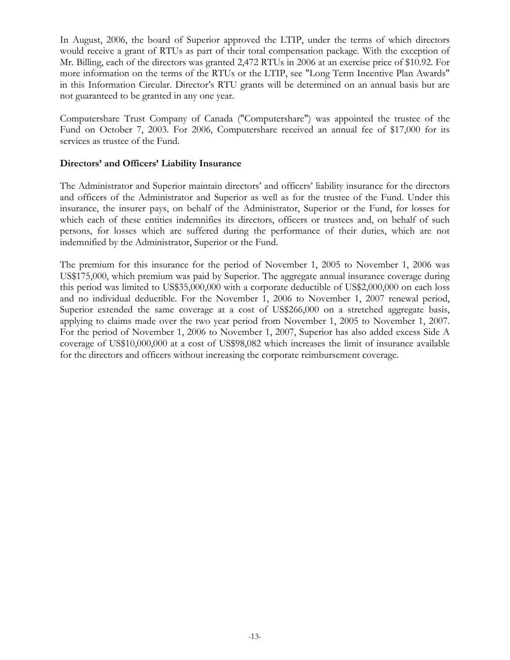In August, 2006, the board of Superior approved the LTIP, under the terms of which directors would receive a grant of RTUs as part of their total compensation package. With the exception of Mr. Billing, each of the directors was granted 2,472 RTUs in 2006 at an exercise price of \$10.92. For more information on the terms of the RTUs or the LTIP, see "Long Term Incentive Plan Awards" in this Information Circular. Director's RTU grants will be determined on an annual basis but are not guaranteed to be granted in any one year.

Computershare Trust Company of Canada ("Computershare") was appointed the trustee of the Fund on October 7, 2003. For 2006, Computershare received an annual fee of \$17,000 for its services as trustee of the Fund.

### **Directors' and Officers' Liability Insurance**

The Administrator and Superior maintain directors' and officers' liability insurance for the directors and officers of the Administrator and Superior as well as for the trustee of the Fund. Under this insurance, the insurer pays, on behalf of the Administrator, Superior or the Fund, for losses for which each of these entities indemnifies its directors, officers or trustees and, on behalf of such persons, for losses which are suffered during the performance of their duties, which are not indemnified by the Administrator, Superior or the Fund.

The premium for this insurance for the period of November 1, 2005 to November 1, 2006 was US\$175,000, which premium was paid by Superior. The aggregate annual insurance coverage during this period was limited to US\$35,000,000 with a corporate deductible of US\$2,000,000 on each loss and no individual deductible. For the November 1, 2006 to November 1, 2007 renewal period, Superior extended the same coverage at a cost of US\$266,000 on a stretched aggregate basis, applying to claims made over the two year period from November 1, 2005 to November 1, 2007. For the period of November 1, 2006 to November 1, 2007, Superior has also added excess Side A coverage of US\$10,000,000 at a cost of US\$98,082 which increases the limit of insurance available for the directors and officers without increasing the corporate reimbursement coverage.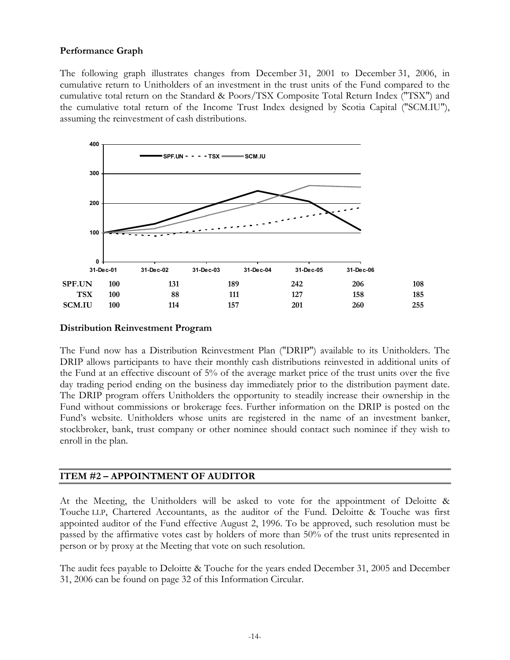# **Performance Graph**

The following graph illustrates changes from December 31, 2001 to December 31, 2006, in cumulative return to Unitholders of an investment in the trust units of the Fund compared to the cumulative total return on the Standard & Poors/TSX Composite Total Return Index ("TSX") and the cumulative total return of the Income Trust Index designed by Scotia Capital ("SCM.IU"), assuming the reinvestment of cash distributions.



#### **Distribution Reinvestment Program**

The Fund now has a Distribution Reinvestment Plan ("DRIP") available to its Unitholders. The DRIP allows participants to have their monthly cash distributions reinvested in additional units of the Fund at an effective discount of 5% of the average market price of the trust units over the five day trading period ending on the business day immediately prior to the distribution payment date. The DRIP program offers Unitholders the opportunity to steadily increase their ownership in the Fund without commissions or brokerage fees. Further information on the DRIP is posted on the Fund's website. Unitholders whose units are registered in the name of an investment banker, stockbroker, bank, trust company or other nominee should contact such nominee if they wish to enroll in the plan.

# **ITEM #2 – APPOINTMENT OF AUDITOR**

At the Meeting, the Unitholders will be asked to vote for the appointment of Deloitte & Touche LLP, Chartered Accountants, as the auditor of the Fund. Deloitte & Touche was first appointed auditor of the Fund effective August 2, 1996. To be approved, such resolution must be passed by the affirmative votes cast by holders of more than 50% of the trust units represented in person or by proxy at the Meeting that vote on such resolution.

The audit fees payable to Deloitte & Touche for the years ended December 31, 2005 and December 31, 2006 can be found on page 32 of this Information Circular.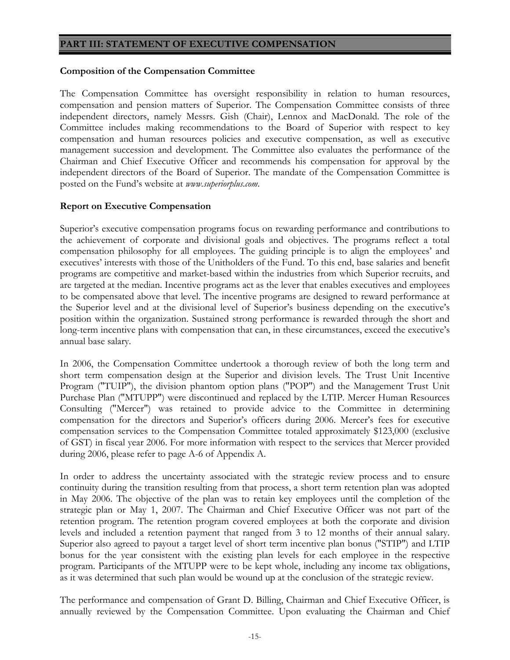#### **PART III: STATEMENT OF EXECUTIVE COMPENSATION**

#### **Composition of the Compensation Committee**

The Compensation Committee has oversight responsibility in relation to human resources, compensation and pension matters of Superior. The Compensation Committee consists of three independent directors, namely Messrs. Gish (Chair), Lennox and MacDonald. The role of the Committee includes making recommendations to the Board of Superior with respect to key compensation and human resources policies and executive compensation, as well as executive management succession and development. The Committee also evaluates the performance of the Chairman and Chief Executive Officer and recommends his compensation for approval by the independent directors of the Board of Superior. The mandate of the Compensation Committee is posted on the Fund's website at *www.superiorplus.com*.

# **Report on Executive Compensation**

Superior's executive compensation programs focus on rewarding performance and contributions to the achievement of corporate and divisional goals and objectives. The programs reflect a total compensation philosophy for all employees. The guiding principle is to align the employees' and executives' interests with those of the Unitholders of the Fund. To this end, base salaries and benefit programs are competitive and market-based within the industries from which Superior recruits, and are targeted at the median. Incentive programs act as the lever that enables executives and employees to be compensated above that level. The incentive programs are designed to reward performance at the Superior level and at the divisional level of Superior's business depending on the executive's position within the organization. Sustained strong performance is rewarded through the short and long-term incentive plans with compensation that can, in these circumstances, exceed the executive's annual base salary.

In 2006, the Compensation Committee undertook a thorough review of both the long term and short term compensation design at the Superior and division levels. The Trust Unit Incentive Program ("TUIP"), the division phantom option plans ("POP") and the Management Trust Unit Purchase Plan ("MTUPP") were discontinued and replaced by the LTIP. Mercer Human Resources Consulting ("Mercer") was retained to provide advice to the Committee in determining compensation for the directors and Superior's officers during 2006. Mercer's fees for executive compensation services to the Compensation Committee totaled approximately \$123,000 (exclusive of GST) in fiscal year 2006. For more information with respect to the services that Mercer provided during 2006, please refer to page A-6 of Appendix A.

In order to address the uncertainty associated with the strategic review process and to ensure continuity during the transition resulting from that process, a short term retention plan was adopted in May 2006. The objective of the plan was to retain key employees until the completion of the strategic plan or May 1, 2007. The Chairman and Chief Executive Officer was not part of the retention program. The retention program covered employees at both the corporate and division levels and included a retention payment that ranged from 3 to 12 months of their annual salary. Superior also agreed to payout a target level of short term incentive plan bonus ("STIP") and LTIP bonus for the year consistent with the existing plan levels for each employee in the respective program. Participants of the MTUPP were to be kept whole, including any income tax obligations, as it was determined that such plan would be wound up at the conclusion of the strategic review.

The performance and compensation of Grant D. Billing, Chairman and Chief Executive Officer, is annually reviewed by the Compensation Committee. Upon evaluating the Chairman and Chief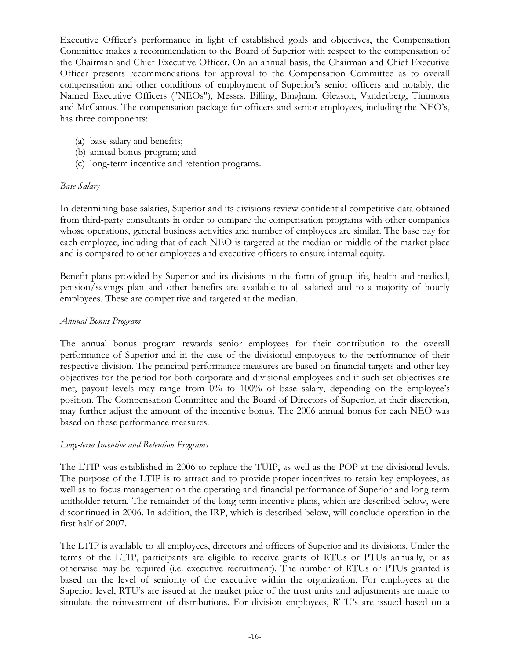Executive Officer's performance in light of established goals and objectives, the Compensation Committee makes a recommendation to the Board of Superior with respect to the compensation of the Chairman and Chief Executive Officer. On an annual basis, the Chairman and Chief Executive Officer presents recommendations for approval to the Compensation Committee as to overall compensation and other conditions of employment of Superior's senior officers and notably, the Named Executive Officers ("NEOs"), Messrs. Billing, Bingham, Gleason, Vanderberg, Timmons and McCamus. The compensation package for officers and senior employees, including the NEO's, has three components:

- (a) base salary and benefits;
- (b) annual bonus program; and
- (c) long-term incentive and retention programs.

# *Base Salary*

In determining base salaries, Superior and its divisions review confidential competitive data obtained from third-party consultants in order to compare the compensation programs with other companies whose operations, general business activities and number of employees are similar. The base pay for each employee, including that of each NEO is targeted at the median or middle of the market place and is compared to other employees and executive officers to ensure internal equity.

Benefit plans provided by Superior and its divisions in the form of group life, health and medical, pension/savings plan and other benefits are available to all salaried and to a majority of hourly employees. These are competitive and targeted at the median.

# *Annual Bonus Program*

The annual bonus program rewards senior employees for their contribution to the overall performance of Superior and in the case of the divisional employees to the performance of their respective division. The principal performance measures are based on financial targets and other key objectives for the period for both corporate and divisional employees and if such set objectives are met, payout levels may range from  $0\%$  to  $100\%$  of base salary, depending on the employee's position. The Compensation Committee and the Board of Directors of Superior, at their discretion, may further adjust the amount of the incentive bonus. The 2006 annual bonus for each NEO was based on these performance measures.

# *Long-term Incentive and Retention Programs*

The LTIP was established in 2006 to replace the TUIP, as well as the POP at the divisional levels. The purpose of the LTIP is to attract and to provide proper incentives to retain key employees, as well as to focus management on the operating and financial performance of Superior and long term unitholder return. The remainder of the long term incentive plans, which are described below, were discontinued in 2006. In addition, the IRP, which is described below, will conclude operation in the first half of 2007.

The LTIP is available to all employees, directors and officers of Superior and its divisions. Under the terms of the LTIP, participants are eligible to receive grants of RTUs or PTUs annually, or as otherwise may be required (i.e. executive recruitment). The number of RTUs or PTUs granted is based on the level of seniority of the executive within the organization. For employees at the Superior level, RTU's are issued at the market price of the trust units and adjustments are made to simulate the reinvestment of distributions. For division employees, RTU's are issued based on a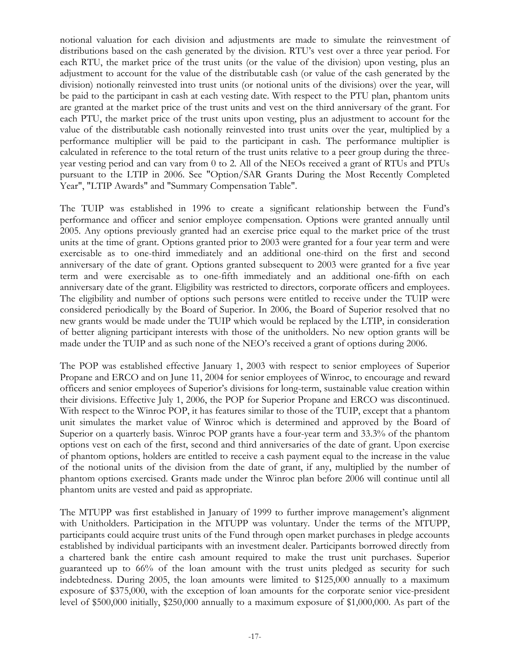notional valuation for each division and adjustments are made to simulate the reinvestment of distributions based on the cash generated by the division. RTU's vest over a three year period. For each RTU, the market price of the trust units (or the value of the division) upon vesting, plus an adjustment to account for the value of the distributable cash (or value of the cash generated by the division) notionally reinvested into trust units (or notional units of the divisions) over the year, will be paid to the participant in cash at each vesting date. With respect to the PTU plan, phantom units are granted at the market price of the trust units and vest on the third anniversary of the grant. For each PTU, the market price of the trust units upon vesting, plus an adjustment to account for the value of the distributable cash notionally reinvested into trust units over the year, multiplied by a performance multiplier will be paid to the participant in cash. The performance multiplier is calculated in reference to the total return of the trust units relative to a peer group during the threeyear vesting period and can vary from 0 to 2. All of the NEOs received a grant of RTUs and PTUs pursuant to the LTIP in 2006. See "Option/SAR Grants During the Most Recently Completed Year", "LTIP Awards" and "Summary Compensation Table".

The TUIP was established in 1996 to create a significant relationship between the Fund's performance and officer and senior employee compensation. Options were granted annually until 2005. Any options previously granted had an exercise price equal to the market price of the trust units at the time of grant. Options granted prior to 2003 were granted for a four year term and were exercisable as to one-third immediately and an additional one-third on the first and second anniversary of the date of grant. Options granted subsequent to 2003 were granted for a five year term and were exercisable as to one-fifth immediately and an additional one-fifth on each anniversary date of the grant. Eligibility was restricted to directors, corporate officers and employees. The eligibility and number of options such persons were entitled to receive under the TUIP were considered periodically by the Board of Superior. In 2006, the Board of Superior resolved that no new grants would be made under the TUIP which would be replaced by the LTIP, in consideration of better aligning participant interests with those of the unitholders. No new option grants will be made under the TUIP and as such none of the NEO's received a grant of options during 2006.

The POP was established effective January 1, 2003 with respect to senior employees of Superior Propane and ERCO and on June 11, 2004 for senior employees of Winroc, to encourage and reward officers and senior employees of Superior's divisions for long-term, sustainable value creation within their divisions. Effective July 1, 2006, the POP for Superior Propane and ERCO was discontinued. With respect to the Winroc POP, it has features similar to those of the TUIP, except that a phantom unit simulates the market value of Winroc which is determined and approved by the Board of Superior on a quarterly basis. Winroc POP grants have a four-year term and 33.3% of the phantom options vest on each of the first, second and third anniversaries of the date of grant. Upon exercise of phantom options, holders are entitled to receive a cash payment equal to the increase in the value of the notional units of the division from the date of grant, if any, multiplied by the number of phantom options exercised. Grants made under the Winroc plan before 2006 will continue until all phantom units are vested and paid as appropriate.

The MTUPP was first established in January of 1999 to further improve management's alignment with Unitholders. Participation in the MTUPP was voluntary. Under the terms of the MTUPP, participants could acquire trust units of the Fund through open market purchases in pledge accounts established by individual participants with an investment dealer. Participants borrowed directly from a chartered bank the entire cash amount required to make the trust unit purchases. Superior guaranteed up to 66% of the loan amount with the trust units pledged as security for such indebtedness. During 2005, the loan amounts were limited to \$125,000 annually to a maximum exposure of \$375,000, with the exception of loan amounts for the corporate senior vice-president level of \$500,000 initially, \$250,000 annually to a maximum exposure of \$1,000,000. As part of the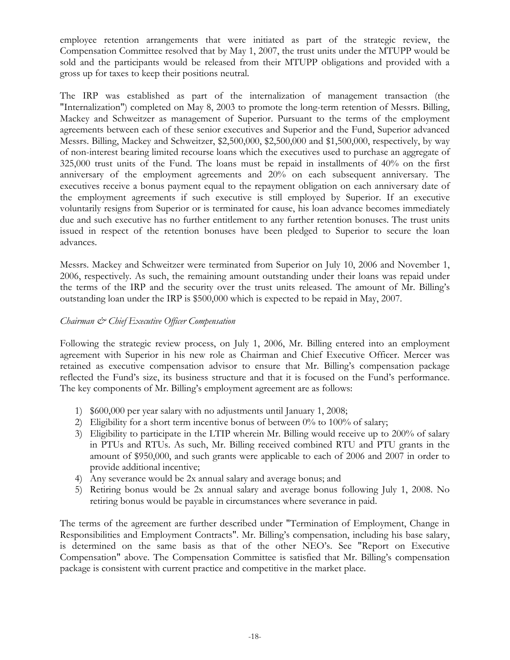employee retention arrangements that were initiated as part of the strategic review, the Compensation Committee resolved that by May 1, 2007, the trust units under the MTUPP would be sold and the participants would be released from their MTUPP obligations and provided with a gross up for taxes to keep their positions neutral.

The IRP was established as part of the internalization of management transaction (the "Internalization") completed on May 8, 2003 to promote the long-term retention of Messrs. Billing, Mackey and Schweitzer as management of Superior. Pursuant to the terms of the employment agreements between each of these senior executives and Superior and the Fund, Superior advanced Messrs. Billing, Mackey and Schweitzer, \$2,500,000, \$2,500,000 and \$1,500,000, respectively, by way of non-interest bearing limited recourse loans which the executives used to purchase an aggregate of 325,000 trust units of the Fund. The loans must be repaid in installments of 40% on the first anniversary of the employment agreements and 20% on each subsequent anniversary. The executives receive a bonus payment equal to the repayment obligation on each anniversary date of the employment agreements if such executive is still employed by Superior. If an executive voluntarily resigns from Superior or is terminated for cause, his loan advance becomes immediately due and such executive has no further entitlement to any further retention bonuses. The trust units issued in respect of the retention bonuses have been pledged to Superior to secure the loan advances.

Messrs. Mackey and Schweitzer were terminated from Superior on July 10, 2006 and November 1, 2006, respectively. As such, the remaining amount outstanding under their loans was repaid under the terms of the IRP and the security over the trust units released. The amount of Mr. Billing's outstanding loan under the IRP is \$500,000 which is expected to be repaid in May, 2007.

# *Chairman & Chief Executive Officer Compensation*

Following the strategic review process, on July 1, 2006, Mr. Billing entered into an employment agreement with Superior in his new role as Chairman and Chief Executive Officer. Mercer was retained as executive compensation advisor to ensure that Mr. Billing's compensation package reflected the Fund's size, its business structure and that it is focused on the Fund's performance. The key components of Mr. Billing's employment agreement are as follows:

- 1) \$600,000 per year salary with no adjustments until January 1, 2008;
- 2) Eligibility for a short term incentive bonus of between 0% to 100% of salary;
- 3) Eligibility to participate in the LTIP wherein Mr. Billing would receive up to 200% of salary in PTUs and RTUs. As such, Mr. Billing received combined RTU and PTU grants in the amount of \$950,000, and such grants were applicable to each of 2006 and 2007 in order to provide additional incentive;
- 4) Any severance would be 2x annual salary and average bonus; and
- 5) Retiring bonus would be 2x annual salary and average bonus following July 1, 2008. No retiring bonus would be payable in circumstances where severance in paid.

The terms of the agreement are further described under "Termination of Employment, Change in Responsibilities and Employment Contracts". Mr. Billing's compensation, including his base salary, is determined on the same basis as that of the other NEO's. See "Report on Executive Compensation" above. The Compensation Committee is satisfied that Mr. Billing's compensation package is consistent with current practice and competitive in the market place.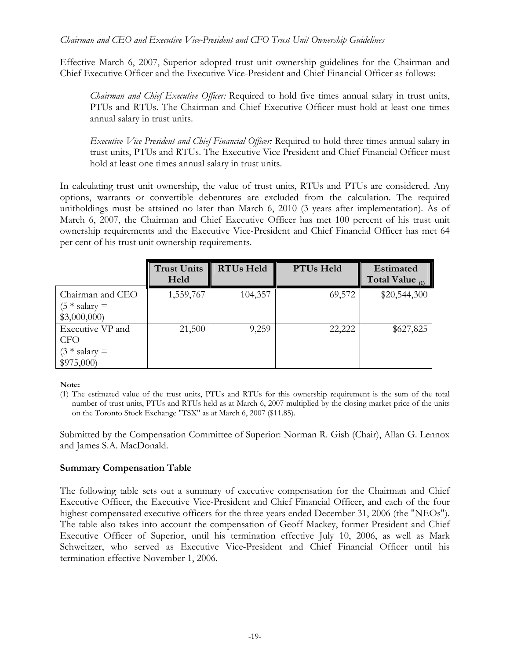# *Chairman and CEO and Executive Vice-President and CFO Trust Unit Ownership Guidelines*

Effective March 6, 2007, Superior adopted trust unit ownership guidelines for the Chairman and Chief Executive Officer and the Executive Vice-President and Chief Financial Officer as follows:

*Chairman and Chief Executive Officer:* Required to hold five times annual salary in trust units, PTUs and RTUs. The Chairman and Chief Executive Officer must hold at least one times annual salary in trust units.

*Executive Vice President and Chief Financial Officer:* Required to hold three times annual salary in trust units, PTUs and RTUs. The Executive Vice President and Chief Financial Officer must hold at least one times annual salary in trust units.

In calculating trust unit ownership, the value of trust units, RTUs and PTUs are considered. Any options, warrants or convertible debentures are excluded from the calculation. The required unitholdings must be attained no later than March 6, 2010 (3 years after implementation). As of March 6, 2007, the Chairman and Chief Executive Officer has met 100 percent of his trust unit ownership requirements and the Executive Vice-President and Chief Financial Officer has met 64 per cent of his trust unit ownership requirements.

|                                                                 | <b>Trust Units</b><br>Held | <b>RTUs Held</b> | PTUs Held | <b>Estimated</b><br>Total Value $_{(1)}$ |
|-----------------------------------------------------------------|----------------------------|------------------|-----------|------------------------------------------|
| Chairman and CEO<br>$(5 * salary =$<br>\$3,000,000              | 1,559,767                  | 104,357          | 69,572    | \$20,544,300                             |
| Executive VP and<br><b>CFO</b><br>$(3 * salary =$<br>\$975,000) | 21,500                     | 9,259            | 22,222    | \$627,825                                |

**Note:**

Submitted by the Compensation Committee of Superior: Norman R. Gish (Chair), Allan G. Lennox and James S.A. MacDonald.

# **Summary Compensation Table**

The following table sets out a summary of executive compensation for the Chairman and Chief Executive Officer, the Executive Vice-President and Chief Financial Officer, and each of the four highest compensated executive officers for the three years ended December 31, 2006 (the "NEOs"). The table also takes into account the compensation of Geoff Mackey, former President and Chief Executive Officer of Superior, until his termination effective July 10, 2006, as well as Mark Schweitzer, who served as Executive Vice-President and Chief Financial Officer until his termination effective November 1, 2006.

<sup>(1)</sup> The estimated value of the trust units, PTUs and RTUs for this ownership requirement is the sum of the total number of trust units, PTUs and RTUs held as at March 6, 2007 multiplied by the closing market price of the units on the Toronto Stock Exchange "TSX" as at March 6, 2007 (\$11.85).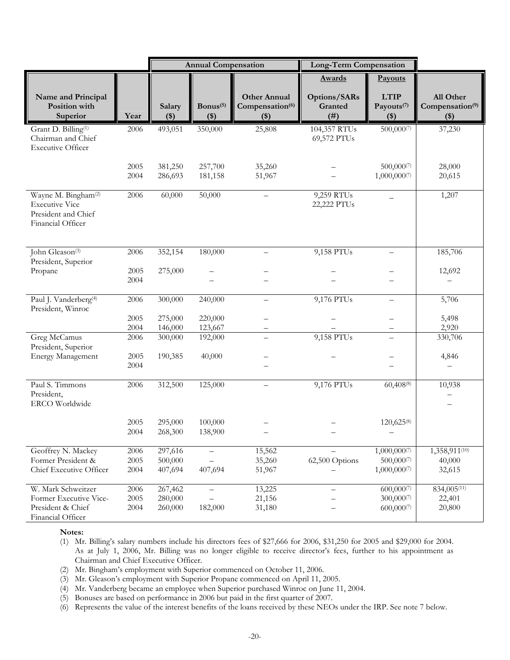|                                                                                                      |              | <b>Annual Compensation</b><br><b>Long-Term Compensation</b> |                                 |                                                               |                                 |                                                |                                                   |
|------------------------------------------------------------------------------------------------------|--------------|-------------------------------------------------------------|---------------------------------|---------------------------------------------------------------|---------------------------------|------------------------------------------------|---------------------------------------------------|
|                                                                                                      |              |                                                             |                                 |                                                               | <b>Awards</b>                   | Payouts                                        |                                                   |
| Name and Principal<br>Position with<br>Superior                                                      | Year         | Salary<br>$($ \$ $)$                                        | Bonus <sup>(5)</sup><br>$($ \$) | <b>Other Annual</b><br>Compensation <sup>(6)</sup><br>$($ \$) | Options/SARs<br>Granted<br>(# ) | <b>LTIP</b><br>Payouts <sup>(7)</sup><br>$($)$ | All Other<br>Compensation <sup>(9)</sup><br>$($)$ |
| Grant D. Billing <sup>(1)</sup><br>Chairman and Chief<br><b>Executive Officer</b>                    | 2006         | 493,051                                                     | 350,000                         | 25,808                                                        | 104,357 RTUs<br>69,572 PTUs     | 500,000(7)                                     | 37,230                                            |
|                                                                                                      | 2005         | 381,250                                                     | 257,700                         | 35,260                                                        |                                 | 500,0007                                       | 28,000                                            |
|                                                                                                      | 2004         | 286,693                                                     | 181,158                         | 51,967                                                        |                                 | 1,000,0007                                     | 20,615                                            |
| Wayne M. Bingham <sup>(2)</sup><br><b>Executive Vice</b><br>President and Chief<br>Financial Officer | 2006         | 60,000                                                      | 50,000                          |                                                               | 9,259 RTUs<br>22,222 PTUs       |                                                | 1,207                                             |
| John Gleason <sup>(3)</sup><br>President, Superior                                                   | 2006         | 352,154                                                     | 180,000                         | $\overline{\phantom{0}}$                                      | 9,158 PTUs                      | $\qquad \qquad -$                              | 185,706                                           |
| Propane                                                                                              | 2005         | 275,000                                                     |                                 |                                                               |                                 |                                                | 12,692                                            |
|                                                                                                      | 2004         |                                                             |                                 |                                                               |                                 |                                                |                                                   |
| Paul J. Vanderberg <sup>(4)</sup><br>President, Winroc                                               | 2006         | 300,000                                                     | 240,000                         | $\overline{\phantom{0}}$                                      | 9,176 PTUs                      | $\overline{\phantom{0}}$                       | 5,706                                             |
|                                                                                                      | 2005         | 275,000                                                     | 220,000                         | $\overline{\phantom{0}}$                                      |                                 |                                                | 5,498                                             |
|                                                                                                      | 2004         | 146,000                                                     | 123,667                         |                                                               |                                 |                                                | 2,920                                             |
| Greg McCamus<br>President, Superior                                                                  | 2006         | 300,000                                                     | 192,000                         | $\overline{\phantom{0}}$                                      | 9,158 PTUs                      |                                                | 330,706                                           |
| <b>Energy Management</b>                                                                             | 2005<br>2004 | 190,385                                                     | 40,000                          |                                                               |                                 |                                                | 4,846                                             |
| Paul S. Timmons<br>President,<br>ERCO Worldwide                                                      | 2006         | 312,500                                                     | 125,000                         |                                                               | 9,176 PTUs                      | $60,408^{(8)}$                                 | 10,938<br>$\overline{\phantom{0}}$                |
|                                                                                                      | 2005         | 295,000                                                     | 100,000                         |                                                               |                                 | 120,625(8)                                     |                                                   |
|                                                                                                      | 2004         | 268,300                                                     | 138,900                         |                                                               |                                 |                                                |                                                   |
| Geoffrey N. Mackey                                                                                   | 2006         | 297,616                                                     |                                 | 15,562                                                        |                                 | 1,000,000(7)                                   | 1,358,911(10)                                     |
| Former President &                                                                                   | 2005         | 500,000                                                     |                                 | 35,260                                                        | 62,500 Options                  | 500,000(7)                                     | 40,000                                            |
| Chief Executive Officer                                                                              | 2004         | 407,694                                                     | 407,694                         | 51,967                                                        |                                 | 1,000,0007                                     | 32,615                                            |
| W. Mark Schweitzer                                                                                   | 2006         | 267,462                                                     | $\overline{\phantom{0}}$        | 13,225                                                        |                                 | 600,0007                                       | 834,005(11)                                       |
| Former Executive Vice-                                                                               | 2005         | 280,000                                                     |                                 | 21,156                                                        |                                 | $300,000^{(7)}$                                | 22,401                                            |
| President & Chief<br>Financial Officer                                                               | 2004         | 260,000                                                     | 182,000                         | 31,180                                                        |                                 | 600,0007                                       | 20,800                                            |

#### **Notes:**

(1) Mr. Billing's salary numbers include his directors fees of \$27,666 for 2006, \$31,250 for 2005 and \$29,000 for 2004. As at July 1, 2006, Mr. Billing was no longer eligible to receive director's fees, further to his appointment as Chairman and Chief Executive Officer.

(2) Mr. Bingham's employment with Superior commenced on October 11, 2006.

(3) Mr. Gleason's employment with Superior Propane commenced on April 11, 2005.

(4) Mr. Vanderberg became an employee when Superior purchased Winroc on June 11, 2004.

(5) Bonuses are based on performance in 2006 but paid in the first quarter of 2007.

(6) Represents the value of the interest benefits of the loans received by these NEOs under the IRP. See note 7 below.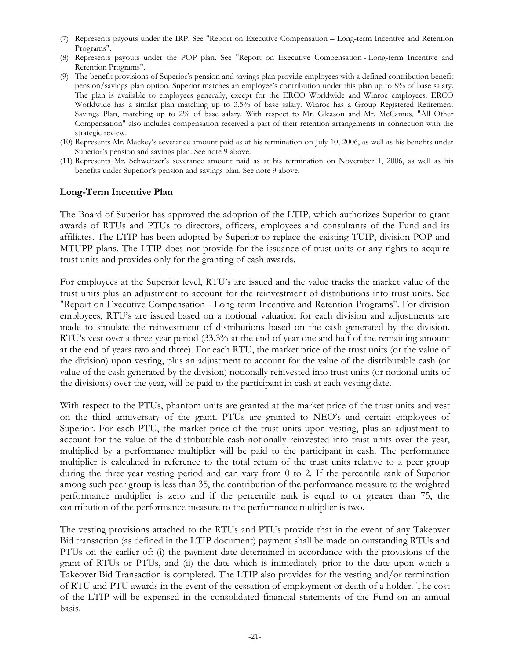- (7) Represents payouts under the IRP. See "Report on Executive Compensation Long-term Incentive and Retention Programs".
- (8) Represents payouts under the POP plan. See "Report on Executive Compensation Long-term Incentive and Retention Programs".
- (9) The benefit provisions of Superior's pension and savings plan provide employees with a defined contribution benefit pension/savings plan option. Superior matches an employee's contribution under this plan up to 8% of base salary. The plan is available to employees generally, except for the ERCO Worldwide and Winroc employees. ERCO Worldwide has a similar plan matching up to 3.5% of base salary. Winroc has a Group Registered Retirement Savings Plan, matching up to 2% of base salary. With respect to Mr. Gleason and Mr. McCamus, "All Other Compensation" also includes compensation received a part of their retention arrangements in connection with the strategic review.
- (10) Represents Mr. Mackey's severance amount paid as at his termination on July 10, 2006, as well as his benefits under Superior's pension and savings plan. See note 9 above.
- (11) Represents Mr. Schweitzer's severance amount paid as at his termination on November 1, 2006, as well as his benefits under Superior's pension and savings plan. See note 9 above.

#### **Long-Term Incentive Plan**

The Board of Superior has approved the adoption of the LTIP, which authorizes Superior to grant awards of RTUs and PTUs to directors, officers, employees and consultants of the Fund and its affiliates. The LTIP has been adopted by Superior to replace the existing TUIP, division POP and MTUPP plans. The LTIP does not provide for the issuance of trust units or any rights to acquire trust units and provides only for the granting of cash awards.

For employees at the Superior level, RTU's are issued and the value tracks the market value of the trust units plus an adjustment to account for the reinvestment of distributions into trust units. See "Report on Executive Compensation - Long-term Incentive and Retention Programs". For division employees, RTU's are issued based on a notional valuation for each division and adjustments are made to simulate the reinvestment of distributions based on the cash generated by the division. RTU's vest over a three year period (33.3% at the end of year one and half of the remaining amount at the end of years two and three). For each RTU, the market price of the trust units (or the value of the division) upon vesting, plus an adjustment to account for the value of the distributable cash (or value of the cash generated by the division) notionally reinvested into trust units (or notional units of the divisions) over the year, will be paid to the participant in cash at each vesting date.

With respect to the PTUs, phantom units are granted at the market price of the trust units and vest on the third anniversary of the grant. PTUs are granted to NEO's and certain employees of Superior. For each PTU, the market price of the trust units upon vesting, plus an adjustment to account for the value of the distributable cash notionally reinvested into trust units over the year, multiplied by a performance multiplier will be paid to the participant in cash. The performance multiplier is calculated in reference to the total return of the trust units relative to a peer group during the three-year vesting period and can vary from 0 to 2. If the percentile rank of Superior among such peer group is less than 35, the contribution of the performance measure to the weighted performance multiplier is zero and if the percentile rank is equal to or greater than 75, the contribution of the performance measure to the performance multiplier is two.

The vesting provisions attached to the RTUs and PTUs provide that in the event of any Takeover Bid transaction (as defined in the LTIP document) payment shall be made on outstanding RTUs and PTUs on the earlier of: (i) the payment date determined in accordance with the provisions of the grant of RTUs or PTUs, and (ii) the date which is immediately prior to the date upon which a Takeover Bid Transaction is completed. The LTIP also provides for the vesting and/or termination of RTU and PTU awards in the event of the cessation of employment or death of a holder. The cost of the LTIP will be expensed in the consolidated financial statements of the Fund on an annual basis.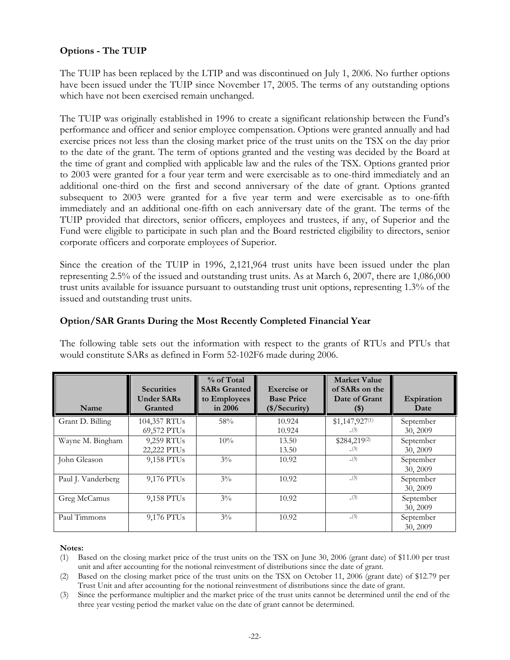# **Options - The TUIP**

The TUIP has been replaced by the LTIP and was discontinued on July 1, 2006. No further options have been issued under the TUIP since November 17, 2005. The terms of any outstanding options which have not been exercised remain unchanged.

The TUIP was originally established in 1996 to create a significant relationship between the Fund's performance and officer and senior employee compensation. Options were granted annually and had exercise prices not less than the closing market price of the trust units on the TSX on the day prior to the date of the grant. The term of options granted and the vesting was decided by the Board at the time of grant and complied with applicable law and the rules of the TSX. Options granted prior to 2003 were granted for a four year term and were exercisable as to one-third immediately and an additional one-third on the first and second anniversary of the date of grant. Options granted subsequent to 2003 were granted for a five year term and were exercisable as to one-fifth immediately and an additional one-fifth on each anniversary date of the grant. The terms of the TUIP provided that directors, senior officers, employees and trustees, if any, of Superior and the Fund were eligible to participate in such plan and the Board restricted eligibility to directors, senior corporate officers and corporate employees of Superior.

Since the creation of the TUIP in 1996, 2,121,964 trust units have been issued under the plan representing 2.5% of the issued and outstanding trust units. As at March 6, 2007, there are 1,086,000 trust units available for issuance pursuant to outstanding trust unit options, representing 1.3% of the issued and outstanding trust units.

| Name               | <b>Securities</b><br><b>Under SARs</b><br>Granted | % of Total<br><b>SARs Granted</b><br>to Employees<br>in 2006 | <b>Exercise or</b><br><b>Base Price</b><br>(\$/Security) | <b>Market Value</b><br>of SARs on the<br>Date of Grant<br>$(\$)$ | Expiration<br>Date    |
|--------------------|---------------------------------------------------|--------------------------------------------------------------|----------------------------------------------------------|------------------------------------------------------------------|-----------------------|
| Grant D. Billing   | 104,357 RTUs<br>69,572 PTUs                       | 58%                                                          | 10.924<br>10.924                                         | $$1,147,927^{(1)}$<br>(3)                                        | September<br>30, 2009 |
| Wayne M. Bingham   | 9,259 RTUs<br>22,222 PTUs                         | 10%                                                          | 13.50<br>13.50                                           | \$284,219(2)<br>(3)                                              | September<br>30, 2009 |
| John Gleason       | 9,158 PTUs                                        | $3\%$                                                        | 10.92                                                    | (3)                                                              | September<br>30, 2009 |
| Paul J. Vanderberg | 9,176 PTUs                                        | $3\%$                                                        | 10.92                                                    | (3)                                                              | September<br>30, 2009 |
| Greg McCamus       | 9,158 PTUs                                        | $3\%$                                                        | 10.92                                                    | (3)                                                              | September<br>30, 2009 |
| Paul Timmons       | 9,176 PTUs                                        | $3\%$                                                        | 10.92                                                    | (3)                                                              | September<br>30, 2009 |

# **Option/SAR Grants During the Most Recently Completed Financial Year**

The following table sets out the information with respect to the grants of RTUs and PTUs that would constitute SARs as defined in Form 52-102F6 made during 2006.

#### **Notes:**

(1) Based on the closing market price of the trust units on the TSX on June 30, 2006 (grant date) of \$11.00 per trust unit and after accounting for the notional reinvestment of distributions since the date of grant.

(2) Based on the closing market price of the trust units on the TSX on October 11, 2006 (grant date) of \$12.79 per Trust Unit and after accounting for the notional reinvestment of distributions since the date of grant.

(3) Since the performance multiplier and the market price of the trust units cannot be determined until the end of the three year vesting period the market value on the date of grant cannot be determined.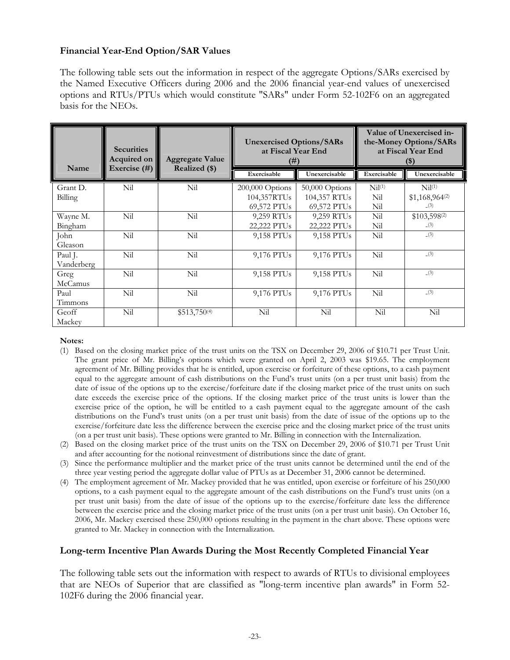# **Financial Year-End Option/SAR Values**

The following table sets out the information in respect of the aggregate Options/SARs exercised by the Named Executive Officers during 2006 and the 2006 financial year-end values of unexercised options and RTUs/PTUs which would constitute "SARs" under Form 52-102F6 on an aggregated basis for the NEOs.

| Name       | <b>Securities</b><br>Acquired on<br>Exercise $(\#)$ | <b>Aggregate Value</b><br>Realized (\$) | <b>Unexercised Options/SARs</b><br>at Fiscal Year End<br>(# ) |                | Value of Unexercised in-<br>the-Money Options/SARs<br>at Fiscal Year End<br>$(\$)$ |                    |  |
|------------|-----------------------------------------------------|-----------------------------------------|---------------------------------------------------------------|----------------|------------------------------------------------------------------------------------|--------------------|--|
|            |                                                     |                                         | Exercisable                                                   | Unexercisable  | Exercisable                                                                        | Unexercisable      |  |
| Grant D.   | Nil                                                 | Nil                                     | 200,000 Options                                               | 50,000 Options | Nil <sup>(1)</sup>                                                                 | Nil <sup>(1)</sup> |  |
| Billing    |                                                     |                                         | 104,357RTUs                                                   | 104,357 RTUs   | Nil                                                                                | $$1,168,964^{(2)}$ |  |
|            |                                                     |                                         | 69,572 PTUs                                                   | 69,572 PTUs    | Nil                                                                                | (3)                |  |
| Wayne M.   | Nil                                                 | Nil                                     | 9,259 RTUs                                                    | 9,259 RTUs     | Nil                                                                                | $$103,598^{(2)}$   |  |
| Bingham    |                                                     |                                         | 22,222 PTUs                                                   | 22,222 PTUs    | Nil                                                                                | (3)                |  |
| John       | Nil                                                 | Nil                                     | 9,158 PTUs                                                    | 9,158 PTUs     | Nil                                                                                | (3)                |  |
| Gleason    |                                                     |                                         |                                                               |                |                                                                                    |                    |  |
| Paul J.    | Nil                                                 | Nil                                     | 9,176 PTUs                                                    | 9,176 PTUs     | Nil                                                                                | (3)                |  |
| Vanderberg |                                                     |                                         |                                                               |                |                                                                                    |                    |  |
| Greg       | Nil                                                 | Nil                                     | 9,158 PTUs                                                    | 9,158 PTUs     | Nil                                                                                | (3)                |  |
| McCamus    |                                                     |                                         |                                                               |                |                                                                                    |                    |  |
| Paul       | Nil                                                 | Nil                                     | 9,176 PTUs                                                    | 9,176 PTUs     | Nil                                                                                | (3)                |  |
| Timmons    |                                                     |                                         |                                                               |                |                                                                                    |                    |  |
| Geoff      | Nil                                                 | $$513,750^{(4)}$                        | Nil                                                           | Nil            | Nil                                                                                | Nil                |  |
| Mackey     |                                                     |                                         |                                                               |                |                                                                                    |                    |  |

#### **Notes:**

- (1) Based on the closing market price of the trust units on the TSX on December 29, 2006 of \$10.71 per Trust Unit. The grant price of Mr. Billing's options which were granted on April 2, 2003 was \$19.65. The employment agreement of Mr. Billing provides that he is entitled, upon exercise or forfeiture of these options, to a cash payment equal to the aggregate amount of cash distributions on the Fund's trust units (on a per trust unit basis) from the date of issue of the options up to the exercise/forfeiture date if the closing market price of the trust units on such date exceeds the exercise price of the options. If the closing market price of the trust units is lower than the exercise price of the option, he will be entitled to a cash payment equal to the aggregate amount of the cash distributions on the Fund's trust units (on a per trust unit basis) from the date of issue of the options up to the exercise/forfeiture date less the difference between the exercise price and the closing market price of the trust units (on a per trust unit basis). These options were granted to Mr. Billing in connection with the Internalization.
- (2) Based on the closing market price of the trust units on the TSX on December 29, 2006 of \$10.71 per Trust Unit and after accounting for the notional reinvestment of distributions since the date of grant.
- (3) Since the performance multiplier and the market price of the trust units cannot be determined until the end of the three year vesting period the aggregate dollar value of PTUs as at December 31, 2006 cannot be determined.
- (4) The employment agreement of Mr. Mackey provided that he was entitled, upon exercise or forfeiture of his 250,000 options, to a cash payment equal to the aggregate amount of the cash distributions on the Fund's trust units (on a per trust unit basis) from the date of issue of the options up to the exercise/forfeiture date less the difference between the exercise price and the closing market price of the trust units (on a per trust unit basis). On October 16, 2006, Mr. Mackey exercised these 250,000 options resulting in the payment in the chart above. These options were granted to Mr. Mackey in connection with the Internalization.

# **Long-term Incentive Plan Awards During the Most Recently Completed Financial Year**

The following table sets out the information with respect to awards of RTUs to divisional employees that are NEOs of Superior that are classified as "long-term incentive plan awards" in Form 52- 102F6 during the 2006 financial year.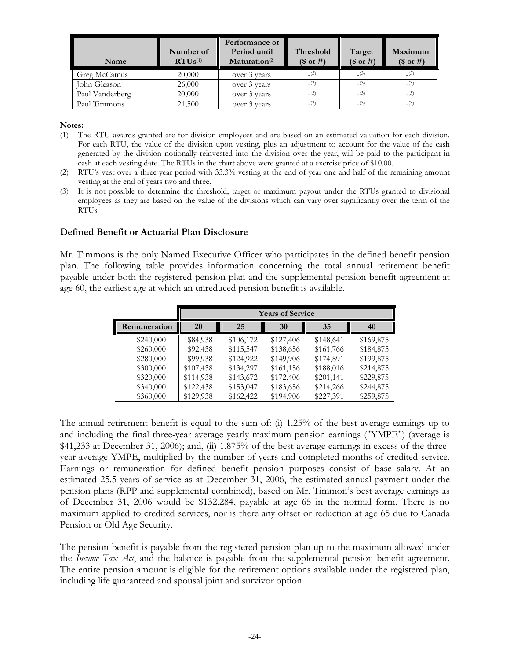| Name            | Number of<br>$RTUs^{(1)}$ | Performance or<br>Period until<br>$\mathbf{Maturation}$ <sup>(2)</sup> | Threshold<br>$($$ or #) | Target<br>(\$ or #) | Maximum<br>(\$ or #) |
|-----------------|---------------------------|------------------------------------------------------------------------|-------------------------|---------------------|----------------------|
| Greg McCamus    | 20,000                    | over 3 years                                                           | (3)                     | (3)                 | (3)                  |
| John Gleason    | 26,000                    | over 3 years                                                           | (3)                     | (3)                 | (3)                  |
| Paul Vanderberg | 20,000                    | over 3 years                                                           | (3)                     | (3)                 | (3)                  |
| Paul Timmons    | 21,500                    | over 3 years                                                           | (3)                     | (3)                 | (3)                  |

**Notes:**

- (1) The RTU awards granted are for division employees and are based on an estimated valuation for each division. For each RTU, the value of the division upon vesting, plus an adjustment to account for the value of the cash generated by the division notionally reinvested into the division over the year, will be paid to the participant in cash at each vesting date. The RTUs in the chart above were granted at a exercise price of \$10.00.
- (2) RTU's vest over a three year period with 33.3% vesting at the end of year one and half of the remaining amount vesting at the end of years two and three.
- (3) It is not possible to determine the threshold, target or maximum payout under the RTUs granted to divisional employees as they are based on the value of the divisions which can vary over significantly over the term of the RTUs.

### **Defined Benefit or Actuarial Plan Disclosure**

Mr. Timmons is the only Named Executive Officer who participates in the defined benefit pension plan. The following table provides information concerning the total annual retirement benefit payable under both the registered pension plan and the supplemental pension benefit agreement at age 60, the earliest age at which an unreduced pension benefit is available.

|              |           |           | <b>Years of Service</b> |           |           |
|--------------|-----------|-----------|-------------------------|-----------|-----------|
| Remuneration | 20        | 25        | 30                      | 35        | 40        |
| \$240,000    | \$84,938  | \$106,172 | \$127,406               | \$148,641 | \$169,875 |
| \$260,000    | \$92,438  | \$115,547 | \$138,656               | \$161,766 | \$184,875 |
| \$280,000    | \$99,938  | \$124,922 | \$149,906               | \$174,891 | \$199,875 |
| \$300,000    | \$107,438 | \$134,297 | \$161,156               | \$188,016 | \$214,875 |
| \$320,000    | \$114,938 | \$143,672 | \$172,406               | \$201,141 | \$229,875 |
| \$340,000    | \$122,438 | \$153,047 | \$183,656               | \$214,266 | \$244,875 |
| \$360,000    | \$129,938 | \$162,422 | \$194,906               | \$227,391 | \$259,875 |

The annual retirement benefit is equal to the sum of: (i) 1.25% of the best average earnings up to and including the final three-year average yearly maximum pension earnings ("YMPE") (average is \$41,233 at December 31, 2006); and, (ii) 1.875% of the best average earnings in excess of the threeyear average YMPE, multiplied by the number of years and completed months of credited service. Earnings or remuneration for defined benefit pension purposes consist of base salary. At an estimated 25.5 years of service as at December 31, 2006, the estimated annual payment under the pension plans (RPP and supplemental combined), based on Mr. Timmon's best average earnings as of December 31, 2006 would be \$132,284, payable at age 65 in the normal form. There is no maximum applied to credited services, nor is there any offset or reduction at age 65 due to Canada Pension or Old Age Security.

The pension benefit is payable from the registered pension plan up to the maximum allowed under the *Income Tax Act*, and the balance is payable from the supplemental pension benefit agreement. The entire pension amount is eligible for the retirement options available under the registered plan, including life guaranteed and spousal joint and survivor option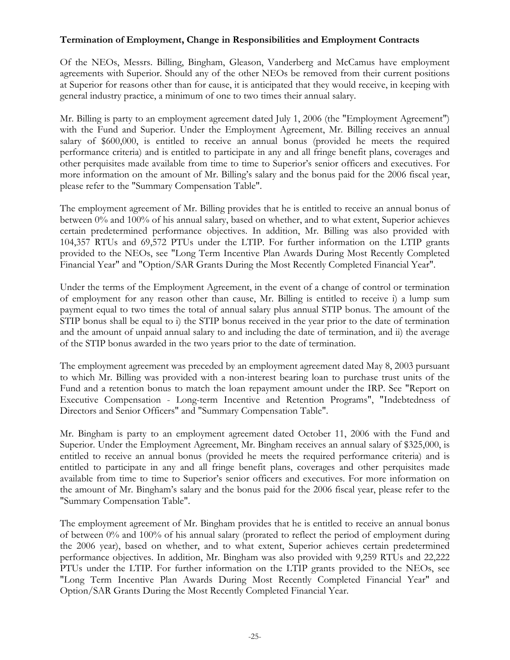# **Termination of Employment, Change in Responsibilities and Employment Contracts**

Of the NEOs, Messrs. Billing, Bingham, Gleason, Vanderberg and McCamus have employment agreements with Superior. Should any of the other NEOs be removed from their current positions at Superior for reasons other than for cause, it is anticipated that they would receive, in keeping with general industry practice, a minimum of one to two times their annual salary.

Mr. Billing is party to an employment agreement dated July 1, 2006 (the "Employment Agreement") with the Fund and Superior. Under the Employment Agreement, Mr. Billing receives an annual salary of \$600,000, is entitled to receive an annual bonus (provided he meets the required performance criteria) and is entitled to participate in any and all fringe benefit plans, coverages and other perquisites made available from time to time to Superior's senior officers and executives. For more information on the amount of Mr. Billing's salary and the bonus paid for the 2006 fiscal year, please refer to the "Summary Compensation Table".

The employment agreement of Mr. Billing provides that he is entitled to receive an annual bonus of between 0% and 100% of his annual salary, based on whether, and to what extent, Superior achieves certain predetermined performance objectives. In addition, Mr. Billing was also provided with 104,357 RTUs and 69,572 PTUs under the LTIP. For further information on the LTIP grants provided to the NEOs, see "Long Term Incentive Plan Awards During Most Recently Completed Financial Year" and "Option/SAR Grants During the Most Recently Completed Financial Year".

Under the terms of the Employment Agreement, in the event of a change of control or termination of employment for any reason other than cause, Mr. Billing is entitled to receive i) a lump sum payment equal to two times the total of annual salary plus annual STIP bonus. The amount of the STIP bonus shall be equal to i) the STIP bonus received in the year prior to the date of termination and the amount of unpaid annual salary to and including the date of termination, and ii) the average of the STIP bonus awarded in the two years prior to the date of termination.

The employment agreement was preceded by an employment agreement dated May 8, 2003 pursuant to which Mr. Billing was provided with a non-interest bearing loan to purchase trust units of the Fund and a retention bonus to match the loan repayment amount under the IRP. See "Report on Executive Compensation - Long-term Incentive and Retention Programs", "Indebtedness of Directors and Senior Officers" and "Summary Compensation Table".

Mr. Bingham is party to an employment agreement dated October 11, 2006 with the Fund and Superior. Under the Employment Agreement, Mr. Bingham receives an annual salary of \$325,000, is entitled to receive an annual bonus (provided he meets the required performance criteria) and is entitled to participate in any and all fringe benefit plans, coverages and other perquisites made available from time to time to Superior's senior officers and executives. For more information on the amount of Mr. Bingham's salary and the bonus paid for the 2006 fiscal year, please refer to the "Summary Compensation Table".

The employment agreement of Mr. Bingham provides that he is entitled to receive an annual bonus of between 0% and 100% of his annual salary (prorated to reflect the period of employment during the 2006 year), based on whether, and to what extent, Superior achieves certain predetermined performance objectives. In addition, Mr. Bingham was also provided with 9,259 RTUs and 22,222 PTUs under the LTIP. For further information on the LTIP grants provided to the NEOs, see "Long Term Incentive Plan Awards During Most Recently Completed Financial Year" and Option/SAR Grants During the Most Recently Completed Financial Year.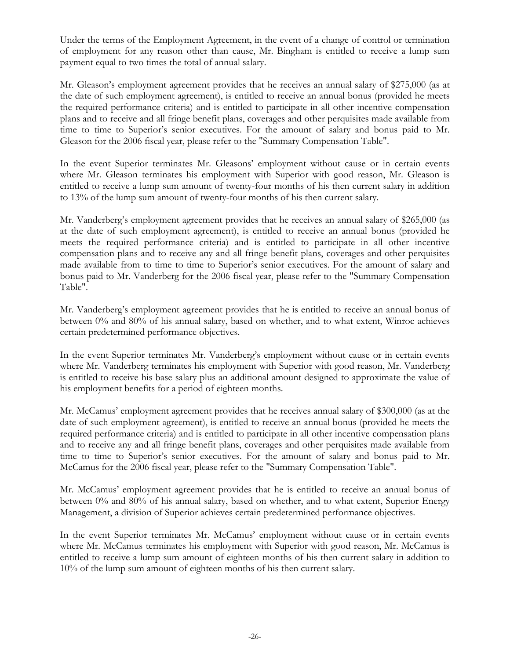Under the terms of the Employment Agreement, in the event of a change of control or termination of employment for any reason other than cause, Mr. Bingham is entitled to receive a lump sum payment equal to two times the total of annual salary.

Mr. Gleason's employment agreement provides that he receives an annual salary of \$275,000 (as at the date of such employment agreement), is entitled to receive an annual bonus (provided he meets the required performance criteria) and is entitled to participate in all other incentive compensation plans and to receive and all fringe benefit plans, coverages and other perquisites made available from time to time to Superior's senior executives. For the amount of salary and bonus paid to Mr. Gleason for the 2006 fiscal year, please refer to the "Summary Compensation Table".

In the event Superior terminates Mr. Gleasons' employment without cause or in certain events where Mr. Gleason terminates his employment with Superior with good reason, Mr. Gleason is entitled to receive a lump sum amount of twenty-four months of his then current salary in addition to 13% of the lump sum amount of twenty-four months of his then current salary.

Mr. Vanderberg's employment agreement provides that he receives an annual salary of \$265,000 (as at the date of such employment agreement), is entitled to receive an annual bonus (provided he meets the required performance criteria) and is entitled to participate in all other incentive compensation plans and to receive any and all fringe benefit plans, coverages and other perquisites made available from to time to time to Superior's senior executives. For the amount of salary and bonus paid to Mr. Vanderberg for the 2006 fiscal year, please refer to the "Summary Compensation Table".

Mr. Vanderberg's employment agreement provides that he is entitled to receive an annual bonus of between 0% and 80% of his annual salary, based on whether, and to what extent, Winroc achieves certain predetermined performance objectives.

In the event Superior terminates Mr. Vanderberg's employment without cause or in certain events where Mr. Vanderberg terminates his employment with Superior with good reason, Mr. Vanderberg is entitled to receive his base salary plus an additional amount designed to approximate the value of his employment benefits for a period of eighteen months.

Mr. McCamus' employment agreement provides that he receives annual salary of \$300,000 (as at the date of such employment agreement), is entitled to receive an annual bonus (provided he meets the required performance criteria) and is entitled to participate in all other incentive compensation plans and to receive any and all fringe benefit plans, coverages and other perquisites made available from time to time to Superior's senior executives. For the amount of salary and bonus paid to Mr. McCamus for the 2006 fiscal year, please refer to the "Summary Compensation Table".

Mr. McCamus' employment agreement provides that he is entitled to receive an annual bonus of between 0% and 80% of his annual salary, based on whether, and to what extent, Superior Energy Management, a division of Superior achieves certain predetermined performance objectives.

In the event Superior terminates Mr. McCamus' employment without cause or in certain events where Mr. McCamus terminates his employment with Superior with good reason, Mr. McCamus is entitled to receive a lump sum amount of eighteen months of his then current salary in addition to 10% of the lump sum amount of eighteen months of his then current salary.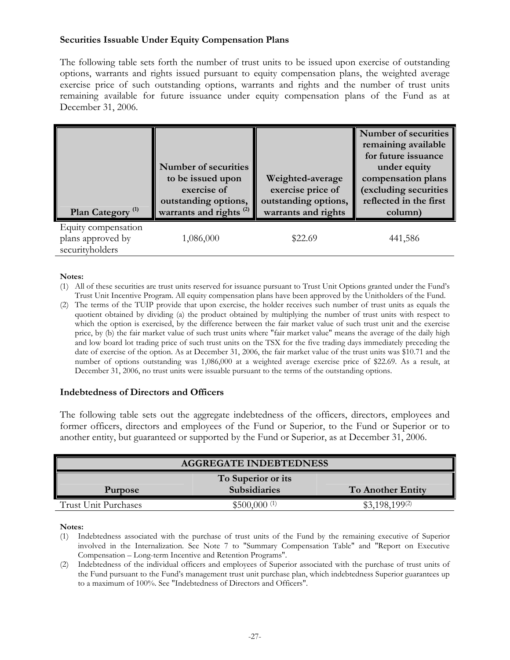# **Securities Issuable Under Equity Compensation Plans**

The following table sets forth the number of trust units to be issued upon exercise of outstanding options, warrants and rights issued pursuant to equity compensation plans, the weighted average exercise price of such outstanding options, warrants and rights and the number of trust units remaining available for future issuance under equity compensation plans of the Fund as at December 31, 2006.

| Plan Category <sup>(1)</sup>                                | Number of securities<br>to be issued upon<br>exercise of<br>outstanding options,<br>warrants and rights <sup>(2)</sup> | Weighted-average<br>exercise price of<br>outstanding options,<br>warrants and rights | <b>Number of securities</b><br>remaining available<br>for future issuance<br>under equity<br>compensation plans<br>(excluding securities<br>reflected in the first<br>column) |
|-------------------------------------------------------------|------------------------------------------------------------------------------------------------------------------------|--------------------------------------------------------------------------------------|-------------------------------------------------------------------------------------------------------------------------------------------------------------------------------|
| Equity compensation<br>plans approved by<br>securityholders | 1,086,000                                                                                                              | \$22.69                                                                              | 441,586                                                                                                                                                                       |

#### **Notes:**

- (1) All of these securities are trust units reserved for issuance pursuant to Trust Unit Options granted under the Fund's Trust Unit Incentive Program. All equity compensation plans have been approved by the Unitholders of the Fund.
- (2) The terms of the TUIP provide that upon exercise, the holder receives such number of trust units as equals the quotient obtained by dividing (a) the product obtained by multiplying the number of trust units with respect to which the option is exercised, by the difference between the fair market value of such trust unit and the exercise price, by (b) the fair market value of such trust units where "fair market value" means the average of the daily high and low board lot trading price of such trust units on the TSX for the five trading days immediately preceding the date of exercise of the option. As at December 31, 2006, the fair market value of the trust units was \$10.71 and the number of options outstanding was 1,086,000 at a weighted average exercise price of \$22.69. As a result, at December 31, 2006, no trust units were issuable pursuant to the terms of the outstanding options.

#### **Indebtedness of Directors and Officers**

The following table sets out the aggregate indebtedness of the officers, directors, employees and former officers, directors and employees of the Fund or Superior, to the Fund or Superior or to another entity, but guaranteed or supported by the Fund or Superior, as at December 31, 2006.

| <b>AGGREGATE INDEBTEDNESS</b> |                           |                          |  |
|-------------------------------|---------------------------|--------------------------|--|
|                               | To Superior or its        |                          |  |
| Purpose                       | <b>Subsidiaries</b>       | <b>To Another Entity</b> |  |
| Trust Unit Purchases          | $$500,000$ <sup>(1)</sup> | $$3,198,199^{(2)}$       |  |

#### **Notes:**

(1) Indebtedness associated with the purchase of trust units of the Fund by the remaining executive of Superior involved in the Internalization. See Note 7 to "Summary Compensation Table" and "Report on Executive Compensation – Long-term Incentive and Retention Programs".

(2) Indebtedness of the individual officers and employees of Superior associated with the purchase of trust units of the Fund pursuant to the Fund's management trust unit purchase plan, which indebtedness Superior guarantees up to a maximum of 100%. See "Indebtedness of Directors and Officers".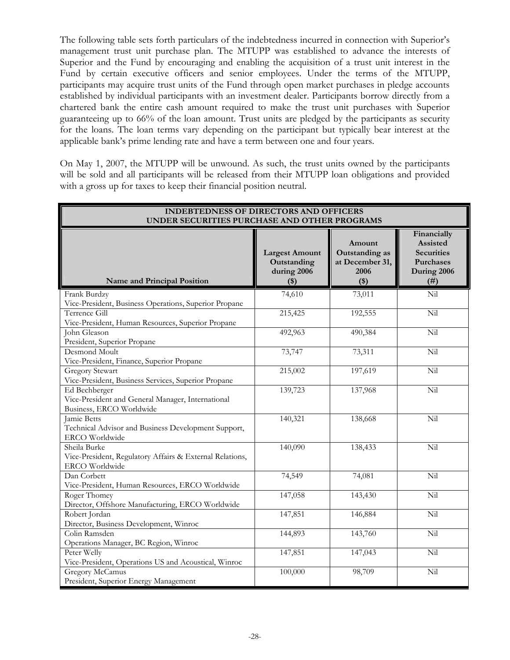The following table sets forth particulars of the indebtedness incurred in connection with Superior's management trust unit purchase plan. The MTUPP was established to advance the interests of Superior and the Fund by encouraging and enabling the acquisition of a trust unit interest in the Fund by certain executive officers and senior employees. Under the terms of the MTUPP, participants may acquire trust units of the Fund through open market purchases in pledge accounts established by individual participants with an investment dealer. Participants borrow directly from a chartered bank the entire cash amount required to make the trust unit purchases with Superior guaranteeing up to 66% of the loan amount. Trust units are pledged by the participants as security for the loans. The loan terms vary depending on the participant but typically bear interest at the applicable bank's prime lending rate and have a term between one and four years.

On May 1, 2007, the MTUPP will be unwound. As such, the trust units owned by the participants will be sold and all participants will be released from their MTUPP loan obligations and provided with a gross up for taxes to keep their financial position neutral.

| <b>INDEBTEDNESS OF DIRECTORS AND OFFICERS</b><br>UNDER SECURITIES PURCHASE AND OTHER PROGRAMS |                                                                |                                                              |                                                                                  |
|-----------------------------------------------------------------------------------------------|----------------------------------------------------------------|--------------------------------------------------------------|----------------------------------------------------------------------------------|
| Name and Principal Position                                                                   | <b>Largest Amount</b><br>Outstanding<br>during 2006<br>$($ \$) | Amount<br>Outstanding as<br>at December 31,<br>2006<br>$($)$ | Financially<br>Assisted<br><b>Securities</b><br>Purchases<br>During 2006<br>(# ) |
| Frank Burdzy                                                                                  | 74,610                                                         | 73,011                                                       | Nil                                                                              |
| Vice-President, Business Operations, Superior Propane                                         |                                                                |                                                              |                                                                                  |
| Terrence Gill                                                                                 | 215,425                                                        | 192,555                                                      | Nil                                                                              |
| Vice-President, Human Resources, Superior Propane                                             |                                                                |                                                              |                                                                                  |
| John Gleason                                                                                  | 492,963                                                        | 490,384                                                      | Nil                                                                              |
| President, Superior Propane                                                                   |                                                                |                                                              |                                                                                  |
| Desmond Moult                                                                                 | 73,747                                                         | 73,311                                                       | Nil                                                                              |
| Vice-President, Finance, Superior Propane                                                     |                                                                |                                                              |                                                                                  |
| <b>Gregory Stewart</b>                                                                        | 215,002                                                        | 197,619                                                      | Nil                                                                              |
| Vice-President, Business Services, Superior Propane                                           |                                                                |                                                              |                                                                                  |
| Ed Bechberger                                                                                 | 139,723                                                        | 137,968                                                      | Nil                                                                              |
| Vice-President and General Manager, International                                             |                                                                |                                                              |                                                                                  |
| Business, ERCO Worldwide                                                                      |                                                                |                                                              |                                                                                  |
| Jamie Betts                                                                                   | 140,321                                                        | 138,668                                                      | Nil                                                                              |
| Technical Advisor and Business Development Support,                                           |                                                                |                                                              |                                                                                  |
| ERCO Worldwide                                                                                |                                                                |                                                              |                                                                                  |
| Sheila Burke                                                                                  | 140,090                                                        | 138,433                                                      | Nil                                                                              |
| Vice-President, Regulatory Affairs & External Relations,                                      |                                                                |                                                              |                                                                                  |
| ERCO Worldwide                                                                                |                                                                |                                                              |                                                                                  |
| Dan Corbett                                                                                   | 74,549                                                         | 74,081                                                       | Nil                                                                              |
| Vice-President, Human Resources, ERCO Worldwide                                               |                                                                |                                                              |                                                                                  |
| Roger Thomey                                                                                  | 147,058                                                        | 143,430                                                      | Nil                                                                              |
| Director, Offshore Manufacturing, ERCO Worldwide                                              |                                                                |                                                              |                                                                                  |
| Robert Jordan                                                                                 | 147,851                                                        | 146,884                                                      | Nil                                                                              |
| Director, Business Development, Winroc                                                        |                                                                |                                                              |                                                                                  |
| Colin Ramsden                                                                                 | 144,893                                                        | 143,760                                                      | Nil                                                                              |
| Operations Manager, BC Region, Winroc                                                         |                                                                |                                                              |                                                                                  |
| Peter Welly                                                                                   | 147,851                                                        | 147,043                                                      | Nil                                                                              |
| Vice-President, Operations US and Acoustical, Winroc                                          |                                                                |                                                              |                                                                                  |
| Gregory McCamus                                                                               | 100,000                                                        | 98,709                                                       | Nil                                                                              |
| President, Superior Energy Management                                                         |                                                                |                                                              |                                                                                  |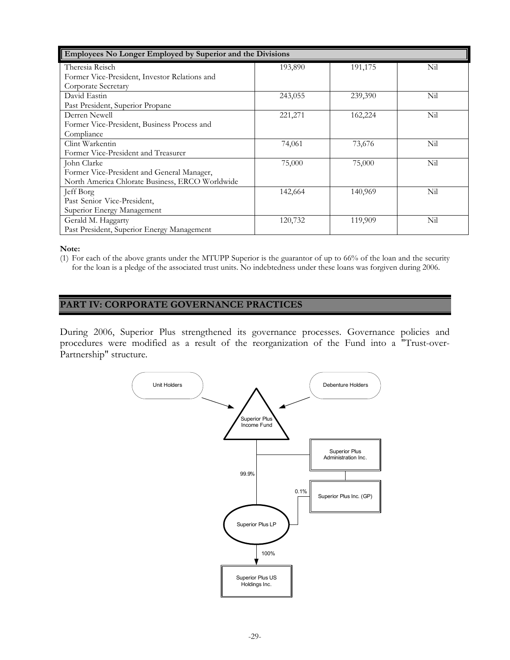| Employees No Longer Employed by Superior and the Divisions |          |         |     |
|------------------------------------------------------------|----------|---------|-----|
| Theresia Reisch                                            | 193,890  | 191,175 | Nil |
| Former Vice-President, Investor Relations and              |          |         |     |
| Corporate Secretary                                        |          |         |     |
| David Eastin                                               | 243,055  | 239,390 | Nil |
| Past President, Superior Propane                           |          |         |     |
| Derren Newell                                              | 221, 271 | 162,224 | Nil |
| Former Vice-President, Business Process and                |          |         |     |
| Compliance                                                 |          |         |     |
| Clint Warkentin                                            | 74,061   | 73,676  | Nil |
| Former Vice-President and Treasurer                        |          |         |     |
| John Clarke                                                | 75,000   | 75,000  | Nil |
| Former Vice-President and General Manager,                 |          |         |     |
| North America Chlorate Business, ERCO Worldwide            |          |         |     |
| Jeff Borg                                                  | 142,664  | 140,969 | Nil |
| Past Senior Vice-President,                                |          |         |     |
| Superior Energy Management                                 |          |         |     |
| Gerald M. Haggarty                                         | 120,732  | 119,909 | Nil |
| Past President, Superior Energy Management                 |          |         |     |

**Note:**

(1) For each of the above grants under the MTUPP Superior is the guarantor of up to 66% of the loan and the security for the loan is a pledge of the associated trust units. No indebtedness under these loans was forgiven during 2006.

# **PART IV: CORPORATE GOVERNANCE PRACTICES**

During 2006, Superior Plus strengthened its governance processes. Governance policies and procedures were modified as a result of the reorganization of the Fund into a "Trust-over-Partnership" structure.

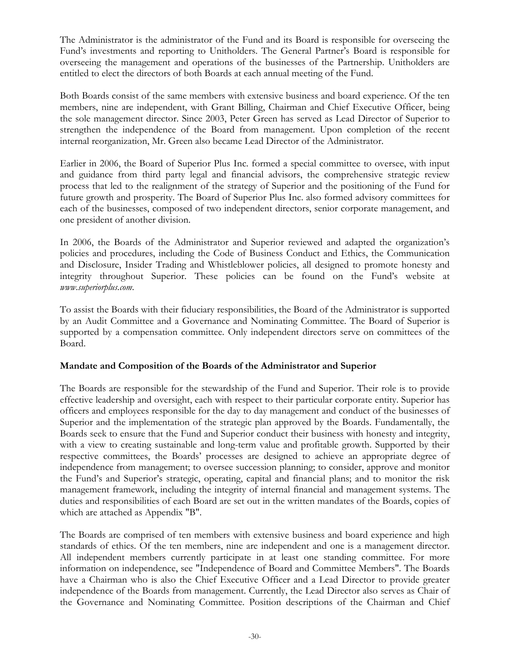The Administrator is the administrator of the Fund and its Board is responsible for overseeing the Fund's investments and reporting to Unitholders. The General Partner's Board is responsible for overseeing the management and operations of the businesses of the Partnership. Unitholders are entitled to elect the directors of both Boards at each annual meeting of the Fund.

Both Boards consist of the same members with extensive business and board experience. Of the ten members, nine are independent, with Grant Billing, Chairman and Chief Executive Officer, being the sole management director. Since 2003, Peter Green has served as Lead Director of Superior to strengthen the independence of the Board from management. Upon completion of the recent internal reorganization, Mr. Green also became Lead Director of the Administrator.

Earlier in 2006, the Board of Superior Plus Inc. formed a special committee to oversee, with input and guidance from third party legal and financial advisors, the comprehensive strategic review process that led to the realignment of the strategy of Superior and the positioning of the Fund for future growth and prosperity. The Board of Superior Plus Inc. also formed advisory committees for each of the businesses, composed of two independent directors, senior corporate management, and one president of another division.

In 2006, the Boards of the Administrator and Superior reviewed and adapted the organization's policies and procedures, including the Code of Business Conduct and Ethics, the Communication and Disclosure, Insider Trading and Whistleblower policies, all designed to promote honesty and integrity throughout Superior. These policies can be found on the Fund's website at *www.superiorplus.com*.

To assist the Boards with their fiduciary responsibilities, the Board of the Administrator is supported by an Audit Committee and a Governance and Nominating Committee. The Board of Superior is supported by a compensation committee. Only independent directors serve on committees of the Board.

# **Mandate and Composition of the Boards of the Administrator and Superior**

The Boards are responsible for the stewardship of the Fund and Superior. Their role is to provide effective leadership and oversight, each with respect to their particular corporate entity. Superior has officers and employees responsible for the day to day management and conduct of the businesses of Superior and the implementation of the strategic plan approved by the Boards. Fundamentally, the Boards seek to ensure that the Fund and Superior conduct their business with honesty and integrity, with a view to creating sustainable and long-term value and profitable growth. Supported by their respective committees, the Boards' processes are designed to achieve an appropriate degree of independence from management; to oversee succession planning; to consider, approve and monitor the Fund's and Superior's strategic, operating, capital and financial plans; and to monitor the risk management framework, including the integrity of internal financial and management systems. The duties and responsibilities of each Board are set out in the written mandates of the Boards, copies of which are attached as Appendix "B".

The Boards are comprised of ten members with extensive business and board experience and high standards of ethics. Of the ten members, nine are independent and one is a management director. All independent members currently participate in at least one standing committee. For more information on independence, see "Independence of Board and Committee Members". The Boards have a Chairman who is also the Chief Executive Officer and a Lead Director to provide greater independence of the Boards from management. Currently, the Lead Director also serves as Chair of the Governance and Nominating Committee. Position descriptions of the Chairman and Chief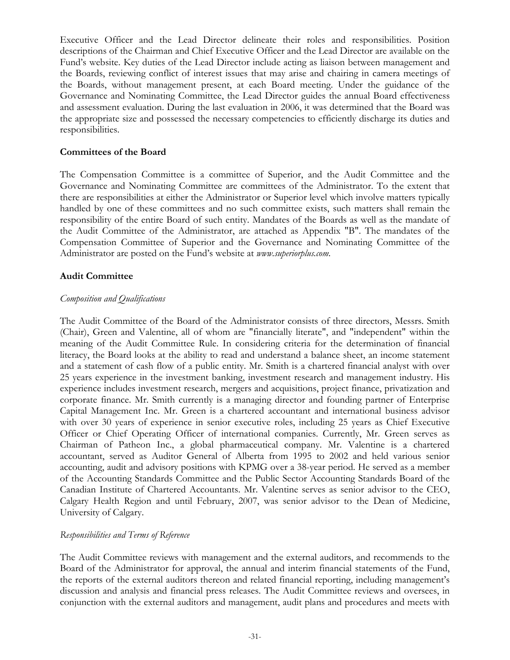Executive Officer and the Lead Director delineate their roles and responsibilities. Position descriptions of the Chairman and Chief Executive Officer and the Lead Director are available on the Fund's website. Key duties of the Lead Director include acting as liaison between management and the Boards, reviewing conflict of interest issues that may arise and chairing in camera meetings of the Boards, without management present, at each Board meeting. Under the guidance of the Governance and Nominating Committee, the Lead Director guides the annual Board effectiveness and assessment evaluation. During the last evaluation in 2006, it was determined that the Board was the appropriate size and possessed the necessary competencies to efficiently discharge its duties and responsibilities.

### **Committees of the Board**

The Compensation Committee is a committee of Superior, and the Audit Committee and the Governance and Nominating Committee are committees of the Administrator. To the extent that there are responsibilities at either the Administrator or Superior level which involve matters typically handled by one of these committees and no such committee exists, such matters shall remain the responsibility of the entire Board of such entity. Mandates of the Boards as well as the mandate of the Audit Committee of the Administrator, are attached as Appendix "B". The mandates of the Compensation Committee of Superior and the Governance and Nominating Committee of the Administrator are posted on the Fund's website at *www.superiorplus.com*.

### **Audit Committee**

### *Composition and Qualifications*

The Audit Committee of the Board of the Administrator consists of three directors, Messrs. Smith (Chair), Green and Valentine, all of whom are "financially literate", and "independent" within the meaning of the Audit Committee Rule. In considering criteria for the determination of financial literacy, the Board looks at the ability to read and understand a balance sheet, an income statement and a statement of cash flow of a public entity. Mr. Smith is a chartered financial analyst with over 25 years experience in the investment banking, investment research and management industry. His experience includes investment research, mergers and acquisitions, project finance, privatization and corporate finance. Mr. Smith currently is a managing director and founding partner of Enterprise Capital Management Inc. Mr. Green is a chartered accountant and international business advisor with over 30 years of experience in senior executive roles, including 25 years as Chief Executive Officer or Chief Operating Officer of international companies. Currently, Mr. Green serves as Chairman of Patheon Inc., a global pharmaceutical company. Mr. Valentine is a chartered accountant, served as Auditor General of Alberta from 1995 to 2002 and held various senior accounting, audit and advisory positions with KPMG over a 38-year period. He served as a member of the Accounting Standards Committee and the Public Sector Accounting Standards Board of the Canadian Institute of Chartered Accountants. Mr. Valentine serves as senior advisor to the CEO, Calgary Health Region and until February, 2007, was senior advisor to the Dean of Medicine, University of Calgary.

#### *Responsibilities and Terms of Reference*

The Audit Committee reviews with management and the external auditors, and recommends to the Board of the Administrator for approval, the annual and interim financial statements of the Fund, the reports of the external auditors thereon and related financial reporting, including management's discussion and analysis and financial press releases. The Audit Committee reviews and oversees, in conjunction with the external auditors and management, audit plans and procedures and meets with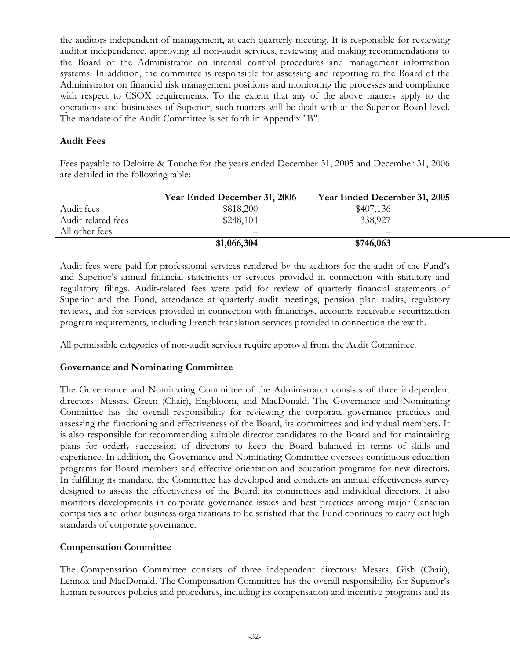the auditors independent of management, at each quarterly meeting. It is responsible for reviewing auditor independence, approving all non-audit services, reviewing and making recommendations to the Board of the Administrator on internal control procedures and management information systems. In addition, the committee is responsible for assessing and reporting to the Board of the Administrator on financial risk management positions and monitoring the processes and compliance with respect to CSOX requirements. To the extent that any of the above matters apply to the operations and businesses of Superior, such matters will be dealt with at the Superior Board level. The mandate of the Audit Committee is set forth in Appendix "B".

# **Audit Fees**

Fees payable to Deloitte & Touche for the years ended December 31, 2005 and December 31, 2006 are detailed in the following table:

|                    | Year Ended December 31, 2006 | Year Ended December 31, 2005 |  |
|--------------------|------------------------------|------------------------------|--|
| Audit fees         | \$818,200                    | \$407,136                    |  |
| Audit-related fees | \$248,104                    | 338,927                      |  |
| All other fees     | —                            |                              |  |
|                    | \$1,066,304                  | \$746,063                    |  |

Audit fees were paid for professional services rendered by the auditors for the audit of the Fund's and Superior's annual financial statements or services provided in connection with statutory and regulatory filings. Audit-related fees were paid for review of quarterly financial statements of Superior and the Fund, attendance at quarterly audit meetings, pension plan audits, regulatory reviews, and for services provided in connection with financings, accounts receivable securitization program requirements, including French translation services provided in connection therewith.

All permissible categories of non-audit services require approval from the Audit Committee.

# **Governance and Nominating Committee**

The Governance and Nominating Committee of the Administrator consists of three independent directors: Messrs. Green (Chair), Engbloom, and MacDonald. The Governance and Nominating Committee has the overall responsibility for reviewing the corporate governance practices and assessing the functioning and effectiveness of the Board, its committees and individual members. It is also responsible for recommending suitable director candidates to the Board and for maintaining plans for orderly succession of directors to keep the Board balanced in terms of skills and experience. In addition, the Governance and Nominating Committee oversees continuous education programs for Board members and effective orientation and education programs for new directors. In fulfilling its mandate, the Committee has developed and conducts an annual effectiveness survey designed to assess the effectiveness of the Board, its committees and individual directors. It also monitors developments in corporate governance issues and best practices among major Canadian companies and other business organizations to be satisfied that the Fund continues to carry out high standards of corporate governance.

# **Compensation Committee**

The Compensation Committee consists of three independent directors: Messrs. Gish (Chair), Lennox and MacDonald. The Compensation Committee has the overall responsibility for Superior's human resources policies and procedures, including its compensation and incentive programs and its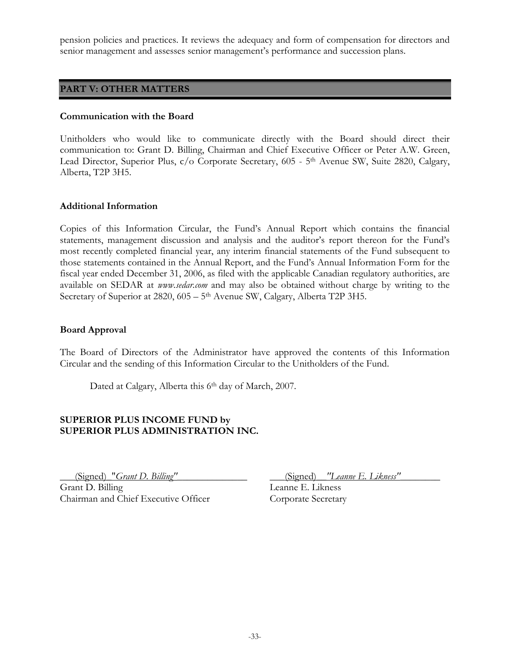pension policies and practices. It reviews the adequacy and form of compensation for directors and senior management and assesses senior management's performance and succession plans.

# **PART V: OTHER MATTERS**

#### **Communication with the Board**

Unitholders who would like to communicate directly with the Board should direct their communication to: Grant D. Billing, Chairman and Chief Executive Officer or Peter A.W. Green, Lead Director, Superior Plus, c/o Corporate Secretary, 605 - 5<sup>th</sup> Avenue SW, Suite 2820, Calgary, Alberta, T2P 3H5.

### **Additional Information**

Copies of this Information Circular, the Fund's Annual Report which contains the financial statements, management discussion and analysis and the auditor's report thereon for the Fund's most recently completed financial year, any interim financial statements of the Fund subsequent to those statements contained in the Annual Report, and the Fund's Annual Information Form for the fiscal year ended December 31, 2006, as filed with the applicable Canadian regulatory authorities, are available on SEDAR at *www.sedar.com* and may also be obtained without charge by writing to the Secretary of Superior at 2820, 605 – 5<sup>th</sup> Avenue SW, Calgary, Alberta T2P 3H5.

#### **Board Approval**

The Board of Directors of the Administrator have approved the contents of this Information Circular and the sending of this Information Circular to the Unitholders of the Fund.

Dated at Calgary, Alberta this 6<sup>th</sup> day of March, 2007.

# **SUPERIOR PLUS INCOME FUND by SUPERIOR PLUS ADMINISTRATION INC.**

\_\_\_(Signed)\_"*Grant D. Billing"*\_\_\_\_\_\_\_\_\_\_\_\_\_\_ \_\_\_(Signed)\_\_*"Leanne E. Likness"*\_\_\_\_\_\_\_\_ Grant D. Billing Leanne E. Likness Chairman and Chief Executive Officer Corporate Secretary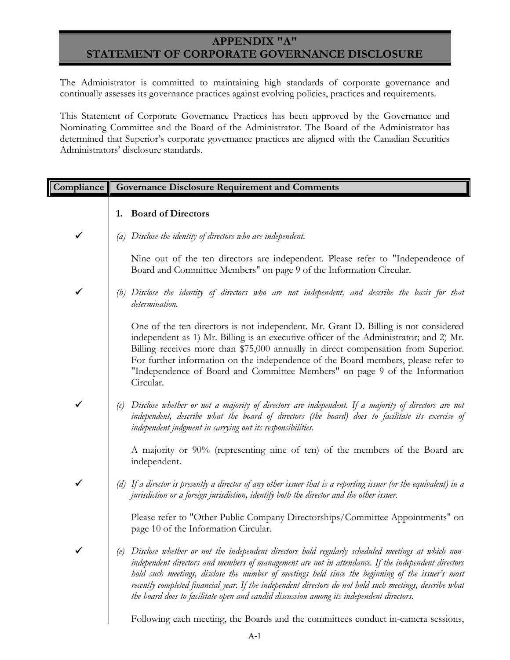# **APPENDIX "A" STATEMENT OF CORPORATE GOVERNANCE DISCLOSURE**

The Administrator is committed to maintaining high standards of corporate governance and continually assesses its governance practices against evolving policies, practices and requirements.

This Statement of Corporate Governance Practices has been approved by the Governance and Nominating Committee and the Board of the Administrator. The Board of the Administrator has determined that Superior's corporate governance practices are aligned with the Canadian Securities Administrators' disclosure standards.

| Compliance   |     | <b>Governance Disclosure Requirement and Comments</b>                                                                                                                                                                                                                                                                                                                                                                                                                                                                     |
|--------------|-----|---------------------------------------------------------------------------------------------------------------------------------------------------------------------------------------------------------------------------------------------------------------------------------------------------------------------------------------------------------------------------------------------------------------------------------------------------------------------------------------------------------------------------|
|              | 1.  | <b>Board of Directors</b>                                                                                                                                                                                                                                                                                                                                                                                                                                                                                                 |
| $\checkmark$ |     | (a) Disclose the identity of directors who are independent.                                                                                                                                                                                                                                                                                                                                                                                                                                                               |
|              |     | Nine out of the ten directors are independent. Please refer to "Independence of<br>Board and Committee Members" on page 9 of the Information Circular.                                                                                                                                                                                                                                                                                                                                                                    |
| $\checkmark$ | (b) | Disclose the identity of directors who are not independent, and describe the basis for that<br>determination.                                                                                                                                                                                                                                                                                                                                                                                                             |
|              |     | One of the ten directors is not independent. Mr. Grant D. Billing is not considered<br>independent as 1) Mr. Billing is an executive officer of the Administrator; and 2) Mr.<br>Billing receives more than \$75,000 annually in direct compensation from Superior.<br>For further information on the independence of the Board members, please refer to<br>"Independence of Board and Committee Members" on page 9 of the Information<br>Circular.                                                                       |
| $\checkmark$ | (c) | Disclose whether or not a majority of directors are independent. If a majority of directors are not<br>independent, describe what the board of directors (the board) does to facilitate its exercise of<br>independent judgment in carrying out its responsibilities.                                                                                                                                                                                                                                                     |
|              |     | A majority or 90% (representing nine of ten) of the members of the Board are<br>independent.                                                                                                                                                                                                                                                                                                                                                                                                                              |
| $\checkmark$ |     | (d) If a director is presently a director of any other issuer that is a reporting issuer (or the equivalent) in a<br>jurisdiction or a foreign jurisdiction, identify both the director and the other issuer.                                                                                                                                                                                                                                                                                                             |
|              |     | Please refer to "Other Public Company Directorships/Committee Appointments" on<br>page 10 of the Information Circular.                                                                                                                                                                                                                                                                                                                                                                                                    |
|              |     | (e) Disclose whether or not the independent directors hold regularly scheduled meetings at which non-<br>independent directors and members of management are not in attendance. If the independent directors<br>hold such meetings, disclose the number of meetings held since the beginning of the issuer's most<br>recently completed financial year. If the independent directors do not hold such meetings, describe what<br>the board does to facilitate open and candid discussion among its independent directors. |
|              |     | Following each meeting, the Boards and the committees conduct in-camera sessions,                                                                                                                                                                                                                                                                                                                                                                                                                                         |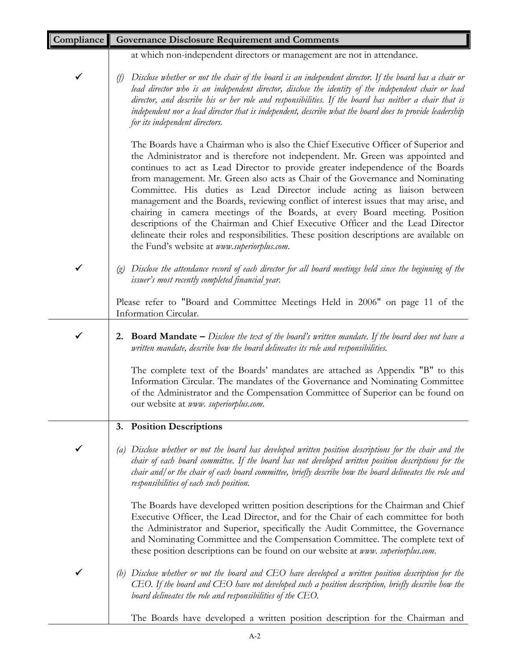| Compliance   | <b>Governance Disclosure Requirement and Comments</b>                                                                                                                                                                                                                                                                                                                                                                                                                                                                                                                                                                                                                                                                                                                                                                      |
|--------------|----------------------------------------------------------------------------------------------------------------------------------------------------------------------------------------------------------------------------------------------------------------------------------------------------------------------------------------------------------------------------------------------------------------------------------------------------------------------------------------------------------------------------------------------------------------------------------------------------------------------------------------------------------------------------------------------------------------------------------------------------------------------------------------------------------------------------|
|              | at which non-independent directors or management are not in attendance.                                                                                                                                                                                                                                                                                                                                                                                                                                                                                                                                                                                                                                                                                                                                                    |
| ✔            | Disclose whether or not the chair of the board is an independent director. If the board has a chair or<br>(f)<br>lead director who is an independent director, disclose the identity of the independent chair or lead<br>director, and describe his or her role and responsibilities. If the board has neither a chair that is<br>independent nor a lead director that is independent, describe what the board does to provide leadership<br>for its independent directors.                                                                                                                                                                                                                                                                                                                                                |
|              | The Boards have a Chairman who is also the Chief Executive Officer of Superior and<br>the Administrator and is therefore not independent. Mr. Green was appointed and<br>continues to act as Lead Director to provide greater independence of the Boards<br>from management. Mr. Green also acts as Chair of the Governance and Nominating<br>Committee. His duties as Lead Director include acting as liaison between<br>management and the Boards, reviewing conflict of interest issues that may arise, and<br>chairing in camera meetings of the Boards, at every Board meeting. Position<br>descriptions of the Chairman and Chief Executive Officer and the Lead Director<br>delineate their roles and responsibilities. These position descriptions are available on<br>the Fund's website at www.superiorplus.com. |
| $\checkmark$ | (g) Disclose the attendance record of each director for all board meetings held since the beginning of the<br>issuer's most recently completed financial year.                                                                                                                                                                                                                                                                                                                                                                                                                                                                                                                                                                                                                                                             |
|              | Please refer to "Board and Committee Meetings Held in 2006" on page 11 of the<br>Information Circular.                                                                                                                                                                                                                                                                                                                                                                                                                                                                                                                                                                                                                                                                                                                     |
| ✓            | <b>2. Board Mandate</b> $-$ Disclose the text of the board's written mandate. If the board does not have a<br>written mandate, describe how the board delineates its role and responsibilities.                                                                                                                                                                                                                                                                                                                                                                                                                                                                                                                                                                                                                            |
|              | The complete text of the Boards' mandates are attached as Appendix "B" to this<br>Information Circular. The mandates of the Governance and Nominating Committee<br>of the Administrator and the Compensation Committee of Superior can be found on<br>our website at www. superiorplus.com.                                                                                                                                                                                                                                                                                                                                                                                                                                                                                                                                |
|              | 3. Position Descriptions                                                                                                                                                                                                                                                                                                                                                                                                                                                                                                                                                                                                                                                                                                                                                                                                   |
|              | Disclose whether or not the board has developed written position descriptions for the chair and the<br>(a)<br>chair of each board committee. If the board has not developed written position descriptions for the<br>chair and/ or the chair of each board committee, briefly describe how the board delineates the role and<br>responsibilities of each such position.                                                                                                                                                                                                                                                                                                                                                                                                                                                    |
|              | The Boards have developed written position descriptions for the Chairman and Chief<br>Executive Officer, the Lead Director, and for the Chair of each committee for both<br>the Administrator and Superior, specifically the Audit Committee, the Governance<br>and Nominating Committee and the Compensation Committee. The complete text of<br>these position descriptions can be found on our website at www. superiorplus.com.                                                                                                                                                                                                                                                                                                                                                                                         |
|              | Disclose whether or not the board and CEO have developed a written position description for the<br>(b)<br>CEO. If the board and CEO have not developed such a position description, briefly describe how the<br>board delineates the role and responsibilities of the CEO.                                                                                                                                                                                                                                                                                                                                                                                                                                                                                                                                                 |
|              | The Boards have developed a written position description for the Chairman and                                                                                                                                                                                                                                                                                                                                                                                                                                                                                                                                                                                                                                                                                                                                              |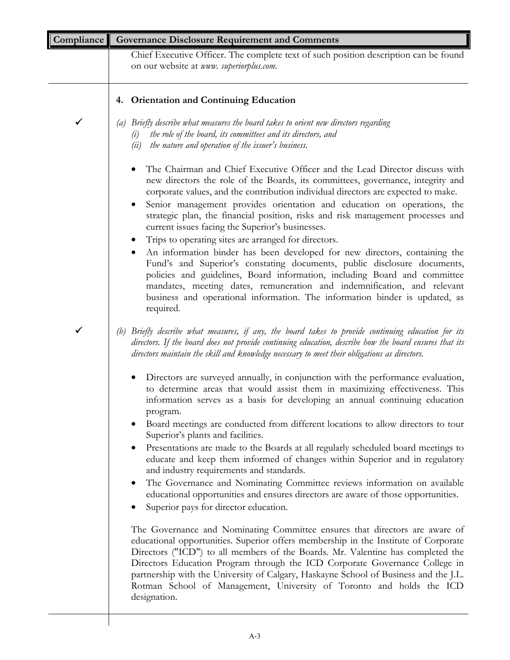| Compliance | <b>Governance Disclosure Requirement and Comments</b>                                                                                                                                                                                                                                                                                                                                                                                                                                                                                                                                                                                                                                                                                                                                                                                                                                                                                                                                                                                                                                                                                                                                                                                                                                                                                                           |
|------------|-----------------------------------------------------------------------------------------------------------------------------------------------------------------------------------------------------------------------------------------------------------------------------------------------------------------------------------------------------------------------------------------------------------------------------------------------------------------------------------------------------------------------------------------------------------------------------------------------------------------------------------------------------------------------------------------------------------------------------------------------------------------------------------------------------------------------------------------------------------------------------------------------------------------------------------------------------------------------------------------------------------------------------------------------------------------------------------------------------------------------------------------------------------------------------------------------------------------------------------------------------------------------------------------------------------------------------------------------------------------|
|            | Chief Executive Officer. The complete text of such position description can be found<br>on our website at www. superiorplus.com.                                                                                                                                                                                                                                                                                                                                                                                                                                                                                                                                                                                                                                                                                                                                                                                                                                                                                                                                                                                                                                                                                                                                                                                                                                |
|            | 4. Orientation and Continuing Education                                                                                                                                                                                                                                                                                                                                                                                                                                                                                                                                                                                                                                                                                                                                                                                                                                                                                                                                                                                                                                                                                                                                                                                                                                                                                                                         |
| ✓          | Briefly describe what measures the board takes to orient new directors regarding<br>(a)<br>the role of the board, its committees and its directors, and<br>(i)<br>the nature and operation of the issuer's business.<br>(ii)                                                                                                                                                                                                                                                                                                                                                                                                                                                                                                                                                                                                                                                                                                                                                                                                                                                                                                                                                                                                                                                                                                                                    |
|            | The Chairman and Chief Executive Officer and the Lead Director discuss with<br>new directors the role of the Boards, its committees, governance, integrity and<br>corporate values, and the contribution individual directors are expected to make.<br>Senior management provides orientation and education on operations, the<br>strategic plan, the financial position, risks and risk management processes and<br>current issues facing the Superior's businesses.<br>Trips to operating sites are arranged for directors.<br>An information binder has been developed for new directors, containing the<br>Fund's and Superior's constating documents, public disclosure documents,<br>policies and guidelines, Board information, including Board and committee<br>mandates, meeting dates, remuneration and indemnification, and relevant<br>business and operational information. The information binder is updated, as<br>required.                                                                                                                                                                                                                                                                                                                                                                                                                     |
| ✔          | Briefly describe what measures, if any, the board takes to provide continuing education for its<br>(b)<br>directors. If the board does not provide continuing education, describe how the board ensures that its<br>directors maintain the skill and knowledge necessary to meet their obligations as directors.                                                                                                                                                                                                                                                                                                                                                                                                                                                                                                                                                                                                                                                                                                                                                                                                                                                                                                                                                                                                                                                |
|            | Directors are surveyed annually, in conjunction with the performance evaluation,<br>to determine areas that would assist them in maximizing effectiveness. This<br>information serves as a basis for developing an annual continuing education<br>program.<br>Board meetings are conducted from different locations to allow directors to tour<br>Superior's plants and facilities.<br>Presentations are made to the Boards at all regularly scheduled board meetings to<br>$\bullet$<br>educate and keep them informed of changes within Superior and in regulatory<br>and industry requirements and standards.<br>The Governance and Nominating Committee reviews information on available<br>$\bullet$<br>educational opportunities and ensures directors are aware of those opportunities.<br>Superior pays for director education.<br>The Governance and Nominating Committee ensures that directors are aware of<br>educational opportunities. Superior offers membership in the Institute of Corporate<br>Directors ("ICD") to all members of the Boards. Mr. Valentine has completed the<br>Directors Education Program through the ICD Corporate Governance College in<br>partnership with the University of Calgary, Haskayne School of Business and the J.L.<br>Rotman School of Management, University of Toronto and holds the ICD<br>designation. |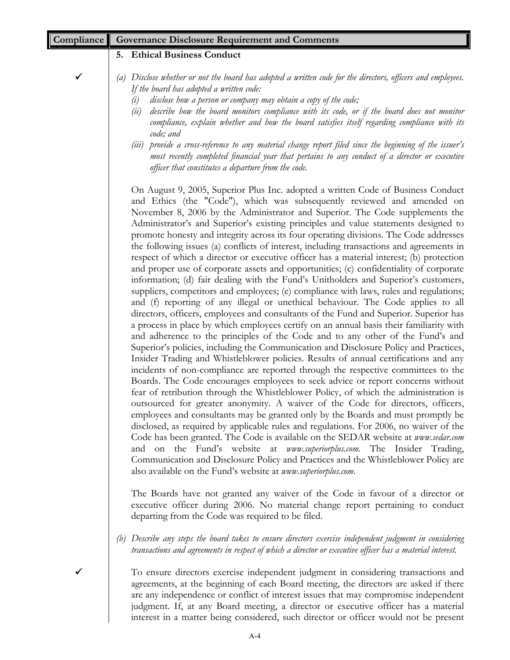| <b>Compliance Governance Disclosure Requirement and Comments</b>                                                                                                                                                                                                                                                                                                                                                                                                                                                                                                                                                                                                                                                                                                                                                                                                                                                                                                                                                                                                                                                                                                                                                                                                                                                                                                                                                                                                                                                                                                                                                                                                                                                                                                                                                                                                                                                                                                                                                                                                                                                                                                                                                                                                                                   |
|----------------------------------------------------------------------------------------------------------------------------------------------------------------------------------------------------------------------------------------------------------------------------------------------------------------------------------------------------------------------------------------------------------------------------------------------------------------------------------------------------------------------------------------------------------------------------------------------------------------------------------------------------------------------------------------------------------------------------------------------------------------------------------------------------------------------------------------------------------------------------------------------------------------------------------------------------------------------------------------------------------------------------------------------------------------------------------------------------------------------------------------------------------------------------------------------------------------------------------------------------------------------------------------------------------------------------------------------------------------------------------------------------------------------------------------------------------------------------------------------------------------------------------------------------------------------------------------------------------------------------------------------------------------------------------------------------------------------------------------------------------------------------------------------------------------------------------------------------------------------------------------------------------------------------------------------------------------------------------------------------------------------------------------------------------------------------------------------------------------------------------------------------------------------------------------------------------------------------------------------------------------------------------------------------|
| 5. Ethical Business Conduct                                                                                                                                                                                                                                                                                                                                                                                                                                                                                                                                                                                                                                                                                                                                                                                                                                                                                                                                                                                                                                                                                                                                                                                                                                                                                                                                                                                                                                                                                                                                                                                                                                                                                                                                                                                                                                                                                                                                                                                                                                                                                                                                                                                                                                                                        |
| Disclose whether or not the board has adopted a written code for the directors, officers and employees.<br>(a)<br>If the board has adopted a written code:<br>disclose how a person or company may obtain a copy of the code;<br>(i)<br>describe how the board monitors compliance with its code, or if the board does not monitor<br>(ii)<br>compliance, explain whether and how the board satisfies itself regarding compliance with its<br>code; and<br>(iii) provide a cross-reference to any material change report filed since the beginning of the issuer's<br>most recently completed financial year that pertains to any conduct of a director or executive<br>officer that constitutes a departure from the code.                                                                                                                                                                                                                                                                                                                                                                                                                                                                                                                                                                                                                                                                                                                                                                                                                                                                                                                                                                                                                                                                                                                                                                                                                                                                                                                                                                                                                                                                                                                                                                        |
| On August 9, 2005, Superior Plus Inc. adopted a written Code of Business Conduct<br>and Ethics (the "Code"), which was subsequently reviewed and amended on<br>November 8, 2006 by the Administrator and Superior. The Code supplements the<br>Administrator's and Superior's existing principles and value statements designed to<br>promote honesty and integrity across its four operating divisions. The Code addresses<br>the following issues (a) conflicts of interest, including transactions and agreements in<br>respect of which a director or executive officer has a material interest; (b) protection<br>and proper use of corporate assets and opportunities; (c) confidentiality of corporate<br>information; (d) fair dealing with the Fund's Unitholders and Superior's customers,<br>suppliers, competitors and employees; (e) compliance with laws, rules and regulations;<br>and (f) reporting of any illegal or unethical behaviour. The Code applies to all<br>directors, officers, employees and consultants of the Fund and Superior. Superior has<br>a process in place by which employees certify on an annual basis their familiarity with<br>and adherence to the principles of the Code and to any other of the Fund's and<br>Superior's policies, including the Communication and Disclosure Policy and Practices,<br>Insider Trading and Whistleblower policies. Results of annual certifications and any<br>incidents of non-compliance are reported through the respective committees to the<br>Boards. The Code encourages employees to seek advice or report concerns without<br>fear of retribution through the Whistleblower Policy, of which the administration is<br>outsourced for greater anonymity. A waiver of the Code for directors, officers,<br>employees and consultants may be granted only by the Boards and must promptly be<br>disclosed, as required by applicable rules and regulations. For 2006, no waiver of the<br>Code has been granted. The Code is available on the SEDAR website at www.sedar.com<br>and on the Fund's website at www.superiorplus.com. The Insider Trading,<br>Communication and Disclosure Policy and Practices and the Whistleblower Policy are<br>also available on the Fund's website at www.superiorplus.com. |
| The Boards have not granted any waiver of the Code in favour of a director or<br>executive officer during 2006. No material change report pertaining to conduct<br>departing from the Code was required to be filed.                                                                                                                                                                                                                                                                                                                                                                                                                                                                                                                                                                                                                                                                                                                                                                                                                                                                                                                                                                                                                                                                                                                                                                                                                                                                                                                                                                                                                                                                                                                                                                                                                                                                                                                                                                                                                                                                                                                                                                                                                                                                               |
| (b) Describe any steps the board takes to ensure directors exercise independent judgment in considering<br>transactions and agreements in respect of which a director or executive officer has a material interest.                                                                                                                                                                                                                                                                                                                                                                                                                                                                                                                                                                                                                                                                                                                                                                                                                                                                                                                                                                                                                                                                                                                                                                                                                                                                                                                                                                                                                                                                                                                                                                                                                                                                                                                                                                                                                                                                                                                                                                                                                                                                                |
| To ensure directors exercise independent judgment in considering transactions and<br>agreements, at the beginning of each Board meeting, the directors are asked if there<br>are any independence or conflict of interest issues that may compromise independent<br>judgment. If, at any Board meeting, a director or executive officer has a material<br>interest in a matter being considered, such director or officer would not be present                                                                                                                                                                                                                                                                                                                                                                                                                                                                                                                                                                                                                                                                                                                                                                                                                                                                                                                                                                                                                                                                                                                                                                                                                                                                                                                                                                                                                                                                                                                                                                                                                                                                                                                                                                                                                                                     |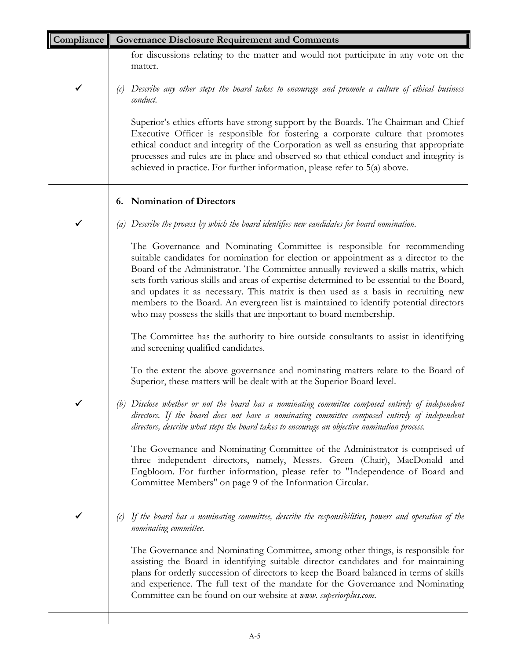| Compliance   | <b>Governance Disclosure Requirement and Comments</b>                                                                                                                                                                                                                                                                                                                                                                                                                                                                                                                                                  |
|--------------|--------------------------------------------------------------------------------------------------------------------------------------------------------------------------------------------------------------------------------------------------------------------------------------------------------------------------------------------------------------------------------------------------------------------------------------------------------------------------------------------------------------------------------------------------------------------------------------------------------|
|              | for discussions relating to the matter and would not participate in any vote on the<br>matter.                                                                                                                                                                                                                                                                                                                                                                                                                                                                                                         |
| $\checkmark$ | Describe any other steps the board takes to encourage and promote a culture of ethical business<br>(c)<br>conduct.                                                                                                                                                                                                                                                                                                                                                                                                                                                                                     |
|              | Superior's ethics efforts have strong support by the Boards. The Chairman and Chief<br>Executive Officer is responsible for fostering a corporate culture that promotes<br>ethical conduct and integrity of the Corporation as well as ensuring that appropriate<br>processes and rules are in place and observed so that ethical conduct and integrity is<br>achieved in practice. For further information, please refer to 5(a) above.                                                                                                                                                               |
|              | <b>Nomination of Directors</b><br>6.                                                                                                                                                                                                                                                                                                                                                                                                                                                                                                                                                                   |
| $\checkmark$ | (a) Describe the process by which the board identifies new candidates for board nomination.                                                                                                                                                                                                                                                                                                                                                                                                                                                                                                            |
|              | The Governance and Nominating Committee is responsible for recommending<br>suitable candidates for nomination for election or appointment as a director to the<br>Board of the Administrator. The Committee annually reviewed a skills matrix, which<br>sets forth various skills and areas of expertise determined to be essential to the Board,<br>and updates it as necessary. This matrix is then used as a basis in recruiting new<br>members to the Board. An evergreen list is maintained to identify potential directors<br>who may possess the skills that are important to board membership. |
|              | The Committee has the authority to hire outside consultants to assist in identifying<br>and screening qualified candidates.                                                                                                                                                                                                                                                                                                                                                                                                                                                                            |
|              | To the extent the above governance and nominating matters relate to the Board of<br>Superior, these matters will be dealt with at the Superior Board level.                                                                                                                                                                                                                                                                                                                                                                                                                                            |
|              | (b) Disclose whether or not the board has a nominating committee composed entirely of independent<br>directors. If the board does not have a nominating committee composed entirely of independent<br>directors, describe what steps the board takes to encourage an objective nomination process.                                                                                                                                                                                                                                                                                                     |
|              | The Governance and Nominating Committee of the Administrator is comprised of<br>three independent directors, namely, Messrs. Green (Chair), MacDonald and<br>Engbloom. For further information, please refer to "Independence of Board and<br>Committee Members" on page 9 of the Information Circular.                                                                                                                                                                                                                                                                                                |
|              | If the board has a nominating committee, describe the responsibilities, powers and operation of the<br>(c)<br>nominating committee.                                                                                                                                                                                                                                                                                                                                                                                                                                                                    |
|              | The Governance and Nominating Committee, among other things, is responsible for<br>assisting the Board in identifying suitable director candidates and for maintaining<br>plans for orderly succession of directors to keep the Board balanced in terms of skills<br>and experience. The full text of the mandate for the Governance and Nominating<br>Committee can be found on our website at www. superiorplus.com.                                                                                                                                                                                 |
|              |                                                                                                                                                                                                                                                                                                                                                                                                                                                                                                                                                                                                        |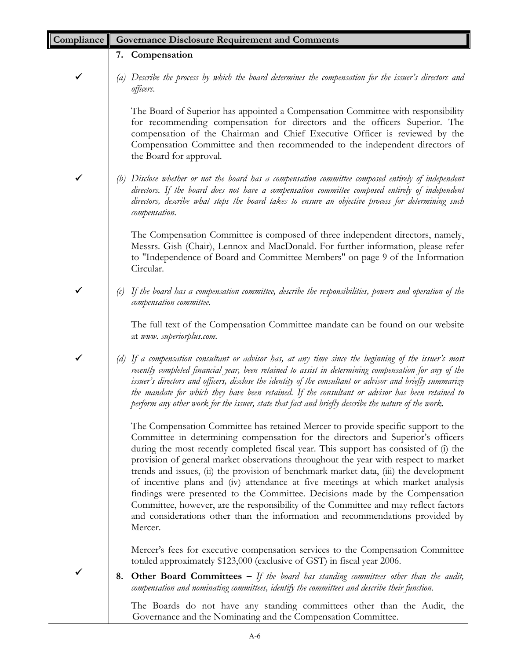| Compliance | <b>Governance Disclosure Requirement and Comments</b>                                                                                                                                                                                                                                                                                                                                                                                                                                                                                                                                                                                                                                                                                                                                                |
|------------|------------------------------------------------------------------------------------------------------------------------------------------------------------------------------------------------------------------------------------------------------------------------------------------------------------------------------------------------------------------------------------------------------------------------------------------------------------------------------------------------------------------------------------------------------------------------------------------------------------------------------------------------------------------------------------------------------------------------------------------------------------------------------------------------------|
|            | 7. Compensation                                                                                                                                                                                                                                                                                                                                                                                                                                                                                                                                                                                                                                                                                                                                                                                      |
| ✔          | (a) Describe the process by which the board determines the compensation for the issuer's directors and<br>officers.                                                                                                                                                                                                                                                                                                                                                                                                                                                                                                                                                                                                                                                                                  |
|            | The Board of Superior has appointed a Compensation Committee with responsibility<br>for recommending compensation for directors and the officers Superior. The<br>compensation of the Chairman and Chief Executive Officer is reviewed by the<br>Compensation Committee and then recommended to the independent directors of<br>the Board for approval.                                                                                                                                                                                                                                                                                                                                                                                                                                              |
| ✔          | Disclose whether or not the board has a compensation committee composed entirely of independent<br>(b)<br>directors. If the board does not have a compensation committee composed entirely of independent<br>directors, describe what steps the board takes to ensure an objective process for determining such<br>compensation.                                                                                                                                                                                                                                                                                                                                                                                                                                                                     |
|            | The Compensation Committee is composed of three independent directors, namely,<br>Messrs. Gish (Chair), Lennox and MacDonald. For further information, please refer<br>to "Independence of Board and Committee Members" on page 9 of the Information<br>Circular.                                                                                                                                                                                                                                                                                                                                                                                                                                                                                                                                    |
|            | If the board has a compensation committee, describe the responsibilities, powers and operation of the<br>(c)<br>compensation committee.                                                                                                                                                                                                                                                                                                                                                                                                                                                                                                                                                                                                                                                              |
|            | The full text of the Compensation Committee mandate can be found on our website<br>at www. superiorplus.com.                                                                                                                                                                                                                                                                                                                                                                                                                                                                                                                                                                                                                                                                                         |
| ✓          | If a compensation consultant or advisor has, at any time since the beginning of the issuer's most<br>recently completed financial year, been retained to assist in determining compensation for any of the<br>issuer's directors and officers, disclose the identity of the consultant or advisor and briefly summarize<br>the mandate for which they have been retained. If the consultant or advisor has been retained to<br>perform any other work for the issuer, state that fact and briefly describe the nature of the work.                                                                                                                                                                                                                                                                   |
|            | The Compensation Committee has retained Mercer to provide specific support to the<br>Committee in determining compensation for the directors and Superior's officers<br>during the most recently completed fiscal year. This support has consisted of (i) the<br>provision of general market observations throughout the year with respect to market<br>trends and issues, (ii) the provision of benchmark market data, (iii) the development<br>of incentive plans and (iv) attendance at five meetings at which market analysis<br>findings were presented to the Committee. Decisions made by the Compensation<br>Committee, however, are the responsibility of the Committee and may reflect factors<br>and considerations other than the information and recommendations provided by<br>Mercer. |
|            | Mercer's fees for executive compensation services to the Compensation Committee<br>totaled approximately \$123,000 (exclusive of GST) in fiscal year 2006.                                                                                                                                                                                                                                                                                                                                                                                                                                                                                                                                                                                                                                           |
| ✔          | <b>Other Board Committees –</b> If the board has standing committees other than the audit,<br>8.<br>compensation and nominating committees, identify the committees and describe their function.                                                                                                                                                                                                                                                                                                                                                                                                                                                                                                                                                                                                     |
|            | The Boards do not have any standing committees other than the Audit, the<br>Governance and the Nominating and the Compensation Committee.                                                                                                                                                                                                                                                                                                                                                                                                                                                                                                                                                                                                                                                            |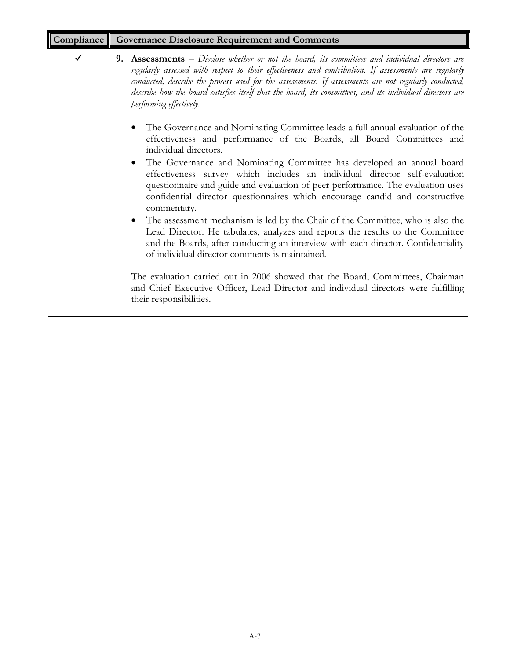| Compliance | <b>Governance Disclosure Requirement and Comments</b>                                                                                                                                                                                                                                                                                                                                                                                                    |
|------------|----------------------------------------------------------------------------------------------------------------------------------------------------------------------------------------------------------------------------------------------------------------------------------------------------------------------------------------------------------------------------------------------------------------------------------------------------------|
|            | 9. Assessments – Disclose whether or not the board, its committees and individual directors are<br>regularly assessed with respect to their effectiveness and contribution. If assessments are regularly<br>conducted, describe the process used for the assessments. If assessments are not regularly conducted,<br>describe how the board satisfies itself that the board, its committees, and its individual directors are<br>performing effectively. |
|            | The Governance and Nominating Committee leads a full annual evaluation of the<br>$\bullet$<br>effectiveness and performance of the Boards, all Board Committees and<br>individual directors.                                                                                                                                                                                                                                                             |
|            | The Governance and Nominating Committee has developed an annual board<br>$\bullet$<br>effectiveness survey which includes an individual director self-evaluation<br>questionnaire and guide and evaluation of peer performance. The evaluation uses<br>confidential director questionnaires which encourage candid and constructive<br>commentary.                                                                                                       |
|            | The assessment mechanism is led by the Chair of the Committee, who is also the<br>$\bullet$<br>Lead Director. He tabulates, analyzes and reports the results to the Committee<br>and the Boards, after conducting an interview with each director. Confidentiality<br>of individual director comments is maintained.                                                                                                                                     |
|            | The evaluation carried out in 2006 showed that the Board, Committees, Chairman<br>and Chief Executive Officer, Lead Director and individual directors were fulfilling<br>their responsibilities.                                                                                                                                                                                                                                                         |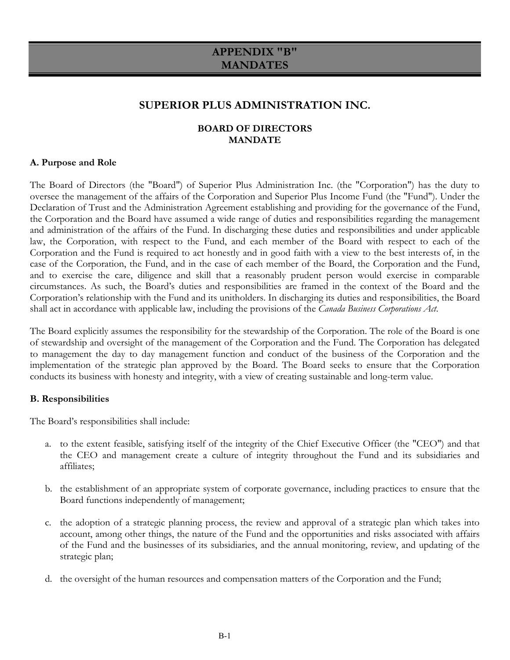# **APPENDIX "B" MANDATES**

# **SUPERIOR PLUS ADMINISTRATION INC.**

# **BOARD OF DIRECTORS MANDATE**

### **A. Purpose and Role**

The Board of Directors (the "Board") of Superior Plus Administration Inc. (the "Corporation") has the duty to oversee the management of the affairs of the Corporation and Superior Plus Income Fund (the "Fund"). Under the Declaration of Trust and the Administration Agreement establishing and providing for the governance of the Fund, the Corporation and the Board have assumed a wide range of duties and responsibilities regarding the management and administration of the affairs of the Fund. In discharging these duties and responsibilities and under applicable law, the Corporation, with respect to the Fund, and each member of the Board with respect to each of the Corporation and the Fund is required to act honestly and in good faith with a view to the best interests of, in the case of the Corporation, the Fund, and in the case of each member of the Board, the Corporation and the Fund, and to exercise the care, diligence and skill that a reasonably prudent person would exercise in comparable circumstances. As such, the Board's duties and responsibilities are framed in the context of the Board and the Corporation's relationship with the Fund and its unitholders. In discharging its duties and responsibilities, the Board shall act in accordance with applicable law, including the provisions of the *Canada Business Corporations Act*.

The Board explicitly assumes the responsibility for the stewardship of the Corporation. The role of the Board is one of stewardship and oversight of the management of the Corporation and the Fund. The Corporation has delegated to management the day to day management function and conduct of the business of the Corporation and the implementation of the strategic plan approved by the Board. The Board seeks to ensure that the Corporation conducts its business with honesty and integrity, with a view of creating sustainable and long-term value.

# **B. Responsibilities**

The Board's responsibilities shall include:

- a. to the extent feasible, satisfying itself of the integrity of the Chief Executive Officer (the "CEO") and that the CEO and management create a culture of integrity throughout the Fund and its subsidiaries and affiliates;
- b. the establishment of an appropriate system of corporate governance, including practices to ensure that the Board functions independently of management;
- c. the adoption of a strategic planning process, the review and approval of a strategic plan which takes into account, among other things, the nature of the Fund and the opportunities and risks associated with affairs of the Fund and the businesses of its subsidiaries, and the annual monitoring, review, and updating of the strategic plan;
- d. the oversight of the human resources and compensation matters of the Corporation and the Fund;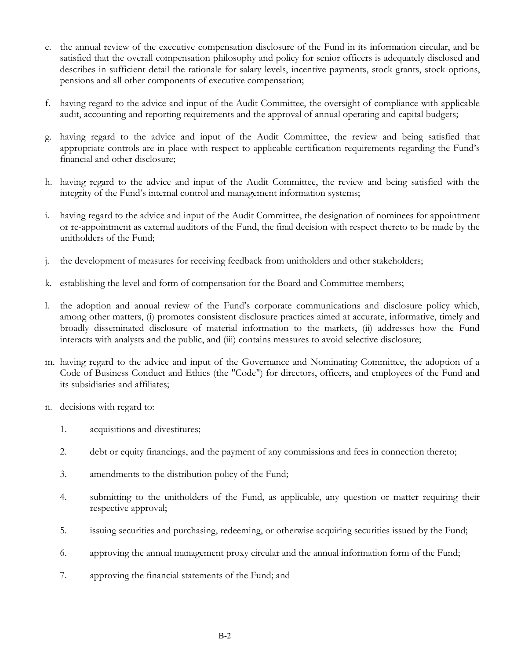- e. the annual review of the executive compensation disclosure of the Fund in its information circular, and be satisfied that the overall compensation philosophy and policy for senior officers is adequately disclosed and describes in sufficient detail the rationale for salary levels, incentive payments, stock grants, stock options, pensions and all other components of executive compensation;
- f. having regard to the advice and input of the Audit Committee, the oversight of compliance with applicable audit, accounting and reporting requirements and the approval of annual operating and capital budgets;
- g. having regard to the advice and input of the Audit Committee, the review and being satisfied that appropriate controls are in place with respect to applicable certification requirements regarding the Fund's financial and other disclosure;
- h. having regard to the advice and input of the Audit Committee, the review and being satisfied with the integrity of the Fund's internal control and management information systems;
- i. having regard to the advice and input of the Audit Committee, the designation of nominees for appointment or re-appointment as external auditors of the Fund, the final decision with respect thereto to be made by the unitholders of the Fund;
- j. the development of measures for receiving feedback from unitholders and other stakeholders;
- k. establishing the level and form of compensation for the Board and Committee members;
- l. the adoption and annual review of the Fund's corporate communications and disclosure policy which, among other matters, (i) promotes consistent disclosure practices aimed at accurate, informative, timely and broadly disseminated disclosure of material information to the markets, (ii) addresses how the Fund interacts with analysts and the public, and (iii) contains measures to avoid selective disclosure;
- m. having regard to the advice and input of the Governance and Nominating Committee, the adoption of a Code of Business Conduct and Ethics (the "Code") for directors, officers, and employees of the Fund and its subsidiaries and affiliates;
- n. decisions with regard to:
	- 1. acquisitions and divestitures;
	- 2. debt or equity financings, and the payment of any commissions and fees in connection thereto;
	- 3. amendments to the distribution policy of the Fund;
	- 4. submitting to the unitholders of the Fund, as applicable, any question or matter requiring their respective approval;
	- 5. issuing securities and purchasing, redeeming, or otherwise acquiring securities issued by the Fund;
	- 6. approving the annual management proxy circular and the annual information form of the Fund;
	- 7. approving the financial statements of the Fund; and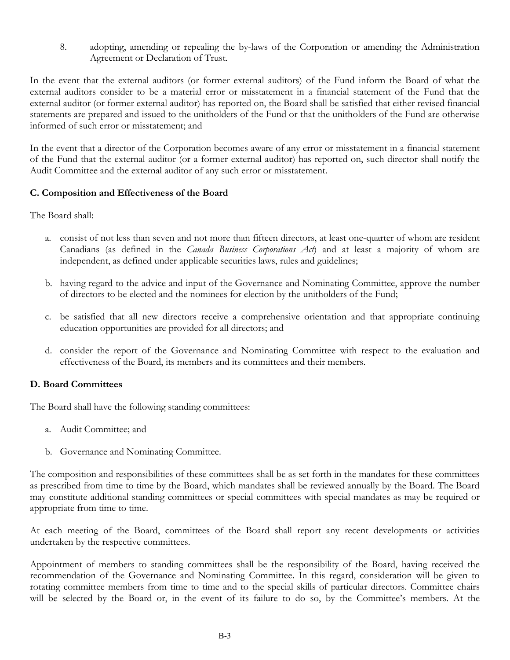8. adopting, amending or repealing the by-laws of the Corporation or amending the Administration Agreement or Declaration of Trust.

In the event that the external auditors (or former external auditors) of the Fund inform the Board of what the external auditors consider to be a material error or misstatement in a financial statement of the Fund that the external auditor (or former external auditor) has reported on, the Board shall be satisfied that either revised financial statements are prepared and issued to the unitholders of the Fund or that the unitholders of the Fund are otherwise informed of such error or misstatement; and

In the event that a director of the Corporation becomes aware of any error or misstatement in a financial statement of the Fund that the external auditor (or a former external auditor) has reported on, such director shall notify the Audit Committee and the external auditor of any such error or misstatement.

# **C. Composition and Effectiveness of the Board**

The Board shall:

- a. consist of not less than seven and not more than fifteen directors, at least one-quarter of whom are resident Canadians (as defined in the *Canada Business Corporations Act*) and at least a majority of whom are independent, as defined under applicable securities laws, rules and guidelines;
- b. having regard to the advice and input of the Governance and Nominating Committee, approve the number of directors to be elected and the nominees for election by the unitholders of the Fund;
- c. be satisfied that all new directors receive a comprehensive orientation and that appropriate continuing education opportunities are provided for all directors; and
- d. consider the report of the Governance and Nominating Committee with respect to the evaluation and effectiveness of the Board, its members and its committees and their members.

# **D. Board Committees**

The Board shall have the following standing committees:

- a. Audit Committee; and
- b. Governance and Nominating Committee.

The composition and responsibilities of these committees shall be as set forth in the mandates for these committees as prescribed from time to time by the Board, which mandates shall be reviewed annually by the Board. The Board may constitute additional standing committees or special committees with special mandates as may be required or appropriate from time to time.

At each meeting of the Board, committees of the Board shall report any recent developments or activities undertaken by the respective committees.

Appointment of members to standing committees shall be the responsibility of the Board, having received the recommendation of the Governance and Nominating Committee. In this regard, consideration will be given to rotating committee members from time to time and to the special skills of particular directors. Committee chairs will be selected by the Board or, in the event of its failure to do so, by the Committee's members. At the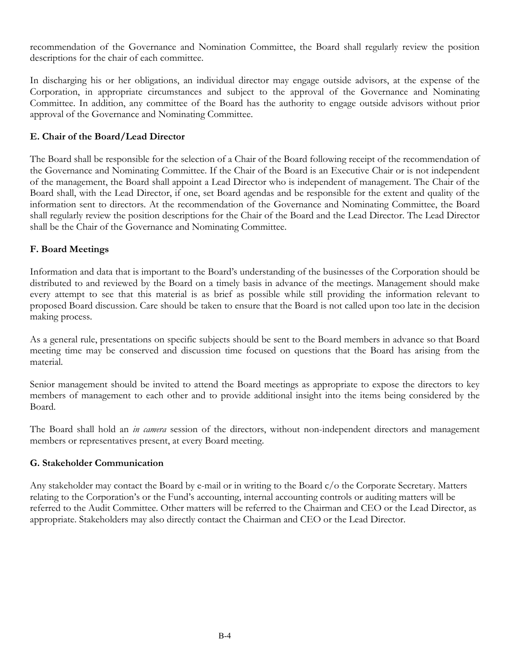recommendation of the Governance and Nomination Committee, the Board shall regularly review the position descriptions for the chair of each committee.

In discharging his or her obligations, an individual director may engage outside advisors, at the expense of the Corporation, in appropriate circumstances and subject to the approval of the Governance and Nominating Committee. In addition, any committee of the Board has the authority to engage outside advisors without prior approval of the Governance and Nominating Committee.

# **E. Chair of the Board/Lead Director**

The Board shall be responsible for the selection of a Chair of the Board following receipt of the recommendation of the Governance and Nominating Committee. If the Chair of the Board is an Executive Chair or is not independent of the management, the Board shall appoint a Lead Director who is independent of management. The Chair of the Board shall, with the Lead Director, if one, set Board agendas and be responsible for the extent and quality of the information sent to directors. At the recommendation of the Governance and Nominating Committee, the Board shall regularly review the position descriptions for the Chair of the Board and the Lead Director. The Lead Director shall be the Chair of the Governance and Nominating Committee.

# **F. Board Meetings**

Information and data that is important to the Board's understanding of the businesses of the Corporation should be distributed to and reviewed by the Board on a timely basis in advance of the meetings. Management should make every attempt to see that this material is as brief as possible while still providing the information relevant to proposed Board discussion. Care should be taken to ensure that the Board is not called upon too late in the decision making process.

As a general rule, presentations on specific subjects should be sent to the Board members in advance so that Board meeting time may be conserved and discussion time focused on questions that the Board has arising from the material.

Senior management should be invited to attend the Board meetings as appropriate to expose the directors to key members of management to each other and to provide additional insight into the items being considered by the Board.

The Board shall hold an *in camera* session of the directors, without non-independent directors and management members or representatives present, at every Board meeting.

# **G. Stakeholder Communication**

Any stakeholder may contact the Board by e-mail or in writing to the Board c/o the Corporate Secretary. Matters relating to the Corporation's or the Fund's accounting, internal accounting controls or auditing matters will be referred to the Audit Committee. Other matters will be referred to the Chairman and CEO or the Lead Director, as appropriate. Stakeholders may also directly contact the Chairman and CEO or the Lead Director.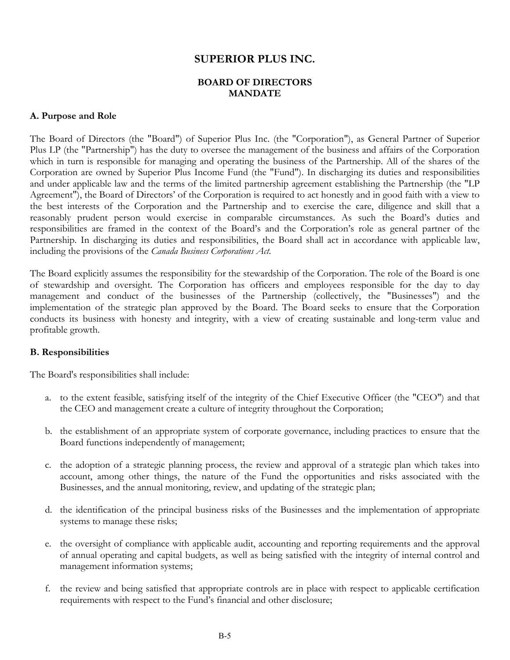# **SUPERIOR PLUS INC.**

# **BOARD OF DIRECTORS MANDATE**

### **A. Purpose and Role**

The Board of Directors (the "Board") of Superior Plus Inc. (the "Corporation"), as General Partner of Superior Plus LP (the "Partnership") has the duty to oversee the management of the business and affairs of the Corporation which in turn is responsible for managing and operating the business of the Partnership. All of the shares of the Corporation are owned by Superior Plus Income Fund (the "Fund"). In discharging its duties and responsibilities and under applicable law and the terms of the limited partnership agreement establishing the Partnership (the "LP Agreement"), the Board of Directors' of the Corporation is required to act honestly and in good faith with a view to the best interests of the Corporation and the Partnership and to exercise the care, diligence and skill that a reasonably prudent person would exercise in comparable circumstances. As such the Board's duties and responsibilities are framed in the context of the Board's and the Corporation's role as general partner of the Partnership. In discharging its duties and responsibilities, the Board shall act in accordance with applicable law, including the provisions of the *Canada Business Corporations Act*.

The Board explicitly assumes the responsibility for the stewardship of the Corporation. The role of the Board is one of stewardship and oversight. The Corporation has officers and employees responsible for the day to day management and conduct of the businesses of the Partnership (collectively, the "Businesses") and the implementation of the strategic plan approved by the Board. The Board seeks to ensure that the Corporation conducts its business with honesty and integrity, with a view of creating sustainable and long-term value and profitable growth.

# **B. Responsibilities**

The Board's responsibilities shall include:

- a. to the extent feasible, satisfying itself of the integrity of the Chief Executive Officer (the "CEO") and that the CEO and management create a culture of integrity throughout the Corporation;
- b. the establishment of an appropriate system of corporate governance, including practices to ensure that the Board functions independently of management;
- c. the adoption of a strategic planning process, the review and approval of a strategic plan which takes into account, among other things, the nature of the Fund the opportunities and risks associated with the Businesses, and the annual monitoring, review, and updating of the strategic plan;
- d. the identification of the principal business risks of the Businesses and the implementation of appropriate systems to manage these risks;
- e. the oversight of compliance with applicable audit, accounting and reporting requirements and the approval of annual operating and capital budgets, as well as being satisfied with the integrity of internal control and management information systems;
- f. the review and being satisfied that appropriate controls are in place with respect to applicable certification requirements with respect to the Fund's financial and other disclosure;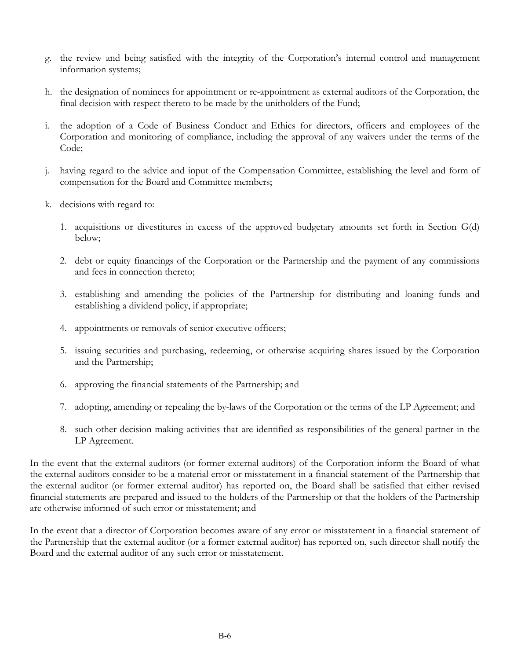- g. the review and being satisfied with the integrity of the Corporation's internal control and management information systems;
- h. the designation of nominees for appointment or re-appointment as external auditors of the Corporation, the final decision with respect thereto to be made by the unitholders of the Fund;
- i. the adoption of a Code of Business Conduct and Ethics for directors, officers and employees of the Corporation and monitoring of compliance, including the approval of any waivers under the terms of the Code;
- j. having regard to the advice and input of the Compensation Committee, establishing the level and form of compensation for the Board and Committee members;
- k. decisions with regard to:
	- 1. acquisitions or divestitures in excess of the approved budgetary amounts set forth in Section G(d) below;
	- 2. debt or equity financings of the Corporation or the Partnership and the payment of any commissions and fees in connection thereto;
	- 3. establishing and amending the policies of the Partnership for distributing and loaning funds and establishing a dividend policy, if appropriate;
	- 4. appointments or removals of senior executive officers;
	- 5. issuing securities and purchasing, redeeming, or otherwise acquiring shares issued by the Corporation and the Partnership;
	- 6. approving the financial statements of the Partnership; and
	- 7. adopting, amending or repealing the by-laws of the Corporation or the terms of the LP Agreement; and
	- 8. such other decision making activities that are identified as responsibilities of the general partner in the LP Agreement.

In the event that the external auditors (or former external auditors) of the Corporation inform the Board of what the external auditors consider to be a material error or misstatement in a financial statement of the Partnership that the external auditor (or former external auditor) has reported on, the Board shall be satisfied that either revised financial statements are prepared and issued to the holders of the Partnership or that the holders of the Partnership are otherwise informed of such error or misstatement; and

In the event that a director of Corporation becomes aware of any error or misstatement in a financial statement of the Partnership that the external auditor (or a former external auditor) has reported on, such director shall notify the Board and the external auditor of any such error or misstatement.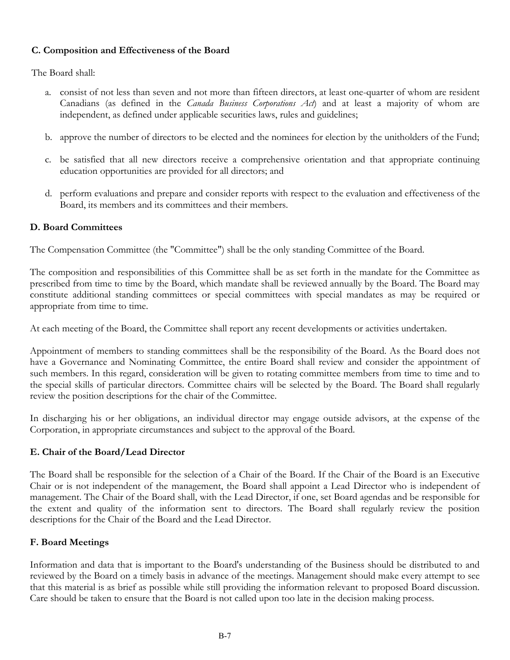# **C. Composition and Effectiveness of the Board**

The Board shall:

- a. consist of not less than seven and not more than fifteen directors, at least one-quarter of whom are resident Canadians (as defined in the *Canada Business Corporations Act*) and at least a majority of whom are independent, as defined under applicable securities laws, rules and guidelines;
- b. approve the number of directors to be elected and the nominees for election by the unitholders of the Fund;
- c. be satisfied that all new directors receive a comprehensive orientation and that appropriate continuing education opportunities are provided for all directors; and
- d. perform evaluations and prepare and consider reports with respect to the evaluation and effectiveness of the Board, its members and its committees and their members.

# **D. Board Committees**

The Compensation Committee (the "Committee") shall be the only standing Committee of the Board.

The composition and responsibilities of this Committee shall be as set forth in the mandate for the Committee as prescribed from time to time by the Board, which mandate shall be reviewed annually by the Board. The Board may constitute additional standing committees or special committees with special mandates as may be required or appropriate from time to time.

At each meeting of the Board, the Committee shall report any recent developments or activities undertaken.

Appointment of members to standing committees shall be the responsibility of the Board. As the Board does not have a Governance and Nominating Committee, the entire Board shall review and consider the appointment of such members. In this regard, consideration will be given to rotating committee members from time to time and to the special skills of particular directors. Committee chairs will be selected by the Board. The Board shall regularly review the position descriptions for the chair of the Committee.

In discharging his or her obligations, an individual director may engage outside advisors, at the expense of the Corporation, in appropriate circumstances and subject to the approval of the Board.

# **E. Chair of the Board/Lead Director**

The Board shall be responsible for the selection of a Chair of the Board. If the Chair of the Board is an Executive Chair or is not independent of the management, the Board shall appoint a Lead Director who is independent of management. The Chair of the Board shall, with the Lead Director, if one, set Board agendas and be responsible for the extent and quality of the information sent to directors. The Board shall regularly review the position descriptions for the Chair of the Board and the Lead Director.

# **F. Board Meetings**

Information and data that is important to the Board's understanding of the Business should be distributed to and reviewed by the Board on a timely basis in advance of the meetings. Management should make every attempt to see that this material is as brief as possible while still providing the information relevant to proposed Board discussion. Care should be taken to ensure that the Board is not called upon too late in the decision making process.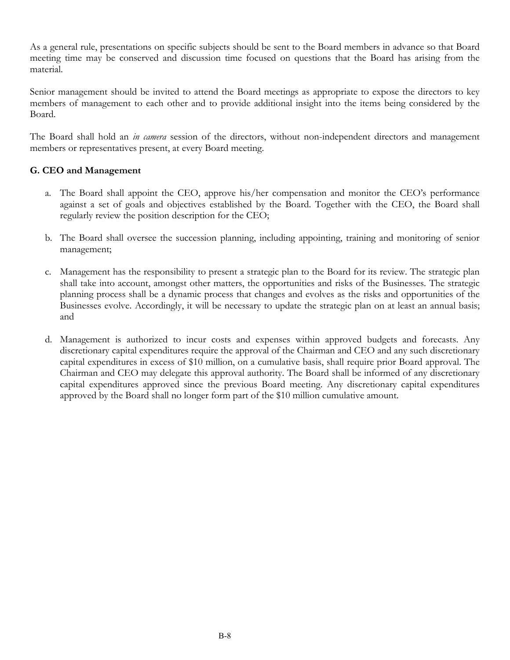As a general rule, presentations on specific subjects should be sent to the Board members in advance so that Board meeting time may be conserved and discussion time focused on questions that the Board has arising from the material.

Senior management should be invited to attend the Board meetings as appropriate to expose the directors to key members of management to each other and to provide additional insight into the items being considered by the Board.

The Board shall hold an *in camera* session of the directors, without non-independent directors and management members or representatives present, at every Board meeting.

# **G. CEO and Management**

- a. The Board shall appoint the CEO, approve his/her compensation and monitor the CEO's performance against a set of goals and objectives established by the Board. Together with the CEO, the Board shall regularly review the position description for the CEO;
- b. The Board shall oversee the succession planning, including appointing, training and monitoring of senior management;
- c. Management has the responsibility to present a strategic plan to the Board for its review. The strategic plan shall take into account, amongst other matters, the opportunities and risks of the Businesses. The strategic planning process shall be a dynamic process that changes and evolves as the risks and opportunities of the Businesses evolve. Accordingly, it will be necessary to update the strategic plan on at least an annual basis; and
- d. Management is authorized to incur costs and expenses within approved budgets and forecasts. Any discretionary capital expenditures require the approval of the Chairman and CEO and any such discretionary capital expenditures in excess of \$10 million, on a cumulative basis, shall require prior Board approval. The Chairman and CEO may delegate this approval authority. The Board shall be informed of any discretionary capital expenditures approved since the previous Board meeting. Any discretionary capital expenditures approved by the Board shall no longer form part of the \$10 million cumulative amount.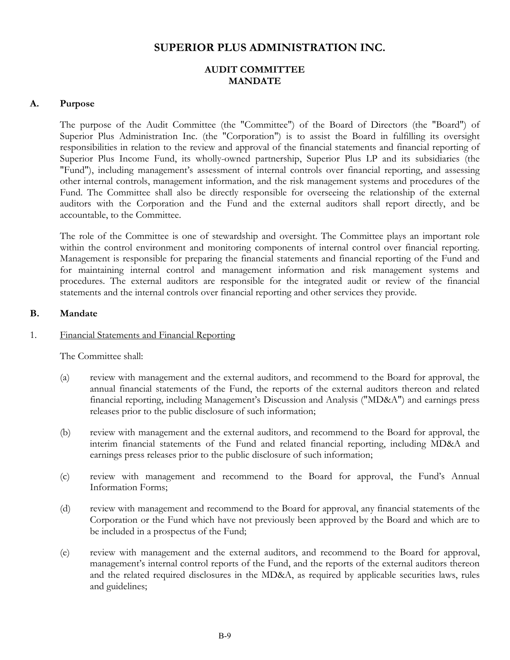# **SUPERIOR PLUS ADMINISTRATION INC.**

# **AUDIT COMMITTEE MANDATE**

#### **A. Purpose**

The purpose of the Audit Committee (the "Committee") of the Board of Directors (the "Board") of Superior Plus Administration Inc. (the "Corporation") is to assist the Board in fulfilling its oversight responsibilities in relation to the review and approval of the financial statements and financial reporting of Superior Plus Income Fund, its wholly-owned partnership, Superior Plus LP and its subsidiaries (the "Fund"), including management's assessment of internal controls over financial reporting, and assessing other internal controls, management information, and the risk management systems and procedures of the Fund. The Committee shall also be directly responsible for overseeing the relationship of the external auditors with the Corporation and the Fund and the external auditors shall report directly, and be accountable, to the Committee.

The role of the Committee is one of stewardship and oversight. The Committee plays an important role within the control environment and monitoring components of internal control over financial reporting. Management is responsible for preparing the financial statements and financial reporting of the Fund and for maintaining internal control and management information and risk management systems and procedures. The external auditors are responsible for the integrated audit or review of the financial statements and the internal controls over financial reporting and other services they provide.

#### **B. Mandate**

#### 1. Financial Statements and Financial Reporting

The Committee shall:

- (a) review with management and the external auditors, and recommend to the Board for approval, the annual financial statements of the Fund, the reports of the external auditors thereon and related financial reporting, including Management's Discussion and Analysis ("MD&A") and earnings press releases prior to the public disclosure of such information;
- (b) review with management and the external auditors, and recommend to the Board for approval, the interim financial statements of the Fund and related financial reporting, including MD&A and earnings press releases prior to the public disclosure of such information;
- (c) review with management and recommend to the Board for approval, the Fund's Annual Information Forms;
- (d) review with management and recommend to the Board for approval, any financial statements of the Corporation or the Fund which have not previously been approved by the Board and which are to be included in a prospectus of the Fund;
- (e) review with management and the external auditors, and recommend to the Board for approval, management's internal control reports of the Fund, and the reports of the external auditors thereon and the related required disclosures in the MD&A, as required by applicable securities laws, rules and guidelines;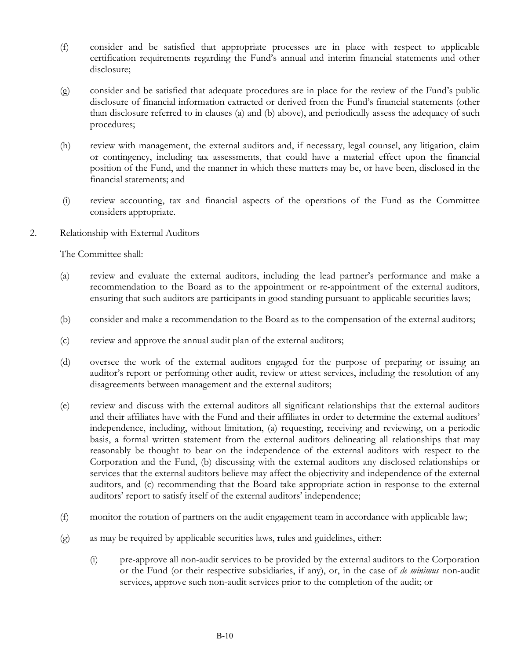- (f) consider and be satisfied that appropriate processes are in place with respect to applicable certification requirements regarding the Fund's annual and interim financial statements and other disclosure;
- (g) consider and be satisfied that adequate procedures are in place for the review of the Fund's public disclosure of financial information extracted or derived from the Fund's financial statements (other than disclosure referred to in clauses (a) and (b) above), and periodically assess the adequacy of such procedures;
- (h) review with management, the external auditors and, if necessary, legal counsel, any litigation, claim or contingency, including tax assessments, that could have a material effect upon the financial position of the Fund, and the manner in which these matters may be, or have been, disclosed in the financial statements; and
- (i) review accounting, tax and financial aspects of the operations of the Fund as the Committee considers appropriate.
- 2. Relationship with External Auditors

The Committee shall:

- (a) review and evaluate the external auditors, including the lead partner's performance and make a recommendation to the Board as to the appointment or re-appointment of the external auditors, ensuring that such auditors are participants in good standing pursuant to applicable securities laws;
- (b) consider and make a recommendation to the Board as to the compensation of the external auditors;
- (c) review and approve the annual audit plan of the external auditors;
- (d) oversee the work of the external auditors engaged for the purpose of preparing or issuing an auditor's report or performing other audit, review or attest services, including the resolution of any disagreements between management and the external auditors;
- (e) review and discuss with the external auditors all significant relationships that the external auditors and their affiliates have with the Fund and their affiliates in order to determine the external auditors' independence, including, without limitation, (a) requesting, receiving and reviewing, on a periodic basis, a formal written statement from the external auditors delineating all relationships that may reasonably be thought to bear on the independence of the external auditors with respect to the Corporation and the Fund, (b) discussing with the external auditors any disclosed relationships or services that the external auditors believe may affect the objectivity and independence of the external auditors, and (c) recommending that the Board take appropriate action in response to the external auditors' report to satisfy itself of the external auditors' independence;
- (f) monitor the rotation of partners on the audit engagement team in accordance with applicable law;
- (g) as may be required by applicable securities laws, rules and guidelines, either:
	- (i) pre-approve all non-audit services to be provided by the external auditors to the Corporation or the Fund (or their respective subsidiaries, if any), or, in the case of *de minimus* non-audit services, approve such non-audit services prior to the completion of the audit; or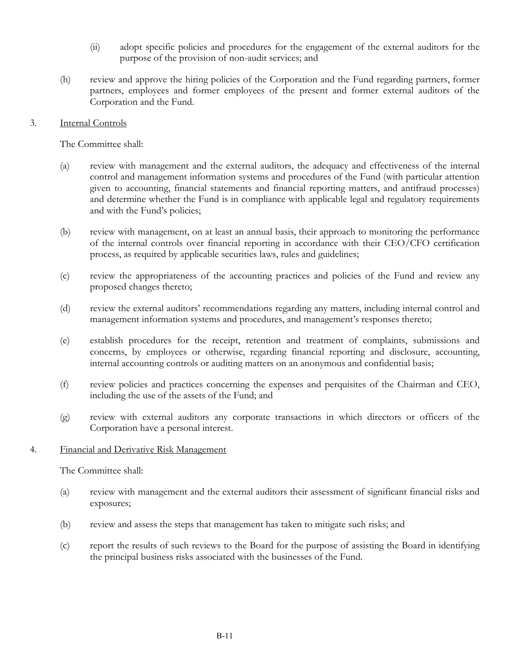- (ii) adopt specific policies and procedures for the engagement of the external auditors for the purpose of the provision of non-audit services; and
- (h) review and approve the hiring policies of the Corporation and the Fund regarding partners, former partners, employees and former employees of the present and former external auditors of the Corporation and the Fund.

### 3. Internal Controls

The Committee shall:

- (a) review with management and the external auditors, the adequacy and effectiveness of the internal control and management information systems and procedures of the Fund (with particular attention given to accounting, financial statements and financial reporting matters, and antifraud processes) and determine whether the Fund is in compliance with applicable legal and regulatory requirements and with the Fund's policies;
- (b) review with management, on at least an annual basis, their approach to monitoring the performance of the internal controls over financial reporting in accordance with their CEO/CFO certification process, as required by applicable securities laws, rules and guidelines;
- (c) review the appropriateness of the accounting practices and policies of the Fund and review any proposed changes thereto;
- (d) review the external auditors' recommendations regarding any matters, including internal control and management information systems and procedures, and management's responses thereto;
- (e) establish procedures for the receipt, retention and treatment of complaints, submissions and concerns, by employees or otherwise, regarding financial reporting and disclosure, accounting, internal accounting controls or auditing matters on an anonymous and confidential basis;
- (f) review policies and practices concerning the expenses and perquisites of the Chairman and CEO, including the use of the assets of the Fund; and
- (g) review with external auditors any corporate transactions in which directors or officers of the Corporation have a personal interest.

#### 4. Financial and Derivative Risk Management

The Committee shall:

- (a) review with management and the external auditors their assessment of significant financial risks and exposures;
- (b) review and assess the steps that management has taken to mitigate such risks; and
- (c) report the results of such reviews to the Board for the purpose of assisting the Board in identifying the principal business risks associated with the businesses of the Fund.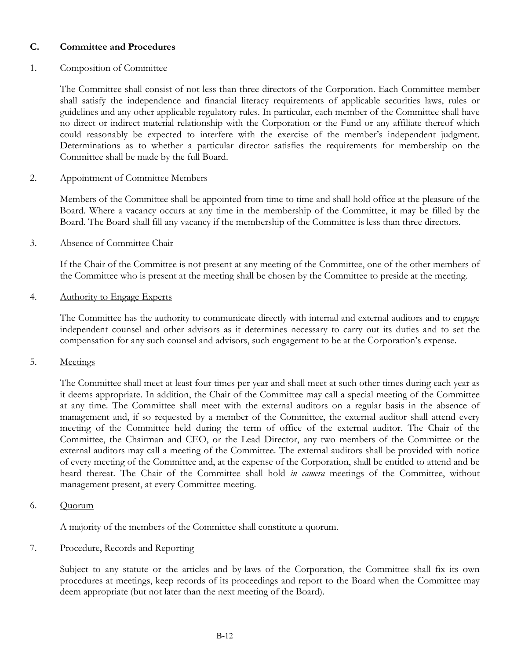# **C. Committee and Procedures**

# 1. Composition of Committee

The Committee shall consist of not less than three directors of the Corporation. Each Committee member shall satisfy the independence and financial literacy requirements of applicable securities laws, rules or guidelines and any other applicable regulatory rules. In particular, each member of the Committee shall have no direct or indirect material relationship with the Corporation or the Fund or any affiliate thereof which could reasonably be expected to interfere with the exercise of the member's independent judgment. Determinations as to whether a particular director satisfies the requirements for membership on the Committee shall be made by the full Board.

# 2. Appointment of Committee Members

Members of the Committee shall be appointed from time to time and shall hold office at the pleasure of the Board. Where a vacancy occurs at any time in the membership of the Committee, it may be filled by the Board. The Board shall fill any vacancy if the membership of the Committee is less than three directors.

# 3. Absence of Committee Chair

If the Chair of the Committee is not present at any meeting of the Committee, one of the other members of the Committee who is present at the meeting shall be chosen by the Committee to preside at the meeting.

# 4. Authority to Engage Experts

The Committee has the authority to communicate directly with internal and external auditors and to engage independent counsel and other advisors as it determines necessary to carry out its duties and to set the compensation for any such counsel and advisors, such engagement to be at the Corporation's expense.

# 5. Meetings

The Committee shall meet at least four times per year and shall meet at such other times during each year as it deems appropriate. In addition, the Chair of the Committee may call a special meeting of the Committee at any time. The Committee shall meet with the external auditors on a regular basis in the absence of management and, if so requested by a member of the Committee, the external auditor shall attend every meeting of the Committee held during the term of office of the external auditor. The Chair of the Committee, the Chairman and CEO, or the Lead Director, any two members of the Committee or the external auditors may call a meeting of the Committee. The external auditors shall be provided with notice of every meeting of the Committee and, at the expense of the Corporation, shall be entitled to attend and be heard thereat. The Chair of the Committee shall hold *in camera* meetings of the Committee, without management present, at every Committee meeting.

6. Quorum

A majority of the members of the Committee shall constitute a quorum.

# 7. Procedure, Records and Reporting

Subject to any statute or the articles and by-laws of the Corporation, the Committee shall fix its own procedures at meetings, keep records of its proceedings and report to the Board when the Committee may deem appropriate (but not later than the next meeting of the Board).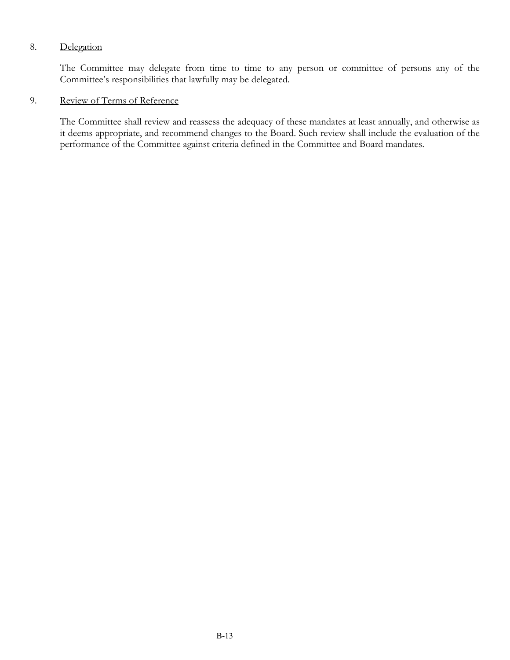# 8. Delegation

The Committee may delegate from time to time to any person or committee of persons any of the Committee's responsibilities that lawfully may be delegated.

# 9. Review of Terms of Reference

The Committee shall review and reassess the adequacy of these mandates at least annually, and otherwise as it deems appropriate, and recommend changes to the Board. Such review shall include the evaluation of the performance of the Committee against criteria defined in the Committee and Board mandates.